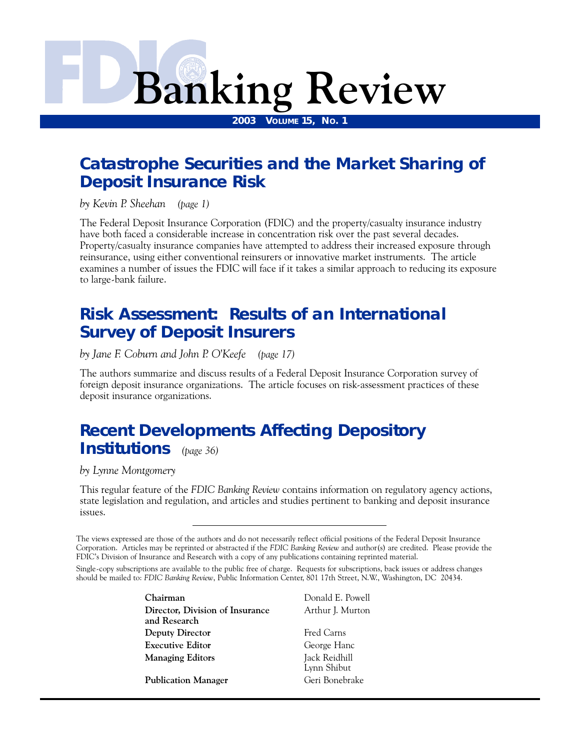# **Banking Review**

**2003 VOLUME 15, NO. 1** 

### **[Catastrophe Securities and the Market Sharing of](#page-1-0)  Deposit Insurance Risk**

*by Kevin P. Sheehan (page 1)*

The Federal Deposit Insurance Corporation (FDIC) and the property/casualty insurance industry have both faced a considerable increase in concentration risk over the past several decades. Property/casualty insurance companies have attempted to address their increased exposure through reinsurance, using either conventional reinsurers or innovative market instruments. The article examines a number of issues the FDIC will face if it takes a similar approach to reducing its exposure to large-bank failure.

### **[Risk Assessment: Results of an International](#page-17-0)  Survey of Deposit Insurers**

*by Jane F. Coburn and John P. O'Keefe (page 17)*

The authors summarize and discuss results of a Federal Deposit Insurance Corporation survey of foreign deposit insurance organizations. The article focuses on risk-assessment practices of these deposit insurance organizations.

### **[Recent Developments Affecting Depository](#page-36-0)  Institutions** *(page 36)*

*by Lynne Montgomery*

This regular feature of the *FDIC Banking Review* contains information on regulatory agency actions, state legislation and regulation, and articles and studies pertinent to banking and deposit insurance issues.

Single-copy subscriptions are available to the public free of charge. Requests for subscriptions, back issues or address changes should be mailed to: *FDIC Banking Review*, Public Information Center, 801 17th Street, N.W., Washington, DC 20434.

> **Chairman** Donald E. Powell **Director, Division of Insurance** Arthur J. Murton **and Research Deputy Director** Fred Carns **Executive Editor** George Hanc **Managing Editors** Jack Reidhill

**Publication Manager** Geri Bonebrake

Lynn Shibut

The views expressed are those of the authors and do not necessarily reflect official positions of the Federal Deposit Insurance Corporation. Articles may be reprinted or abstracted if the *FDIC Banking Review* and author(s) are credited. Please provide the FDIC's Division of Insurance and Research with a copy of any publications containing reprinted material.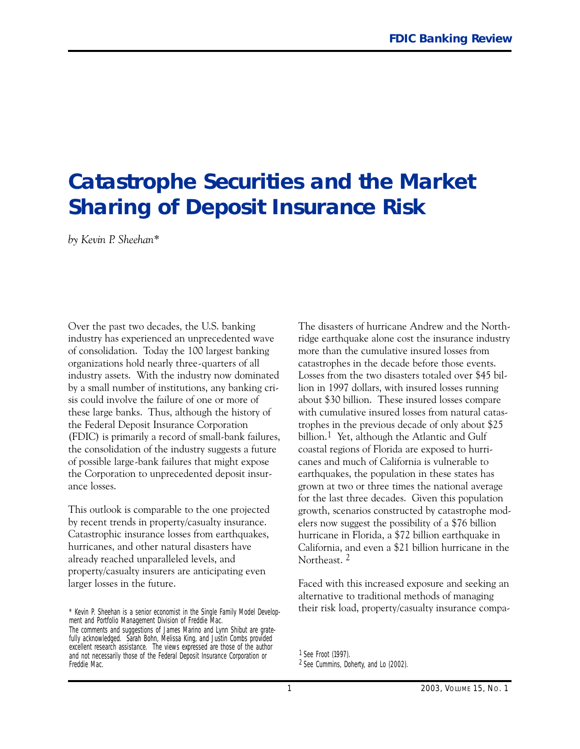## <span id="page-1-0"></span>**Catastrophe Securities and the Market Sharing of Deposit Insurance Risk**

*by Kevin P. Sheehan\**

Over the past two decades, the U.S. banking industry has experienced an unprecedented wave of consolidation. Today the 100 largest banking organizations hold nearly three-quarters of all industry assets. With the industry now dominated by a small number of institutions, any banking crisis could involve the failure of one or more of these large banks. Thus, although the history of the Federal Deposit Insurance Corporation (FDIC) is primarily a record of small-bank failures, the consolidation of the industry suggests a future of possible large-bank failures that might expose the Corporation to unprecedented deposit insurance losses.

This outlook is comparable to the one projected by recent trends in property/casualty insurance. Catastrophic insurance losses from earthquakes, hurricanes, and other natural disasters have already reached unparalleled levels, and property/casualty insurers are anticipating even larger losses in the future.

The disasters of hurricane Andrew and the Northridge earthquake alone cost the insurance industry more than the cumulative insured losses from catastrophes in the decade before those events. Losses from the two disasters totaled over \$45 billion in 1997 dollars, with insured losses running about \$30 billion. These insured losses compare with cumulative insured losses from natural catastrophes in the previous decade of only about \$25 billion.<sup>1</sup> Yet, although the Atlantic and Gulf coastal regions of Florida are exposed to hurricanes and much of California is vulnerable to earthquakes, the population in these states has grown at two or three times the national average for the last three decades. Given this population growth, scenarios constructed by catastrophe modelers now suggest the possibility of a \$76 billion hurricane in Florida, a \$72 billion earthquake in California, and even a \$21 billion hurricane in the Northeast. 2

Faced with this increased exposure and seeking an alternative to traditional methods of managing their risk load, property/casualty insurance compa-

<sup>\*</sup> Kevin P. Sheehan is a senior economist in the Single Family Model Development and Portfolio Management Division of Freddie Mac.

The comments and suggestions of James Marino and Lynn Shibut are gratefully acknowledged. Sarah Bohn, Melissa King, and Justin Combs provided excellent research assistance. The views expressed are those of the author and not necessarily those of the Federal Deposit Insurance Corporation or Freddie Mac.

<sup>1</sup> *See* Froot (1997).

<sup>2</sup> *See* Cummins, Doherty, and Lo (2002).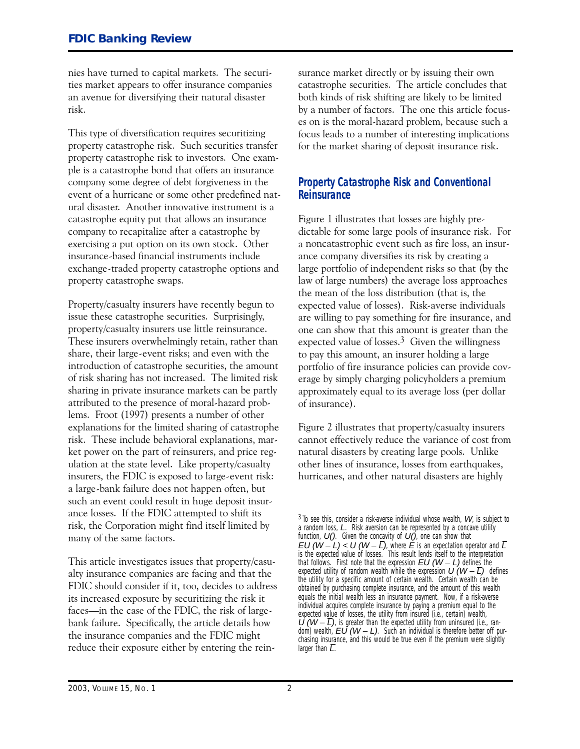<span id="page-2-0"></span>nies have turned to capital markets. The securities market appears to offer insurance companies an avenue for diversifying their natural disaster risk.

This type of diversification requires securitizing property catastrophe risk. Such securities transfer property catastrophe risk to investors. One example is a catastrophe bond that offers an insurance company some degree of debt forgiveness in the event of a hurricane or some other predefined natural disaster. Another innovative instrument is a catastrophe equity put that allows an insurance company to recapitalize after a catastrophe by exercising a put option on its own stock. Other insurance-based financial instruments include exchange-traded property catastrophe options and property catastrophe swaps.

Property/casualty insurers have recently begun to issue these catastrophe securities. Surprisingly, property/casualty insurers use little reinsurance. These insurers overwhelmingly retain, rather than share, their large-event risks; and even with the introduction of catastrophe securities, the amount of risk sharing has not increased. The limited risk sharing in private insurance markets can be partly attributed to the presence of moral-hazard problems. Froot (1997) presents a number of other explanations for the limited sharing of catastrophe risk. These include behavioral explanations, market power on the part of reinsurers, and price regulation at the state level. Like property/casualty insurers, the FDIC is exposed to large-event risk: a large-bank failure does not happen often, but such an event could result in huge deposit insurance losses. If the FDIC attempted to shift its risk, the Corporation might find itself limited by many of the same factors.

This article investigates issues that property/casualty insurance companies are facing and that the FDIC should consider if it, too, decides to address its increased exposure by securitizing the risk it faces—in the case of the FDIC, the risk of largebank failure. Specifically, the article details how the insurance companies and the FDIC might reduce their exposure either by entering the reinsurance market directly or by issuing their own catastrophe securities. The article concludes that both kinds of risk shifting are likely to be limited by a number of factors. The one this article focuses on is the moral-hazard problem, because such a focus leads to a number of interesting implications for the market sharing of deposit insurance risk.

#### **Property Catastrophe Risk and Conventional Reinsurance**

Figure 1 illustrates that losses are highly predictable for some large pools of insurance risk. For a noncatastrophic event such as fire loss, an insurance company diversifies its risk by creating a large portfolio of independent risks so that (by the law of large numbers) the average loss approaches the mean of the loss distribution (that is, the expected value of losses). Risk-averse individuals are willing to pay something for fire insurance, and one can show that this amount is greater than the expected value of losses.3 Given the willingness to pay this amount, an insurer holding a large portfolio of fire insurance policies can provide coverage by simply charging policyholders a premium approximately equal to its average loss (per dollar of insurance).

Figure 2 illustrates that property/casualty insurers cannot effectively reduce the variance of cost from natural disasters by creating large pools. Unlike other lines of insurance, losses from earthquakes, hurricanes, and other natural disasters are highly

 $3$  To see this, consider a risk-averse individual whose wealth,  $W$ , is subject to a random loss, L. Risk aversion can be represented by a concave utility function,  $U()$ . Given the concavity of  $U()$ , one can show that EU ( $W - L$ ) < U ( $W - \overline{L}$ ), where  $\overline{E}$  is an expectation operator and  $\overline{L}$ is the expected value of losses. This result lends itself to the interpretation that follows. First note that the expression  $EU$  ( $W - L$ ) defines the expected utility of random wealth while the expression  $U(W - \overline{L})$  defines the utility for a specific amount of certain wealth. Certain wealth can be obtained by purchasing complete insurance, and the amount of this wealth equals the initial wealth less an insurance payment. Now, if a risk-averse individual acquires complete insurance by paying a premium equal to the expected value of losses, the utility from insured (i.e., certain) wealth,  $U(W - \overline{L})$ , is greater than the expected utility from uninsured (i.e., random) wealth,  $EU(W - L)$ . Such an individual is therefore better off purchasing insurance, and this would be true even if the premium were slightly larger than  $\overline{L}$ .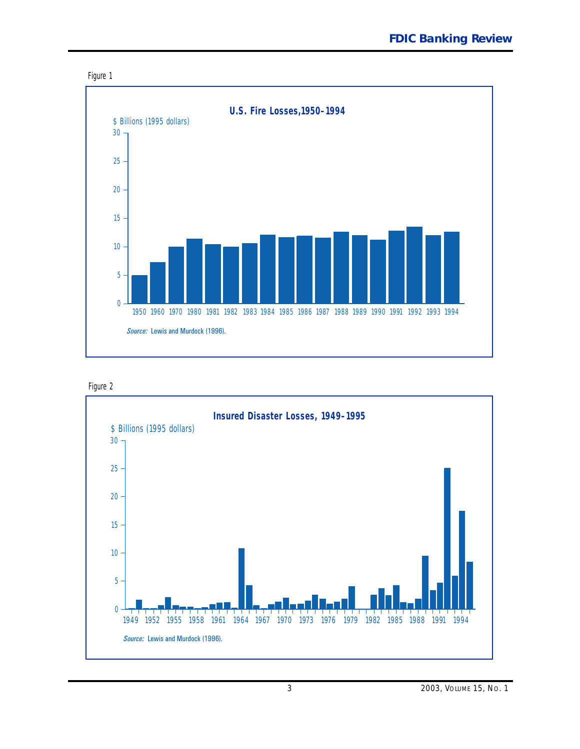<span id="page-3-0"></span>





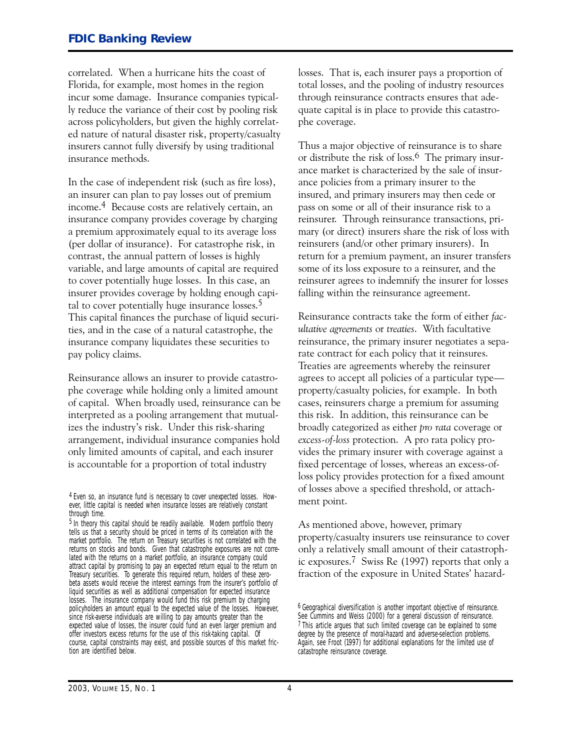correlated. When a hurricane hits the coast of Florida, for example, most homes in the region incur some damage. Insurance companies typically reduce the variance of their cost by pooling risk across policyholders, but given the highly correlated nature of natural disaster risk, property/casualty insurers cannot fully diversify by using traditional insurance methods.

 pay policy claims. In the case of independent risk (such as fire loss), an insurer can plan to pay losses out of premium income.4 Because costs are relatively certain, an insurance company provides coverage by charging a premium approximately equal to its average loss (per dollar of insurance). For catastrophe risk, in contrast, the annual pattern of losses is highly variable, and large amounts of capital are required to cover potentially huge losses. In this case, an insurer provides coverage by holding enough capital to cover potentially huge insurance losses.5 This capital finances the purchase of liquid securities, and in the case of a natural catastrophe, the insurance company liquidates these securities to

Reinsurance allows an insurer to provide catastrophe coverage while holding only a limited amount of capital. When broadly used, reinsurance can be interpreted as a pooling arrangement that mutualizes the industry's risk. Under this risk-sharing arrangement, individual insurance companies hold only limited amounts of capital, and each insurer is accountable for a proportion of total industry

losses. That is, each insurer pays a proportion of total losses, and the pooling of industry resources through reinsurance contracts ensures that adequate capital is in place to provide this catastrophe coverage.

 reinsurer. Through reinsurance transactions, pri-Thus a major objective of reinsurance is to share or distribute the risk of loss.6 The primary insurance market is characterized by the sale of insurance policies from a primary insurer to the insured, and primary insurers may then cede or pass on some or all of their insurance risk to a mary (or direct) insurers share the risk of loss with reinsurers (and/or other primary insurers). In return for a premium payment, an insurer transfers some of its loss exposure to a reinsurer, and the reinsurer agrees to indemnify the insurer for losses falling within the reinsurance agreement.

 *excess-of-loss* protection. A pro rata policy pro-Reinsurance contracts take the form of either *facultative agreements* or *treaties*. With facultative reinsurance, the primary insurer negotiates a separate contract for each policy that it reinsures. Treaties are agreements whereby the reinsurer agrees to accept all policies of a particular type property/casualty policies, for example. In both cases, reinsurers charge a premium for assuming this risk. In addition, this reinsurance can be broadly categorized as either *pro rata* coverage or vides the primary insurer with coverage against a fixed percentage of losses, whereas an excess-ofloss policy provides protection for a fixed amount of losses above a specified threshold, or attachment point.

As mentioned above, however, primary property/casualty insurers use reinsurance to cover only a relatively small amount of their catastrophic exposures.7 Swiss Re (1997) reports that only a fraction of the exposure in United States' hazard-

<sup>4</sup> Even so, an insurance fund is necessary to cover unexpected losses. However, little capital is needed when insurance losses are relatively constant through time.

<sup>5</sup> In theory this capital should be readily available. Modern portfolio theory tells us that a security should be priced in terms of its correlation with the market portfolio. The return on Treasury securities is not correlated with the returns on stocks and bonds. Given that catastrophe exposures are not correlated with the returns on a market portfolio, an insurance company could attract capital by promising to pay an expected return equal to the return on Treasury securities. To generate this required return, holders of these zerobeta assets would receive the interest earnings from the insurer's portfolio of liquid securities as well as additional compensation for expected insurance losses. The insurance company would fund this risk premium by charging policyholders an amount equal to the expected value of the losses. However, since risk-averse individuals are willing to pay amounts greater than the expected value of losses, the insurer could fund an even larger premium and offer investors excess returns for the use of this risk-taking capital. Of course, capital constraints may exist, and possible sources of this market friction are identified below.

<sup>6</sup> Geographical diversification is another important objective of reinsurance. *See* Cummins and Weiss (2000) for a general discussion of reinsurance. 7 This article argues that such limited coverage can be explained to some degree by the presence of moral-hazard and adverse-selection problems. Again, see Froot (1997) for additional explanations for the limited use of catastrophe reinsurance coverage.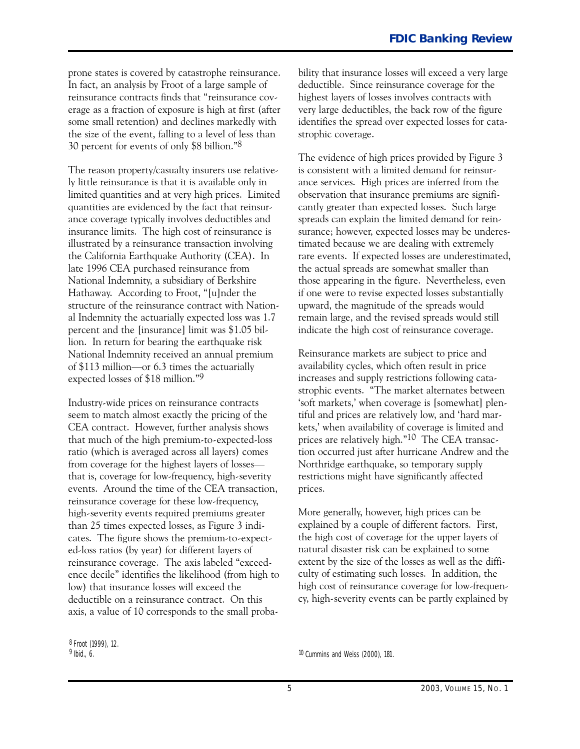<span id="page-5-0"></span>prone states is covered by catastrophe reinsurance. In fact, an analysis by Froot of a large sample of reinsurance contracts finds that "reinsurance coverage as a fraction of exposure is high at first (after some small retention) and declines markedly with the size of the event, falling to a level of less than 30 percent for events of only \$8 billion."8

The reason property/casualty insurers use relatively little reinsurance is that it is available only in limited quantities and at very high prices. Limited quantities are evidenced by the fact that reinsurance coverage typically involves deductibles and insurance limits. The high cost of reinsurance is illustrated by a reinsurance transaction involving the California Earthquake Authority (CEA). In late 1996 CEA purchased reinsurance from National Indemnity, a subsidiary of Berkshire Hathaway. According to Froot, "[u]nder the structure of the reinsurance contract with National Indemnity the actuarially expected loss was 1.7 percent and the [insurance] limit was \$1.05 billion. In return for bearing the earthquake risk National Indemnity received an annual premium of \$113 million-or 6.3 times the actuarially expected losses of \$18 million."9

Industry-wide prices on reinsurance contracts seem to match almost exactly the pricing of the CEA contract. However, further analysis shows that much of the high premium-to-expected-loss ratio (which is averaged across all layers) comes from coverage for the highest layers of losses that is, coverage for low-frequency, high-severity events. Around the time of the CEA transaction, reinsurance coverage for these low-frequency, high-severity events required premiums greater than 25 times expected losses, as Figure 3 indicates. The figure shows the premium-to-expected-loss ratios (by year) for different layers of reinsurance coverage. The axis labeled "exceedence decile" identifies the likelihood (from high to low) that insurance losses will exceed the deductible on a reinsurance contract. On this axis, a value of 10 corresponds to the small probability that insurance losses will exceed a very large deductible. Since reinsurance coverage for the highest layers of losses involves contracts with very large deductibles, the back row of the figure identifies the spread over expected losses for catastrophic coverage.

The evidence of high prices provided by Figure 3 is consistent with a limited demand for reinsurance services. High prices are inferred from the observation that insurance premiums are significantly greater than expected losses. Such large spreads can explain the limited demand for reinsurance; however, expected losses may be underestimated because we are dealing with extremely rare events. If expected losses are underestimated, the actual spreads are somewhat smaller than those appearing in the figure. Nevertheless, even if one were to revise expected losses substantially upward, the magnitude of the spreads would remain large, and the revised spreads would still indicate the high cost of reinsurance coverage.

Reinsurance markets are subject to price and availability cycles, which often result in price increases and supply restrictions following catastrophic events. "The market alternates between 'soft markets,' when coverage is [somewhat] plentiful and prices are relatively low, and 'hard markets,' when availability of coverage is limited and prices are relatively high."10 The CEA transaction occurred just after hurricane Andrew and the Northridge earthquake, so temporary supply restrictions might have significantly affected prices.

More generally, however, high prices can be explained by a couple of different factors. First, the high cost of coverage for the upper layers of natural disaster risk can be explained to some extent by the size of the losses as well as the difficulty of estimating such losses. In addition, the high cost of reinsurance coverage for low-frequency, high-severity events can be partly explained by

<sup>8</sup> Froot (1999), 12.<br><sup>9</sup> Ibid., 6.

10 Cummins and Weiss (2000), 181.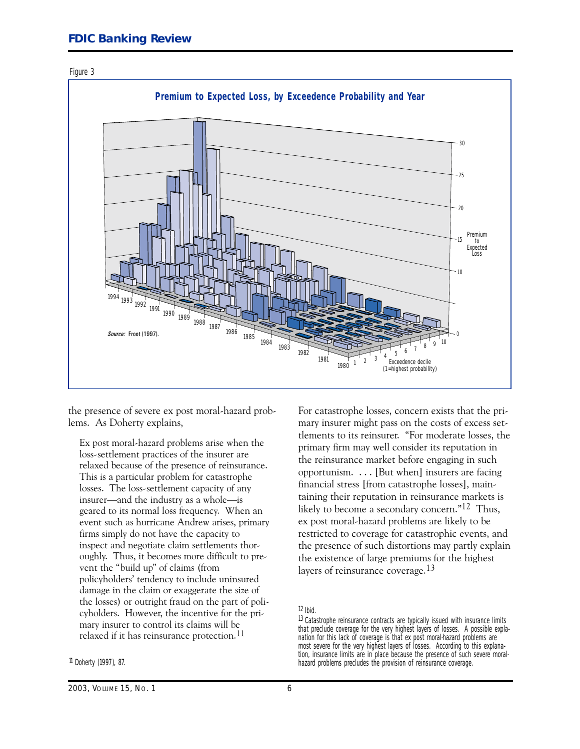<span id="page-6-0"></span>



the presence of severe ex post moral-hazard problems. As Doherty explains,

Ex post moral-hazard problems arise when the loss-settlement practices of the insurer are relaxed because of the presence of reinsurance. This is a particular problem for catastrophe losses. The loss-settlement capacity of any insurer—and the industry as a whole—is geared to its normal loss frequency. When an event such as hurricane Andrew arises, primary firms simply do not have the capacity to inspect and negotiate claim settlements thoroughly. Thus, it becomes more difficult to prevent the "build up" of claims (from policyholders' tendency to include uninsured damage in the claim or exaggerate the size of the losses) or outright fraud on the part of policyholders. However, the incentive for the primary insurer to control its claims will be relaxed if it has reinsurance protection.<sup>11</sup>

11 Doherty (1997), 87.

For catastrophe losses, concern exists that the primary insurer might pass on the costs of excess settlements to its reinsurer. "For moderate losses, the primary firm may well consider its reputation in the reinsurance market before engaging in such opportunism. . . . [But when] insurers are facing financial stress [from catastrophe losses], maintaining their reputation in reinsurance markets is likely to become a secondary concern."<sup>12</sup> Thus, ex post moral-hazard problems are likely to be restricted to coverage for catastrophic events, and the presence of such distortions may partly explain the existence of large premiums for the highest layers of reinsurance coverage.<sup>13</sup>

 $12$  Ibid.

<sup>13</sup> Catastrophe reinsurance contracts are typically issued with insurance limits that preclude coverage for the very highest layers of losses. A possible explanation for this lack of coverage is that ex post moral-hazard problems are most severe for the very highest layers of losses. According to this explanation, insurance limits are in place because the presence of such severe moralhazard problems precludes the provision of reinsurance coverage.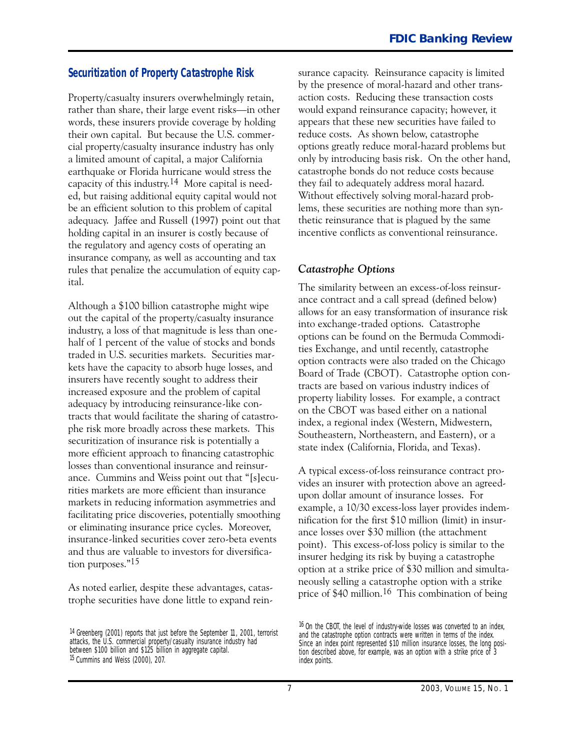#### <span id="page-7-0"></span>**Securitization of Property Catastrophe Risk**

Property/casualty insurers overwhelmingly retain, rather than share, their large event risks-in other words, these insurers provide coverage by holding their own capital. But because the U.S. commercial property/casualty insurance industry has only a limited amount of capital, a major California earthquake or Florida hurricane would stress the capacity of this industry.14 More capital is needed, but raising additional equity capital would not be an efficient solution to this problem of capital adequacy. Jaffee and Russell (1997) point out that holding capital in an insurer is costly because of the regulatory and agency costs of operating an insurance company, as well as accounting and tax rules that penalize the accumulation of equity capital.

Although a \$100 billion catastrophe might wipe out the capital of the property/casualty insurance industry, a loss of that magnitude is less than onehalf of 1 percent of the value of stocks and bonds traded in U.S. securities markets. Securities markets have the capacity to absorb huge losses, and insurers have recently sought to address their increased exposure and the problem of capital adequacy by introducing reinsurance-like contracts that would facilitate the sharing of catastrophe risk more broadly across these markets. This securitization of insurance risk is potentially a more efficient approach to financing catastrophic losses than conventional insurance and reinsurance. Cummins and Weiss point out that "[s]ecurities markets are more efficient than insurance markets in reducing information asymmetries and facilitating price discoveries, potentially smoothing or eliminating insurance price cycles. Moreover, insurance-linked securities cover zero-beta events and thus are valuable to investors for diversification purposes."15

As noted earlier, despite these advantages, catastrophe securities have done little to expand reinsurance capacity. Reinsurance capacity is limited by the presence of moral-hazard and other transaction costs. Reducing these transaction costs would expand reinsurance capacity; however, it appears that these new securities have failed to reduce costs. As shown below, catastrophe options greatly reduce moral-hazard problems but only by introducing basis risk. On the other hand, catastrophe bonds do not reduce costs because they fail to adequately address moral hazard. Without effectively solving moral-hazard problems, these securities are nothing more than synthetic reinsurance that is plagued by the same incentive conflicts as conventional reinsurance.

#### *Catastrophe Options*

The similarity between an excess-of-loss reinsurance contract and a call spread (defined below) allows for an easy transformation of insurance risk into exchange-traded options. Catastrophe options can be found on the Bermuda Commodities Exchange, and until recently, catastrophe option contracts were also traded on the Chicago Board of Trade (CBOT). Catastrophe option contracts are based on various industry indices of property liability losses. For example, a contract on the CBOT was based either on a national index, a regional index (Western, Midwestern, Southeastern, Northeastern, and Eastern), or a state index (California, Florida, and Texas).

A typical excess-of-loss reinsurance contract provides an insurer with protection above an agreedupon dollar amount of insurance losses. For example, a 10/30 excess-loss layer provides indemnification for the first \$10 million (limit) in insurance losses over \$30 million (the attachment point). This excess-of-loss policy is similar to the insurer hedging its risk by buying a catastrophe option at a strike price of \$30 million and simultaneously selling a catastrophe option with a strike price of \$40 million.16 This combination of being

<sup>&</sup>lt;sup>14</sup> Greenberg (2001) reports that just before the September 11, 2001, terrorist<br>attacks, the U.S. commercial property/casualty insurance industry had<br>between \$100 billion and \$125 billion in aggregate capital.<br>between \$10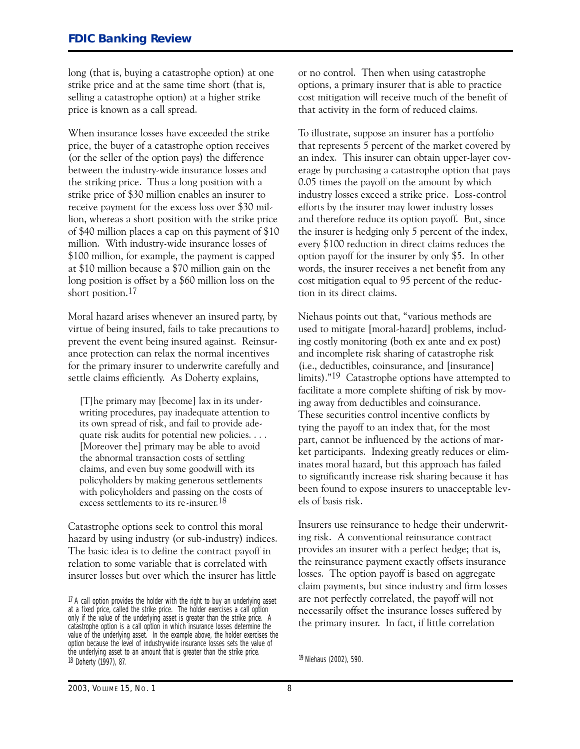<span id="page-8-0"></span>long (that is, buying a catastrophe option) at one strike price and at the same time short (that is, selling a catastrophe option) at a higher strike price is known as a call spread.

When insurance losses have exceeded the strike price, the buyer of a catastrophe option receives (or the seller of the option pays) the difference between the industry-wide insurance losses and the striking price. Thus a long position with a strike price of \$30 million enables an insurer to receive payment for the excess loss over \$30 million, whereas a short position with the strike price of \$40 million places a cap on this payment of \$10 million. With industry-wide insurance losses of \$100 million, for example, the payment is capped at \$10 million because a \$70 million gain on the long position is offset by a \$60 million loss on the short position.<sup>17</sup>

Moral hazard arises whenever an insured party, by virtue of being insured, fails to take precautions to prevent the event being insured against. Reinsurance protection can relax the normal incentives for the primary insurer to underwrite carefully and settle claims efficiently. As Doherty explains,

[T]he primary may [become] lax in its underwriting procedures, pay inadequate attention to its own spread of risk, and fail to provide adequate risk audits for potential new policies. . . . [Moreover the] primary may be able to avoid the abnormal transaction costs of settling claims, and even buy some goodwill with its policyholders by making generous settlements with policyholders and passing on the costs of excess settlements to its re-insurer.18

Catastrophe options seek to control this moral hazard by using industry (or sub-industry) indices. The basic idea is to define the contract payoff in relation to some variable that is correlated with insurer losses but over which the insurer has little

or no control. Then when using catastrophe options, a primary insurer that is able to practice cost mitigation will receive much of the benefit of that activity in the form of reduced claims.

To illustrate, suppose an insurer has a portfolio that represents 5 percent of the market covered by an index. This insurer can obtain upper-layer coverage by purchasing a catastrophe option that pays 0.05 times the payoff on the amount by which industry losses exceed a strike price. Loss-control efforts by the insurer may lower industry losses and therefore reduce its option payoff. But, since the insurer is hedging only 5 percent of the index, every \$100 reduction in direct claims reduces the option payoff for the insurer by only \$5. In other words, the insurer receives a net benefit from any cost mitigation equal to 95 percent of the reduction in its direct claims.

Niehaus points out that, "various methods are used to mitigate [moral-hazard] problems, including costly monitoring (both ex ante and ex post) and incomplete risk sharing of catastrophe risk (i.e., deductibles, coinsurance, and [insurance] limits)."<sup>19</sup> Catastrophe options have attempted to facilitate a more complete shifting of risk by moving away from deductibles and coinsurance. These securities control incentive conflicts by tying the payoff to an index that, for the most part, cannot be influenced by the actions of market participants. Indexing greatly reduces or eliminates moral hazard, but this approach has failed to significantly increase risk sharing because it has been found to expose insurers to unacceptable levels of basis risk.

 ing risk. A conventional reinsurance contract Insurers use reinsurance to hedge their underwritprovides an insurer with a perfect hedge; that is, the reinsurance payment exactly offsets insurance losses. The option payoff is based on aggregate claim payments, but since industry and firm losses are not perfectly correlated, the payoff will not necessarily offset the insurance losses suffered by the primary insurer. In fact, if little correlation

 $17$  A call option provides the holder with the right to buy an underlying asset at a fixed price, called the strike price. The holder exercises a call option only if the value of the underlying asset is greater than the strike price. A catastrophe option is a call option in which insurance losses determine the value of the underlying asset. In the example above, the holder exercises the option because the level of industry-wide insurance losses sets the value of the underlying asset to an amount that is greater than the strike price. 18 Doherty (1997), 87.

<sup>19</sup> Niehaus (2002), 590.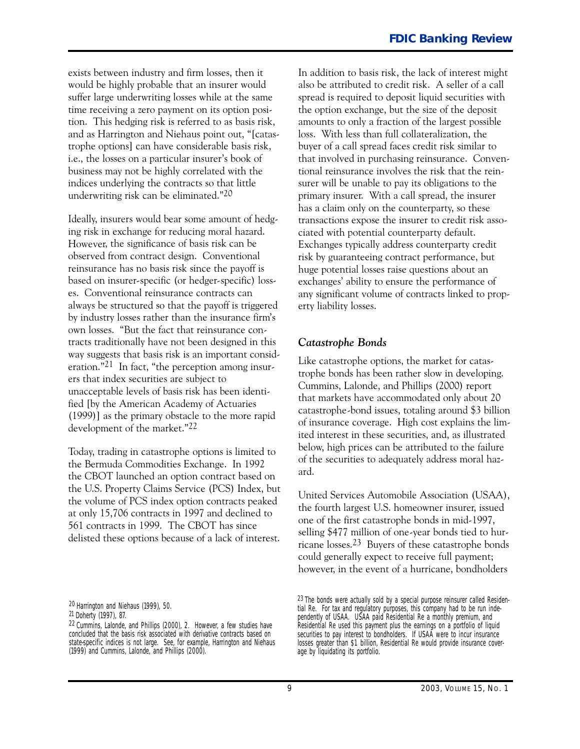<span id="page-9-0"></span>exists between industry and firm losses, then it would be highly probable that an insurer would suffer large underwriting losses while at the same time receiving a zero payment on its option position. This hedging risk is referred to as basis risk, and as Harrington and Niehaus point out, "[catastrophe options] can have considerable basis risk, i.e., the losses on a particular insurer's book of business may not be highly correlated with the indices underlying the contracts so that little underwriting risk can be eliminated."20

Ideally, insurers would bear some amount of hedging risk in exchange for reducing moral hazard. However, the significance of basis risk can be observed from contract design. Conventional reinsurance has no basis risk since the payoff is based on insurer-specific (or hedger-specific) losses. Conventional reinsurance contracts can always be structured so that the payoff is triggered by industry losses rather than the insurance firm's own losses. "But the fact that reinsurance contracts traditionally have not been designed in this way suggests that basis risk is an important consideration." $21$  In fact, "the perception among insurers that index securities are subject to unacceptable levels of basis risk has been identified [by the American Academy of Actuaries (1999)] as the primary obstacle to the more rapid development of the market."22

Today, trading in catastrophe options is limited to the Bermuda Commodities Exchange. In 1992 the CBOT launched an option contract based on the U.S. Property Claims Service (PCS) Index, but the volume of PCS index option contracts peaked at only 15,706 contracts in 1997 and declined to 561 contracts in 1999. The CBOT has since delisted these options because of a lack of interest.

 also be attributed to credit risk. A seller of a call primary insurer. With a call spread, the insurer In addition to basis risk, the lack of interest might spread is required to deposit liquid securities with the option exchange, but the size of the deposit amounts to only a fraction of the largest possible loss. With less than full collateralization, the buyer of a call spread faces credit risk similar to that involved in purchasing reinsurance. Conventional reinsurance involves the risk that the reinsurer will be unable to pay its obligations to the has a claim only on the counterparty, so these transactions expose the insurer to credit risk associated with potential counterparty default. Exchanges typically address counterparty credit risk by guaranteeing contract performance, but huge potential losses raise questions about an exchanges' ability to ensure the performance of any significant volume of contracts linked to property liability losses.

#### *Catastrophe Bonds*

Like catastrophe options, the market for catastrophe bonds has been rather slow in developing. Cummins, Lalonde, and Phillips (2000) report that markets have accommodated only about 20 catastrophe-bond issues, totaling around \$3 billion of insurance coverage. High cost explains the limited interest in these securities, and, as illustrated below, high prices can be attributed to the failure of the securities to adequately address moral hazard.

United Services Automobile Association (USAA), the fourth largest U.S. homeowner insurer, issued one of the first catastrophe bonds in mid-1997, selling \$477 million of one-year bonds tied to hurricane losses.23 Buyers of these catastrophe bonds could generally expect to receive full payment; however, in the event of a hurricane, bondholders

<sup>20</sup> Harrington and Niehaus (1999), 50.

 21 Doherty (1997), 87.

<sup>22</sup> Cummins, Lalonde, and Phillips (2000), 2. However, a few studies have concluded that the basis risk associated with derivative contracts based on state-specific indices is not large. See, for example, Harrington and Niehaus (1999) and Cummins, Lalonde, and Phillips (2000).

<sup>23</sup> The bonds were actually sold by a special purpose reinsurer called Residential Re. For tax and regulatory purposes, this company had to be run independently of USAA. USAA paid Residential Re a monthly premium, and Residential Re used this payment plus the earnings on a portfolio of liquid securities to pay interest to bondholders. If USAA were to incur insurance losses greater than \$1 billion, Residential Re would provide insurance coverage by liquidating its portfolio.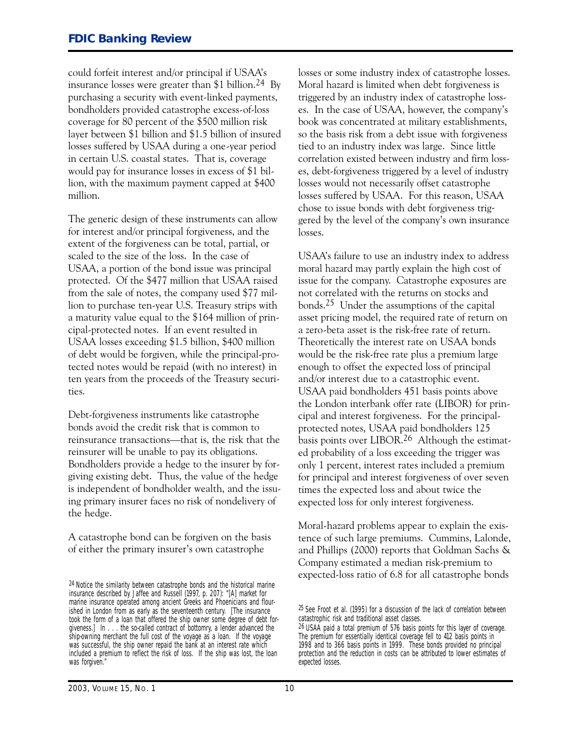could forfeit interest and/or principal if USAA's insurance losses were greater than  $$1$  billion.<sup>24</sup> By purchasing a security with event-linked payments, bondholders provided catastrophe excess-of-loss coverage for 80 percent of the \$500 million risk layer between \$1 billion and \$1.5 billion of insured losses suffered by USAA during a one-year period in certain U.S. coastal states. That is, coverage would pay for insurance losses in excess of \$1 billion, with the maximum payment capped at \$400 million.

The generic design of these instruments can allow for interest and/or principal forgiveness, and the extent of the forgiveness can be total, partial, or scaled to the size of the loss. In the case of USAA, a portion of the bond issue was principal protected. Of the \$477 million that USAA raised from the sale of notes, the company used \$77 million to purchase ten-year U.S. Treasury strips with a maturity value equal to the \$164 million of principal-protected notes. If an event resulted in USAA losses exceeding \$1.5 billion, \$400 million of debt would be forgiven, while the principal-protected notes would be repaid (with no interest) in ten years from the proceeds of the Treasury securities.

Debt-forgiveness instruments like catastrophe bonds avoid the credit risk that is common to reinsurance transactions-that is, the risk that the reinsurer will be unable to pay its obligations. Bondholders provide a hedge to the insurer by forgiving existing debt. Thus, the value of the hedge is independent of bondholder wealth, and the issuing primary insurer faces no risk of nondelivery of the hedge.

A catastrophe bond can be forgiven on the basis of either the primary insurer's own catastrophe

losses or some industry index of catastrophe losses. Moral hazard is limited when debt forgiveness is triggered by an industry index of catastrophe losses. In the case of USAA, however, the company's book was concentrated at military establishments, so the basis risk from a debt issue with forgiveness tied to an industry index was large. Since little correlation existed between industry and firm losses, debt-forgiveness triggered by a level of industry losses would not necessarily offset catastrophe losses suffered by USAA. For this reason, USAA chose to issue bonds with debt forgiveness triggered by the level of the company's own insurance losses.

USAA's failure to use an industry index to address moral hazard may partly explain the high cost of issue for the company. Catastrophe exposures are not correlated with the returns on stocks and bonds.25 Under the assumptions of the capital asset pricing model, the required rate of return on a zero-beta asset is the risk-free rate of return. Theoretically the interest rate on USAA bonds would be the risk-free rate plus a premium large enough to offset the expected loss of principal and/or interest due to a catastrophic event. USAA paid bondholders 451 basis points above the London interbank offer rate (LIBOR) for principal and interest forgiveness. For the principalprotected notes, USAA paid bondholders 125 basis points over LIBOR.<sup>26</sup> Although the estimated probability of a loss exceeding the trigger was only 1 percent, interest rates included a premium for principal and interest forgiveness of over seven times the expected loss and about twice the expected loss for only interest forgiveness.

Moral-hazard problems appear to explain the existence of such large premiums. Cummins, Lalonde, and Phillips (2000) reports that Goldman Sachs � Company estimated a median risk-premium to expected-loss ratio of 6.8 for all catastrophe bonds

<sup>24</sup> Notice the similarity between catastrophe bonds and the historical marine insurance described by Jaffee and Russell (1997, p. 207): "[A] market for marine insurance operated among ancient Greeks and Phoenicians and flourished in London from as early as the seventeenth century. [The insurance took the form of a loan that offered the ship owner some degree of debt forgiveness.] In . . . the so-called contract of bottomry, a lender advanced the ship-owning merchant the full cost of the voyage as a loan. If the voyage was successful, the ship owner repaid the bank at an interest rate which included a premium to reflect the risk of loss. If the ship was lost, the loan was forgiven."

<sup>25</sup> *See* Froot et al. (1995) for a discussion of the lack of correlation between catastrophic risk and traditional asset classes.

<sup>26</sup> USAA paid a total premium of 576 basis points for this layer of coverage. The premium for essentially identical coverage fell to 412 basis points in 1998 and to 366 basis points in 1999. These bonds provided no principal protection and the reduction in costs can be attributed to lower estimates of expected losses.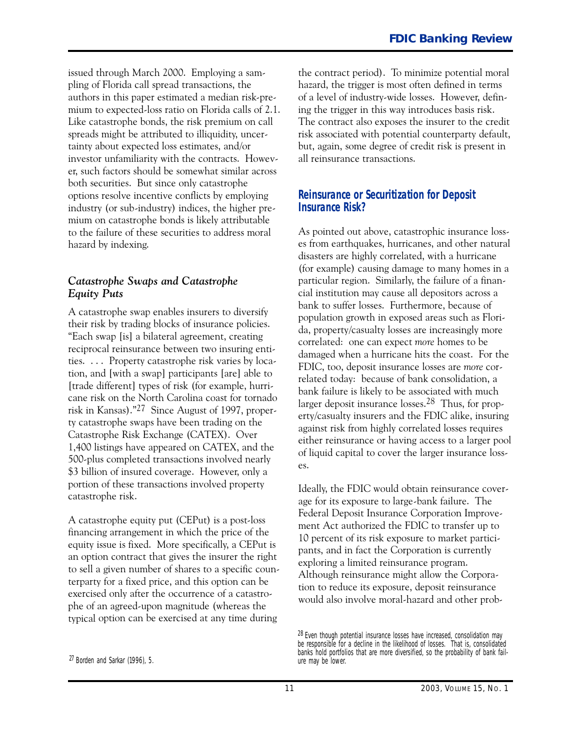<span id="page-11-0"></span>issued through March 2000. Employing a sampling of Florida call spread transactions, the authors in this paper estimated a median risk-premium to expected-loss ratio on Florida calls of 2.1. Like catastrophe bonds, the risk premium on call spreads might be attributed to illiquidity, uncertainty about expected loss estimates, and/or investor unfamiliarity with the contracts. However, such factors should be somewhat similar across both securities. But since only catastrophe options resolve incentive conflicts by employing industry (or sub-industry) indices, the higher premium on catastrophe bonds is likely attributable to the failure of these securities to address moral hazard by indexing.

#### *Catastrophe Swaps and Catastrophe Equity Puts*

 ties. . . . Property catastrophe risk varies by loca-A catastrophe swap enables insurers to diversify their risk by trading blocks of insurance policies. "Each swap [is] a bilateral agreement, creating reciprocal reinsurance between two insuring entition, and [with a swap] participants [are] able to [trade different] types of risk (for example, hurricane risk on the North Carolina coast for tornado risk in Kansas)."27 Since August of 1997, property catastrophe swaps have been trading on the Catastrophe Risk Exchange (CATEX). Over 1,400 listings have appeared on CATEX, and the 500-plus completed transactions involved nearly \$3 billion of insured coverage. However, only a portion of these transactions involved property catastrophe risk.

A catastrophe equity put (CEPut) is a post-loss financing arrangement in which the price of the equity issue is fixed. More specifically, a CEPut is an option contract that gives the insurer the right to sell a given number of shares to a specific counterparty for a fixed price, and this option can be exercised only after the occurrence of a catastrophe of an agreed-upon magnitude (whereas the typical option can be exercised at any time during

27 Borden and Sarkar (1996), 5.

the contract period). To minimize potential moral hazard, the trigger is most often defined in terms of a level of industry-wide losses. However, defining the trigger in this way introduces basis risk. The contract also exposes the insurer to the credit risk associated with potential counterparty default, but, again, some degree of credit risk is present in all reinsurance transactions.

#### **Reinsurance or Securitization for Deposit Insurance Risk?**

As pointed out above, catastrophic insurance losses from earthquakes, hurricanes, and other natural disasters are highly correlated, with a hurricane (for example) causing damage to many homes in a particular region. Similarly, the failure of a financial institution may cause all depositors across a bank to suffer losses. Furthermore, because of population growth in exposed areas such as Florida, property/casualty losses are increasingly more correlated: one can expect *more* homes to be damaged when a hurricane hits the coast. For the FDIC, too, deposit insurance losses are *more* correlated today: because of bank consolidation, a bank failure is likely to be associated with much larger deposit insurance losses.<sup>28</sup> Thus, for property/casualty insurers and the FDIC alike, insuring against risk from highly correlated losses requires either reinsurance or having access to a larger pool of liquid capital to cover the larger insurance losses.

Ideally, the FDIC would obtain reinsurance coverage for its exposure to large-bank failure. The Federal Deposit Insurance Corporation Improvement Act authorized the FDIC to transfer up to 10 percent of its risk exposure to market participants, and in fact the Corporation is currently exploring a limited reinsurance program. Although reinsurance might allow the Corporation to reduce its exposure, deposit reinsurance would also involve moral-hazard and other prob-

<sup>&</sup>lt;sup>28</sup> Even though potential insurance losses have increased, consolidation may be responsible for a decline in the likelihood of losses. That is, consolidated banks hold portfolios that are more diversified, so the probability of bank failure may be lower.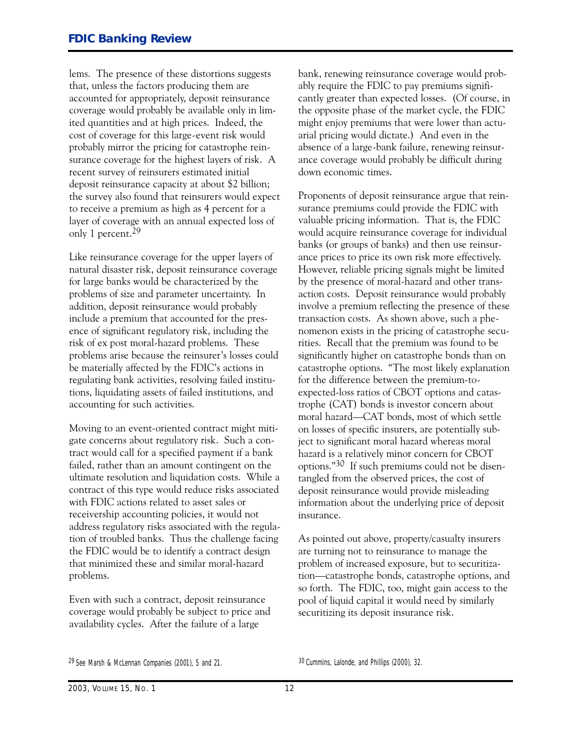lems. The presence of these distortions suggests that, unless the factors producing them are accounted for appropriately, deposit reinsurance coverage would probably be available only in limited quantities and at high prices. Indeed, the cost of coverage for this large-event risk would probably mirror the pricing for catastrophe reinsurance coverage for the highest layers of risk. A recent survey of reinsurers estimated initial deposit reinsurance capacity at about \$2 billion; the survey also found that reinsurers would expect to receive a premium as high as 4 percent for a layer of coverage with an annual expected loss of only 1 percent.29

Like reinsurance coverage for the upper layers of natural disaster risk, deposit reinsurance coverage for large banks would be characterized by the problems of size and parameter uncertainty. In addition, deposit reinsurance would probably include a premium that accounted for the presence of significant regulatory risk, including the risk of ex post moral-hazard problems. These problems arise because the reinsurer's losses could be materially affected by the FDIC's actions in regulating bank activities, resolving failed institutions, liquidating assets of failed institutions, and accounting for such activities.

Moving to an event-oriented contract might mitigate concerns about regulatory risk. Such a contract would call for a specified payment if a bank failed, rather than an amount contingent on the ultimate resolution and liquidation costs. While a contract of this type would reduce risks associated with FDIC actions related to asset sales or receivership accounting policies, it would not address regulatory risks associated with the regulation of troubled banks. Thus the challenge facing the FDIC would be to identify a contract design that minimized these and similar moral-hazard problems.

Even with such a contract, deposit reinsurance coverage would probably be subject to price and availability cycles. After the failure of a large

bank, renewing reinsurance coverage would probably require the FDIC to pay premiums significantly greater than expected losses. (Of course, in the opposite phase of the market cycle, the FDIC might enjoy premiums that were lower than actuarial pricing would dictate.) And even in the absence of a large-bank failure, renewing reinsurance coverage would probably be difficult during down economic times.

Proponents of deposit reinsurance argue that reinsurance premiums could provide the FDIC with valuable pricing information. That is, the FDIC would acquire reinsurance coverage for individual banks (or groups of banks) and then use reinsurance prices to price its own risk more effectively. However, reliable pricing signals might be limited by the presence of moral-hazard and other transaction costs. Deposit reinsurance would probably involve a premium reflecting the presence of these transaction costs. As shown above, such a phenomenon exists in the pricing of catastrophe securities. Recall that the premium was found to be significantly higher on catastrophe bonds than on catastrophe options. "The most likely explanation for the difference between the premium-toexpected-loss ratios of CBOT options and catastrophe (CAT) bonds is investor concern about moral hazard-CAT bonds, most of which settle on losses of specific insurers, are potentially subject to significant moral hazard whereas moral hazard is a relatively minor concern for CBOT options."30 If such premiums could not be disentangled from the observed prices, the cost of deposit reinsurance would provide misleading information about the underlying price of deposit insurance.

As pointed out above, property/casualty insurers are turning not to reinsurance to manage the problem of increased exposure, but to securitization-catastrophe bonds, catastrophe options, and so forth. The FDIC, too, might gain access to the pool of liquid capital it would need by similarly securitizing its deposit insurance risk.

30 Cummins, Lalonde, and Phillips (2000), 32.

<sup>29</sup> *See* Marsh & McLennan Companies (2001), 5 and 21.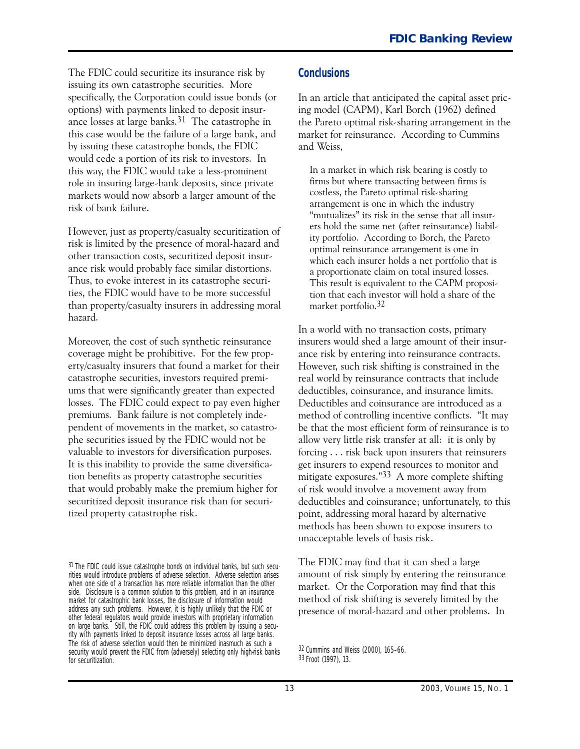<span id="page-13-0"></span>The FDIC could securitize its insurance risk by issuing its own catastrophe securities. More specifically, the Corporation could issue bonds (or options) with payments linked to deposit insurance losses at large banks.31 The catastrophe in this case would be the failure of a large bank, and by issuing these catastrophe bonds, the FDIC would cede a portion of its risk to investors. In this way, the FDIC would take a less-prominent role in insuring large-bank deposits, since private markets would now absorb a larger amount of the risk of bank failure.

However, just as property/casualty securitization of risk is limited by the presence of moral-hazard and other transaction costs, securitized deposit insurance risk would probably face similar distortions. Thus, to evoke interest in its catastrophe securities, the FDIC would have to be more successful than property/casualty insurers in addressing moral hazard.

Moreover, the cost of such synthetic reinsurance coverage might be prohibitive. For the few property/casualty insurers that found a market for their catastrophe securities, investors required premiums that were significantly greater than expected losses. The FDIC could expect to pay even higher premiums. Bank failure is not completely independent of movements in the market, so catastrophe securities issued by the FDIC would not be valuable to investors for diversification purposes. It is this inability to provide the same diversification benefits as property catastrophe securities that would probably make the premium higher for securitized deposit insurance risk than for securitized property catastrophe risk.

31 The FDIC could issue catastrophe bonds on individual banks, but such securities would introduce problems of adverse selection. Adverse selection arises when one side of a transaction has more reliable information than the other side. Disclosure is a common solution to this problem, and in an insurance market for catastrophic bank losses, the disclosure of information would address any such problems. However, it is highly unlikely that the FDIC or other federal regulators would provide investors with proprietary information on large banks. Still, the FDIC could address this problem by issuing a security with payments linked to deposit insurance losses across *all* large banks. The risk of adverse selection would then be minimized inasmuch as such a security would prevent the FDIC from (adversely) selecting only high-risk banks for securitization.

#### **Conclusions**

In an article that anticipated the capital asset pricing model (CAPM), Karl Borch (1962) defined the Pareto optimal risk-sharing arrangement in the market for reinsurance. According to Cummins and Weiss,

In a market in which risk bearing is costly to firms but where transacting between firms is costless, the Pareto optimal risk-sharing arrangement is one in which the industry "mutualizes" its risk in the sense that all insurers hold the same net (after reinsurance) liability portfolio. According to Borch, the Pareto optimal reinsurance arrangement is one in which each insurer holds a net portfolio that is a proportionate claim on total insured losses. This result is equivalent to the CAPM proposition that each investor will hold a share of the market portfolio.32

In a world with no transaction costs, primary insurers would shed a large amount of their insurance risk by entering into reinsurance contracts. However, such risk shifting is constrained in the real world by reinsurance contracts that include deductibles, coinsurance, and insurance limits. Deductibles and coinsurance are introduced as a method of controlling incentive conflicts. "It may be that the most efficient form of reinsurance is to allow very little risk transfer at all: it is only by forcing . . . risk back upon insurers that reinsurers get insurers to expend resources to monitor and mitigate exposures."33 A more complete shifting of risk would involve a movement away from deductibles and coinsurance; unfortunately, to this point, addressing moral hazard by alternative methods has been shown to expose insurers to unacceptable levels of basis risk.

The FDIC may find that it can shed a large amount of risk simply by entering the reinsurance market. Or the Corporation may find that this method of risk shifting is severely limited by the presence of moral-hazard and other problems. In

 33 Froot (1997), 13. 32 Cummins and Weiss (2000), 165–66.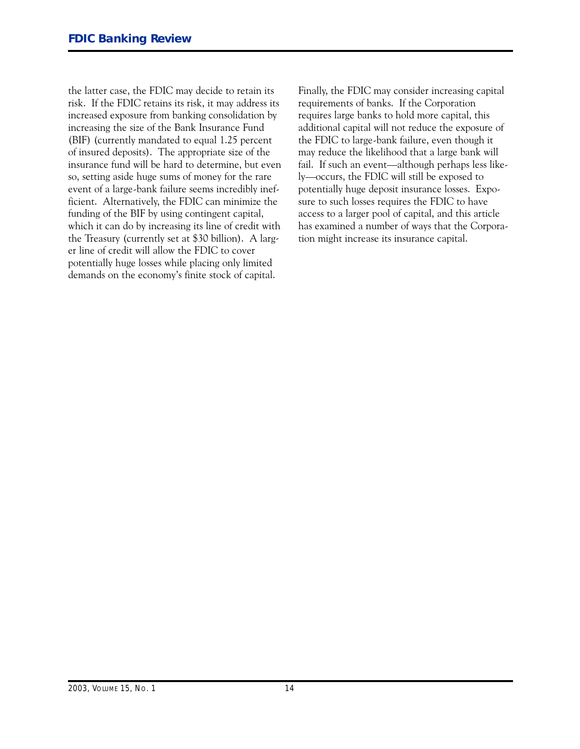the Treasury (currently set at \$30 billion). A largthe latter case, the FDIC may decide to retain its risk. If the FDIC retains its risk, it may address its increased exposure from banking consolidation by increasing the size of the Bank Insurance Fund (BIF) (currently mandated to equal 1.25 percent of insured deposits). The appropriate size of the insurance fund will be hard to determine, but even so, setting aside huge sums of money for the rare event of a large-bank failure seems incredibly inefficient. Alternatively, the FDIC can minimize the funding of the BIF by using contingent capital, which it can do by increasing its line of credit with er line of credit will allow the FDIC to cover potentially huge losses while placing only limited demands on the economy's finite stock of capital.

Finally, the FDIC may consider increasing capital requirements of banks. If the Corporation requires large banks to hold more capital, this additional capital will not reduce the exposure of the FDIC to large-bank failure, even though it may reduce the likelihood that a large bank will fail. If such an event—although perhaps less likely-occurs, the FDIC will still be exposed to potentially huge deposit insurance losses. Exposure to such losses requires the FDIC to have access to a larger pool of capital, and this article has examined a number of ways that the Corporation might increase its insurance capital.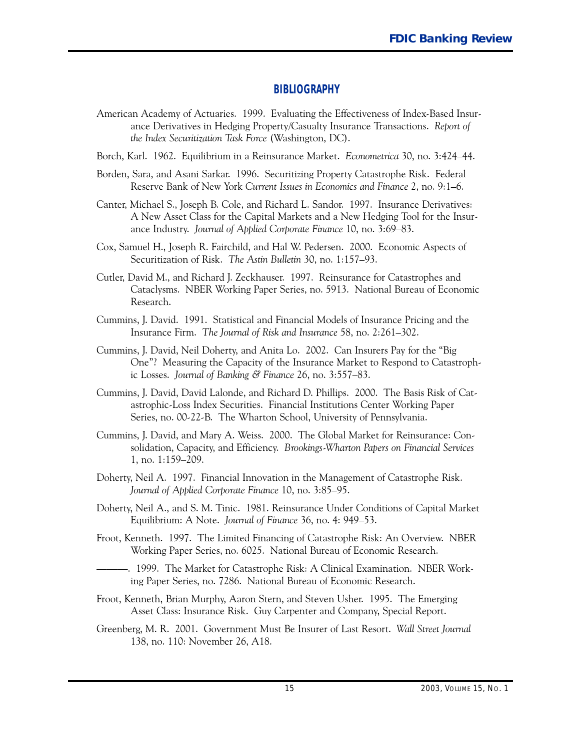#### **BIBLIOGRAPHY**

- <span id="page-15-0"></span> American Academy of Actuaries. 1999. Evaluating the Effectiveness of Index-Based Insurance Derivatives in Hedging Property/Casualty Insurance Transactions. *Report of the Index Securitization Task Force* (Washington, DC).
- Borch, Karl. 1962. Equilibrium in a Reinsurance Market. *Econometrica* 30, no. 3:424-44.
- Borden, Sara, and Asani Sarkar. 1996. Securitizing Property Catastrophe Risk. Federal Reserve Bank of New York *Current Issues in Economics and Finance* 2, no. 9:1-6.
- Canter, Michael S., Joseph B. Cole, and Richard L. Sandor. 1997. Insurance Derivatives: A New Asset Class for the Capital Markets and a New Hedging Tool for the Insurance Industry. *Journal of Applied Corporate Finance* 10, no. 3:69-83.
- Cox, Samuel H., Joseph R. Fairchild, and Hal W. Pedersen. 2000. Economic Aspects of Securitization of Risk. *The Astin Bulletin* 30, no. 1:157-93.
- Cutler, David M., and Richard J. Zeckhauser. 1997. Reinsurance for Catastrophes and Cataclysms. NBER Working Paper Series, no. 5913. National Bureau of Economic Research.
- Cummins, J. David. 1991. Statistical and Financial Models of Insurance Pricing and the Insurance Firm. *The Journal of Risk and Insurance* 58, no. 2:261-302.
- Cummins, J. David, Neil Doherty, and Anita Lo. 2002. Can Insurers Pay for the "Big One"? Measuring the Capacity of the Insurance Market to Respond to Catastrophic Losses. *Journal of Banking & Finance* 26, no. 3:557-83.
- Cummins, J. David, David Lalonde, and Richard D. Phillips. 2000. The Basis Risk of Catastrophic-Loss Index Securities. Financial Institutions Center Working Paper Series, no. 00-22-B. The Wharton School, University of Pennsylvania.
- Cummins, J. David, and Mary A. Weiss. 2000. The Global Market for Reinsurance: Consolidation, Capacity, and Efficiency. *Brookings-Wharton Papers on Financial Services* 1, no. 1:159-209.
- Doherty, Neil A. 1997. Financial Innovation in the Management of Catastrophe Risk. *Journal of Applied Corporate Finance* 10, no. 3:85-95.
- Doherty, Neil A., and S. M. Tinic. 1981. Reinsurance Under Conditions of Capital Market Equilibrium: A Note. *Journal of Finance* 36, no. 4: 949-53.
- Froot, Kenneth. 1997. The Limited Financing of Catastrophe Risk: An Overview. NBER Working Paper Series, no. 6025. National Bureau of Economic Research.
- ------------. 1999. The Market for Catastrophe Risk: A Clinical Examination. NBER Working Paper Series, no. 7286. National Bureau of Economic Research.
- Froot, Kenneth, Brian Murphy, Aaron Stern, and Steven Usher. 1995. The Emerging Asset Class: Insurance Risk. Guy Carpenter and Company, Special Report.
- Greenberg, M. R. 2001. Government Must Be Insurer of Last Resort. *Wall Street Journal* 138, no. 110: November 26, A18.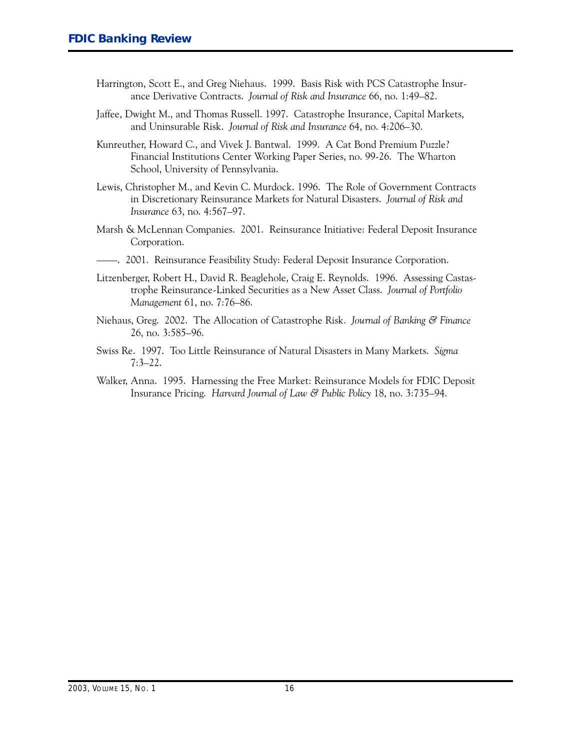- Harrington, Scott E., and Greg Niehaus. 1999. Basis Risk with PCS Catastrophe Insurance Derivative Contracts. *Journal of Risk and Insurance* 66, no. 1:49-82.
- Jaffee, Dwight M., and Thomas Russell. 1997. Catastrophe Insurance, Capital Markets, and Uninsurable Risk. *Journal of Risk and Insurance* 64, no. 4:206-30.
- Kunreuther, Howard C., and �ivek J. Bantwal. 1999. A Cat Bond Premium Puzzle? Financial Institutions Center Working Paper Series, no. 99-26. The Wharton School, University of Pennsylvania.
- Lewis, Christopher M., and Kevin C. Murdock. 1996. The Role of Government Contracts in Discretionary Reinsurance Markets for Natural Disasters. *Journal of Risk and Insurance* 63, no. 4:567-97.
- Marsh � McLennan Companies. 2001. Reinsurance Initiative: Federal Deposit Insurance Corporation.
- --. 2001. Reinsurance Feasibility Study: Federal Deposit Insurance Corporation.
- Litzenberger, Robert H., David R. Beaglehole, Craig E. Reynolds. 1996. Assessing Castastrophe Reinsurance-Linked Securities as a New Asset Class. *Journal of Portfolio Management* 61, no. 7:76-86.
- Niehaus, Greg. 2002. The Allocation of Catastrophe Risk. *Journal of Banking & Finance* 26, no. 3:585-96.
- Swiss Re. 1997. Too Little Reinsurance of Natural Disasters in Many Markets. *Sigma* 7:3-22.
- Walker, Anna. 1995. Harnessing the Free Market: Reinsurance Models for FDIC Deposit Insurance Pricing. *�arvard Journal of Law & Public Policy* 18, no. 3:735-94.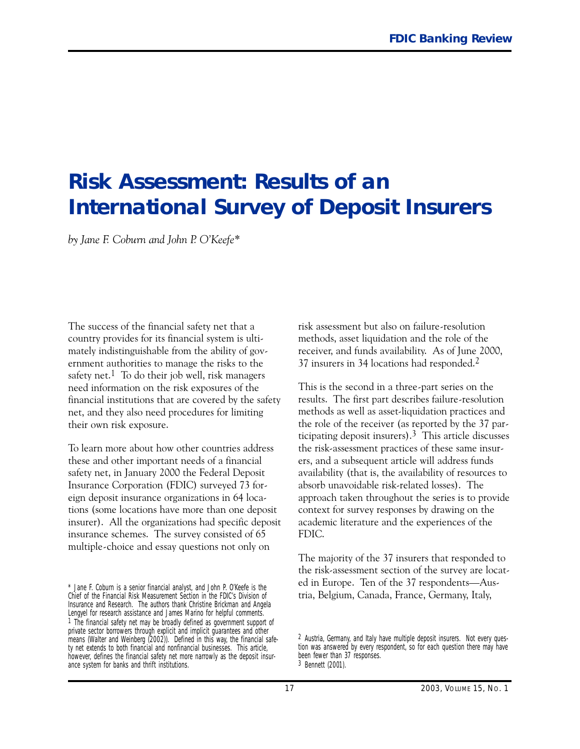## <span id="page-17-0"></span>**Risk Assessment: Results of an International Survey of Deposit Insurers**

*by Jane E. Coburn and John P. O'Keefe\**

The success of the financial safety net that a country provides for its financial system is ultimately indistinguishable from the ability of government authorities to manage the risks to the safety net.<sup>1</sup> To do their job well, risk managers need information on the risk exposures of the financial institutions that are covered by the safety net, and they also need procedures for limiting their own risk exposure.

To learn more about how other countries address these and other important needs of a financial safety net, in January 2000 the Federal Deposit Insurance Corporation (FDIC) surveyed 73 foreign deposit insurance organizations in 64 locations (some locations have more than one deposit insurer). All the organizations had specific deposit insurance schemes. The survey consisted of 65 multiple-choice and essay questions not only on

risk assessment but also on failure-resolution methods, asset liquidation and the role of the receiver, and funds availability. As of June 2000, 37 insurers in 34 locations had responded.2

This is the second in a three-part series on the results. The first part describes failure-resolution methods as well as asset-liquidation practices and the role of the receiver (as reported by the 37 participating deposit insurers).<sup>3</sup> This article discusses the risk-assessment practices of these same insurers, and a subsequent article will address funds availability (that is, the availability of resources to absorb unavoidable risk-related losses). The approach taken throughout the series is to provide context for survey responses by drawing on the academic literature and the experiences of the FDIC.

The majority of the 37 insurers that responded to the risk-assessment section of the survey are located in Europe. Ten of the 37 respondents-Austria, Belgium, Canada, France, Germany, Italy,

<sup>\*</sup> Jane F. Coburn is a senior financial analyst, and John P. O'Keefe is the Chief of the Financial Risk Measurement Section in the FDIC's Division of Insurance and Research. The authors thank Christine Brickman and Angela Lengyel for research assistance and James Marino for helpful comments. 1 The financial safety net may be broadly defined as government support of private sector borrowers through explicit and implicit guarantees and other means (Walter and Weinberg (2002)). Defined in this way, the financial safety net extends to both financial and nonfinancial businesses. This article, however, defines the financial safety net more narrowly as the deposit insurance system for banks and thrift institutions.

<sup>2</sup> Austria, Germany, and Italy have multiple deposit insurers. Not every question was answered by every respondent, so for each question there may have been fewer than 37 responses. 3 Bennett (2001).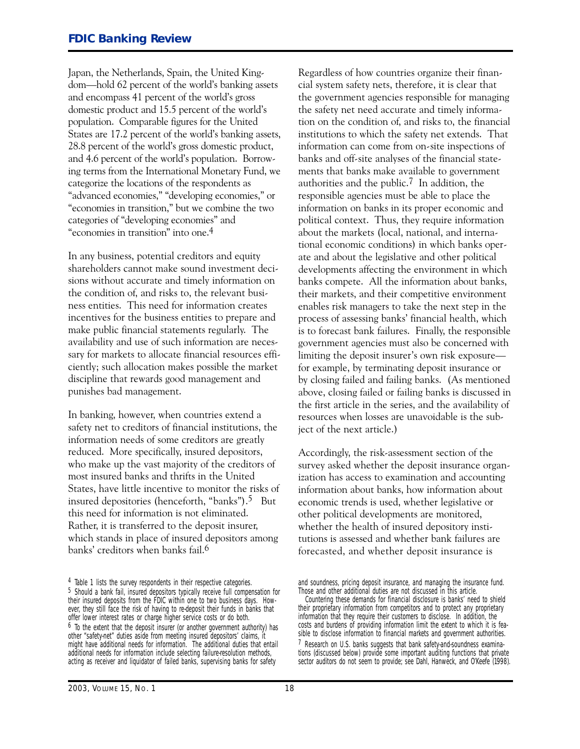Japan, the Netherlands, Spain, the United Kingdom-hold 62 percent of the world's banking assets and encompass 41 percent of the world's gross domestic product and 15.5 percent of the world's population. Comparable figures for the United States are 17.2 percent of the world's banking assets, 28.8 percent of the world's gross domestic product, and 4.6 percent of the world's population. Borrowing terms from the International Monetary Fund, we categorize the locations of the respondents as "advanced economies," "developing economies," or "economies in transition," but we combine the two categories of "developing economies" and "economies in transition" into one.4

In any business, potential creditors and equity shareholders cannot make sound investment decisions without accurate and timely information on the condition of, and risks to, the relevant business entities. This need for information creates incentives for the business entities to prepare and make public financial statements regularly. The availability and use of such information are necessary for markets to allocate financial resources efficiently; such allocation makes possible the market discipline that rewards good management and punishes bad management.

In banking, however, when countries extend a safety net to creditors of financial institutions, the information needs of some creditors are greatly reduced. More specifically, insured depositors, who make up the vast majority of the creditors of most insured banks and thrifts in the United States, have little incentive to monitor the risks of insured depositories (henceforth, "banks").5 But this need for information is not eliminated. Rather, it is transferred to the deposit insurer, which stands in place of insured depositors among banks' creditors when banks fail.6

Regardless of how countries organize their financial system safety nets, therefore, it is clear that the government agencies responsible for managing the safety net need accurate and timely information on the condition of, and risks to, the financial institutions to which the safety net extends. That information can come from on-site inspections of banks and off-site analyses of the financial statements that banks make available to government authorities and the public.7 In addition, the responsible agencies must be able to place the information on banks in its proper economic and political context. Thus, they require information about the markets (local, national, and international economic conditions) in which banks operate and about the legislative and other political developments affecting the environment in which banks compete. All the information about banks, their markets, and their competitive environment enables risk managers to take the next step in the process of assessing banks' financial health, which is to forecast bank failures. Finally, the responsible government agencies must also be concerned with limiting the deposit insurer's own risk exposure for example, by terminating deposit insurance or by closing failed and failing banks. (As mentioned above, closing failed or failing banks is discussed in the first article in the series, and the availability of resources when losses are unavoidable is the subject of the next article.)

Accordingly, the risk-assessment section of the survey asked whether the deposit insurance organization has access to examination and accounting information about banks, how information about economic trends is used, whether legislative or other political developments are monitored, whether the health of insured depository institutions is assessed and whether bank failures are forecasted, and whether deposit insurance is

<sup>4</sup> Table 1 lists the survey respondents in their respective categories. 5 Should a bank fail, insured depositors typically receive full compensation for their insured deposits from the FDIC within one to two business days. However, they still face the risk of having to re-deposit their funds in banks that offer lower interest rates or charge higher service costs or do both. 6 To the extent that the deposit insurer (or another government authority) has other "safety-net" duties aside from meeting insured depositors' claims, it might have additional needs for information. The additional duties that entail additional needs for information include selecting failure-resolution methods, acting as receiver and liquidator of failed banks, supervising banks for safety

and soundness, pricing deposit insurance, and managing the insurance fund. Those and other additional duties are not discussed in this article.

Countering these demands for financial disclosure is banks' need to shield their proprietary information from competitors and to protect any proprietary information that they require their customers to disclose. In addition, the costs and burdens of providing information limit the extent to which it is feasible to disclose information to financial markets and government authorities. 7 Research on U.S. banks suggests that bank safety-and-soundness examinations (discussed below) provide some important auditing functions that private sector auditors do not seem to provide; see Dahl, Hanweck, and O'Keefe (1998).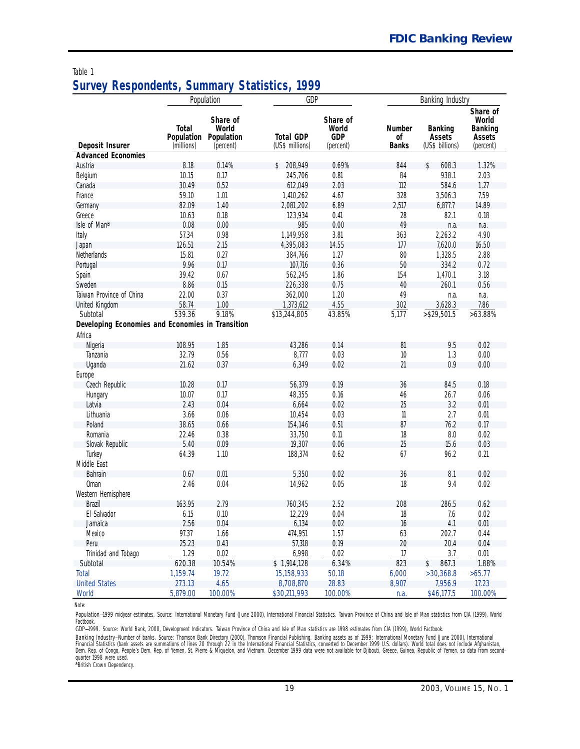#### Table 1 **Survey Respondents, Summary Statistics, 1999**

|                                                                                                                                                                                                                                                                                                                                        |                                                                                                                                                                  | Population                                                                                                                                                 | GDP                                                                                                                                                                                                                                     |                                                                                                                                                            |                                                                                                                              | Banking Industry                                                                                                                                                    |                                                                                                                                                             |
|----------------------------------------------------------------------------------------------------------------------------------------------------------------------------------------------------------------------------------------------------------------------------------------------------------------------------------------|------------------------------------------------------------------------------------------------------------------------------------------------------------------|------------------------------------------------------------------------------------------------------------------------------------------------------------|-----------------------------------------------------------------------------------------------------------------------------------------------------------------------------------------------------------------------------------------|------------------------------------------------------------------------------------------------------------------------------------------------------------|------------------------------------------------------------------------------------------------------------------------------|---------------------------------------------------------------------------------------------------------------------------------------------------------------------|-------------------------------------------------------------------------------------------------------------------------------------------------------------|
|                                                                                                                                                                                                                                                                                                                                        | <b>Total</b><br>Population                                                                                                                                       | Share of<br>World<br>Population                                                                                                                            | <b>Total GDP</b>                                                                                                                                                                                                                        | Share of<br>World<br><b>GDP</b>                                                                                                                            | Number<br>оf                                                                                                                 | <b>Banking</b><br>Assets                                                                                                                                            | Share of<br>World<br><b>Banking</b><br>Assets                                                                                                               |
| Deposit Insurer<br><b>Advanced Economies</b>                                                                                                                                                                                                                                                                                           | (millions)                                                                                                                                                       | (percent)                                                                                                                                                  | (US\$ millions)                                                                                                                                                                                                                         | (percent)                                                                                                                                                  | <b>Banks</b>                                                                                                                 | (US\$ billions)                                                                                                                                                     | (percent)                                                                                                                                                   |
|                                                                                                                                                                                                                                                                                                                                        |                                                                                                                                                                  |                                                                                                                                                            |                                                                                                                                                                                                                                         |                                                                                                                                                            |                                                                                                                              | \$                                                                                                                                                                  |                                                                                                                                                             |
| Austria                                                                                                                                                                                                                                                                                                                                | 8.18                                                                                                                                                             | 0.14%<br>0.17                                                                                                                                              | \$ 208,949                                                                                                                                                                                                                              | 0.69%<br>0.81                                                                                                                                              | 844                                                                                                                          | 608.3<br>938.1                                                                                                                                                      | 1.32%<br>2.03                                                                                                                                               |
| Belgium                                                                                                                                                                                                                                                                                                                                | 10.15<br>30.49                                                                                                                                                   | 0.52                                                                                                                                                       | 245,706                                                                                                                                                                                                                                 | 2.03                                                                                                                                                       | 84<br>112                                                                                                                    | 584.6                                                                                                                                                               | 1.27                                                                                                                                                        |
| Canada                                                                                                                                                                                                                                                                                                                                 | 59.10                                                                                                                                                            |                                                                                                                                                            | 612,049<br>1,410,262                                                                                                                                                                                                                    |                                                                                                                                                            |                                                                                                                              |                                                                                                                                                                     |                                                                                                                                                             |
| France                                                                                                                                                                                                                                                                                                                                 |                                                                                                                                                                  | 1.01                                                                                                                                                       |                                                                                                                                                                                                                                         | 4.67                                                                                                                                                       | 328                                                                                                                          | 3,506.3                                                                                                                                                             | 7.59                                                                                                                                                        |
| Germany                                                                                                                                                                                                                                                                                                                                | 82.09                                                                                                                                                            | 1.40                                                                                                                                                       | 2,081,202                                                                                                                                                                                                                               | 6.89                                                                                                                                                       | 2,517                                                                                                                        | 6,877.7                                                                                                                                                             | 14.89                                                                                                                                                       |
| Greece                                                                                                                                                                                                                                                                                                                                 | 10.63                                                                                                                                                            | 0.18                                                                                                                                                       | 123,934                                                                                                                                                                                                                                 | 0.41                                                                                                                                                       | 28                                                                                                                           | 82.1                                                                                                                                                                | 0.18                                                                                                                                                        |
| Isle of Mana                                                                                                                                                                                                                                                                                                                           | 0.08                                                                                                                                                             | 0.00                                                                                                                                                       | 985                                                                                                                                                                                                                                     | 0.00                                                                                                                                                       | 49                                                                                                                           | n.a.                                                                                                                                                                | n.a.                                                                                                                                                        |
| Italy                                                                                                                                                                                                                                                                                                                                  | 57.34                                                                                                                                                            | 0.98                                                                                                                                                       | 1,149,958                                                                                                                                                                                                                               | 3.81                                                                                                                                                       | 363                                                                                                                          | 2,263.2                                                                                                                                                             | 4.90                                                                                                                                                        |
| Japan                                                                                                                                                                                                                                                                                                                                  | 126.51                                                                                                                                                           | 2.15                                                                                                                                                       | 4,395,083                                                                                                                                                                                                                               | 14.55                                                                                                                                                      | 177                                                                                                                          | 7,620.0                                                                                                                                                             | 16.50                                                                                                                                                       |
| Netherlands                                                                                                                                                                                                                                                                                                                            | 15.81                                                                                                                                                            | 0.27                                                                                                                                                       | 384,766                                                                                                                                                                                                                                 | 1.27                                                                                                                                                       | 80                                                                                                                           | 1,328.5                                                                                                                                                             | 2.88                                                                                                                                                        |
| Portugal                                                                                                                                                                                                                                                                                                                               | 9.96                                                                                                                                                             | 0.17                                                                                                                                                       | 107,716                                                                                                                                                                                                                                 | 0.36                                                                                                                                                       | 50                                                                                                                           | 334.2                                                                                                                                                               | 0.72                                                                                                                                                        |
| Spain                                                                                                                                                                                                                                                                                                                                  | 39.42                                                                                                                                                            | 0.67                                                                                                                                                       | 562,245                                                                                                                                                                                                                                 | 1.86                                                                                                                                                       | 154                                                                                                                          | 1,470.1                                                                                                                                                             | 3.18                                                                                                                                                        |
| Sweden                                                                                                                                                                                                                                                                                                                                 | 8.86                                                                                                                                                             | 0.15                                                                                                                                                       | 226,338                                                                                                                                                                                                                                 | 0.75                                                                                                                                                       | 40                                                                                                                           | 260.1                                                                                                                                                               | 0.56                                                                                                                                                        |
| Taiwan Province of China                                                                                                                                                                                                                                                                                                               | 22.00                                                                                                                                                            | 0.37                                                                                                                                                       | 362,000                                                                                                                                                                                                                                 | 1.20                                                                                                                                                       | 49                                                                                                                           | n.a.                                                                                                                                                                | n.a.                                                                                                                                                        |
| United Kingdom                                                                                                                                                                                                                                                                                                                         | 58.74                                                                                                                                                            | 1.00                                                                                                                                                       | 1,373,612                                                                                                                                                                                                                               | 4.55                                                                                                                                                       | 302                                                                                                                          | 3,628.3                                                                                                                                                             | 7.86                                                                                                                                                        |
| Subtotal                                                                                                                                                                                                                                                                                                                               | 539.36                                                                                                                                                           | 9.18%                                                                                                                                                      | \$13,244,805                                                                                                                                                                                                                            | 43.85%                                                                                                                                                     | 5,177                                                                                                                        | $>$ \$29,501.5                                                                                                                                                      | $>63.88\%$                                                                                                                                                  |
| Developing Economies and Economies in Transition                                                                                                                                                                                                                                                                                       |                                                                                                                                                                  |                                                                                                                                                            |                                                                                                                                                                                                                                         |                                                                                                                                                            |                                                                                                                              |                                                                                                                                                                     |                                                                                                                                                             |
| Africa                                                                                                                                                                                                                                                                                                                                 |                                                                                                                                                                  |                                                                                                                                                            |                                                                                                                                                                                                                                         |                                                                                                                                                            |                                                                                                                              |                                                                                                                                                                     |                                                                                                                                                             |
| Nigeria                                                                                                                                                                                                                                                                                                                                | 108.95                                                                                                                                                           |                                                                                                                                                            | 43,286                                                                                                                                                                                                                                  | 0.14                                                                                                                                                       | 81                                                                                                                           | 9.5                                                                                                                                                                 | 0.02                                                                                                                                                        |
| Tanzania                                                                                                                                                                                                                                                                                                                               | 32.79                                                                                                                                                            | 0.56                                                                                                                                                       | 8,777                                                                                                                                                                                                                                   | 0.03                                                                                                                                                       | 10                                                                                                                           | 1.3                                                                                                                                                                 | 0.00                                                                                                                                                        |
|                                                                                                                                                                                                                                                                                                                                        | 21.62                                                                                                                                                            | 0.37                                                                                                                                                       | 6,349                                                                                                                                                                                                                                   | 0.02                                                                                                                                                       | 21                                                                                                                           | 0.9                                                                                                                                                                 | 0.00                                                                                                                                                        |
|                                                                                                                                                                                                                                                                                                                                        |                                                                                                                                                                  |                                                                                                                                                            |                                                                                                                                                                                                                                         |                                                                                                                                                            |                                                                                                                              |                                                                                                                                                                     |                                                                                                                                                             |
|                                                                                                                                                                                                                                                                                                                                        |                                                                                                                                                                  | 0.17                                                                                                                                                       |                                                                                                                                                                                                                                         | 0.19                                                                                                                                                       | 36                                                                                                                           | 84.5                                                                                                                                                                |                                                                                                                                                             |
|                                                                                                                                                                                                                                                                                                                                        | 10.07                                                                                                                                                            | 0.17                                                                                                                                                       |                                                                                                                                                                                                                                         |                                                                                                                                                            |                                                                                                                              |                                                                                                                                                                     | 0.06                                                                                                                                                        |
|                                                                                                                                                                                                                                                                                                                                        | 2.43                                                                                                                                                             |                                                                                                                                                            |                                                                                                                                                                                                                                         |                                                                                                                                                            |                                                                                                                              |                                                                                                                                                                     |                                                                                                                                                             |
|                                                                                                                                                                                                                                                                                                                                        |                                                                                                                                                                  |                                                                                                                                                            |                                                                                                                                                                                                                                         |                                                                                                                                                            |                                                                                                                              |                                                                                                                                                                     |                                                                                                                                                             |
|                                                                                                                                                                                                                                                                                                                                        |                                                                                                                                                                  |                                                                                                                                                            |                                                                                                                                                                                                                                         |                                                                                                                                                            |                                                                                                                              |                                                                                                                                                                     |                                                                                                                                                             |
|                                                                                                                                                                                                                                                                                                                                        |                                                                                                                                                                  |                                                                                                                                                            |                                                                                                                                                                                                                                         |                                                                                                                                                            |                                                                                                                              |                                                                                                                                                                     |                                                                                                                                                             |
|                                                                                                                                                                                                                                                                                                                                        |                                                                                                                                                                  |                                                                                                                                                            |                                                                                                                                                                                                                                         |                                                                                                                                                            |                                                                                                                              |                                                                                                                                                                     |                                                                                                                                                             |
|                                                                                                                                                                                                                                                                                                                                        |                                                                                                                                                                  |                                                                                                                                                            |                                                                                                                                                                                                                                         |                                                                                                                                                            |                                                                                                                              |                                                                                                                                                                     |                                                                                                                                                             |
|                                                                                                                                                                                                                                                                                                                                        |                                                                                                                                                                  |                                                                                                                                                            |                                                                                                                                                                                                                                         |                                                                                                                                                            |                                                                                                                              |                                                                                                                                                                     |                                                                                                                                                             |
|                                                                                                                                                                                                                                                                                                                                        |                                                                                                                                                                  |                                                                                                                                                            |                                                                                                                                                                                                                                         |                                                                                                                                                            |                                                                                                                              |                                                                                                                                                                     |                                                                                                                                                             |
|                                                                                                                                                                                                                                                                                                                                        |                                                                                                                                                                  |                                                                                                                                                            |                                                                                                                                                                                                                                         |                                                                                                                                                            |                                                                                                                              |                                                                                                                                                                     |                                                                                                                                                             |
|                                                                                                                                                                                                                                                                                                                                        |                                                                                                                                                                  |                                                                                                                                                            |                                                                                                                                                                                                                                         |                                                                                                                                                            |                                                                                                                              |                                                                                                                                                                     |                                                                                                                                                             |
|                                                                                                                                                                                                                                                                                                                                        |                                                                                                                                                                  |                                                                                                                                                            |                                                                                                                                                                                                                                         |                                                                                                                                                            |                                                                                                                              |                                                                                                                                                                     |                                                                                                                                                             |
|                                                                                                                                                                                                                                                                                                                                        |                                                                                                                                                                  |                                                                                                                                                            |                                                                                                                                                                                                                                         |                                                                                                                                                            |                                                                                                                              |                                                                                                                                                                     |                                                                                                                                                             |
|                                                                                                                                                                                                                                                                                                                                        |                                                                                                                                                                  |                                                                                                                                                            |                                                                                                                                                                                                                                         |                                                                                                                                                            |                                                                                                                              |                                                                                                                                                                     |                                                                                                                                                             |
|                                                                                                                                                                                                                                                                                                                                        |                                                                                                                                                                  |                                                                                                                                                            |                                                                                                                                                                                                                                         |                                                                                                                                                            |                                                                                                                              |                                                                                                                                                                     |                                                                                                                                                             |
|                                                                                                                                                                                                                                                                                                                                        |                                                                                                                                                                  |                                                                                                                                                            |                                                                                                                                                                                                                                         |                                                                                                                                                            |                                                                                                                              |                                                                                                                                                                     |                                                                                                                                                             |
|                                                                                                                                                                                                                                                                                                                                        |                                                                                                                                                                  |                                                                                                                                                            |                                                                                                                                                                                                                                         |                                                                                                                                                            |                                                                                                                              |                                                                                                                                                                     |                                                                                                                                                             |
|                                                                                                                                                                                                                                                                                                                                        |                                                                                                                                                                  |                                                                                                                                                            |                                                                                                                                                                                                                                         |                                                                                                                                                            |                                                                                                                              |                                                                                                                                                                     |                                                                                                                                                             |
|                                                                                                                                                                                                                                                                                                                                        |                                                                                                                                                                  |                                                                                                                                                            |                                                                                                                                                                                                                                         |                                                                                                                                                            |                                                                                                                              |                                                                                                                                                                     |                                                                                                                                                             |
|                                                                                                                                                                                                                                                                                                                                        |                                                                                                                                                                  |                                                                                                                                                            |                                                                                                                                                                                                                                         |                                                                                                                                                            |                                                                                                                              |                                                                                                                                                                     |                                                                                                                                                             |
|                                                                                                                                                                                                                                                                                                                                        |                                                                                                                                                                  |                                                                                                                                                            |                                                                                                                                                                                                                                         |                                                                                                                                                            |                                                                                                                              |                                                                                                                                                                     |                                                                                                                                                             |
| Uganda<br>Europe<br>Czech Republic<br>Hungary<br>Latvia<br>Lithuania<br>Poland<br>Romania<br>Slovak Republic<br>Turkey<br>Middle East<br>Bahrain<br><b>Oman</b><br>Western Hemisphere<br><b>Brazil</b><br>El Salvador<br>Jamaica<br>Mexico<br>Peru<br>Trinidad and Tobago<br>Subtotal<br><b>Total</b><br><b>United States</b><br>World | 10.28<br>3.66<br>38.65<br>22.46<br>5.40<br>64.39<br>0.67<br>2.46<br>163.95<br>6.15<br>2.56<br>97.37<br>25.23<br>1.29<br>620.38<br>1,159.74<br>273.13<br>5,879.00 | 1.85<br>0.04<br>0.06<br>0.66<br>0.38<br>0.09<br>1.10<br>0.01<br>0.04<br>2.79<br>0.10<br>0.04<br>1.66<br>0.43<br>0.02<br>10.54%<br>19.72<br>4.65<br>100.00% | 56,379<br>48,355<br>6,664<br>10,454<br>154,146<br>33,750<br>19,307<br>188,374<br>5,350<br>14,962<br>760,345<br>12,229<br>6,134<br>474,951<br>57,318<br>6,998<br>$\overline{$}3, 1,914,128$<br>15, 158, 933<br>8,708,870<br>\$30,211,993 | 0.16<br>0.02<br>0.03<br>0.51<br>0.11<br>0.06<br>0.62<br>0.02<br>0.05<br>2.52<br>0.04<br>0.02<br>1.57<br>0.19<br>0.02<br>6.34%<br>50.18<br>28.83<br>100.00% | 46<br>25<br>$\eta$<br>87<br>18<br>25<br>67<br>36<br>18<br>208<br>18<br>16<br>63<br>20<br>17<br>823<br>6,000<br>8,907<br>n.a. | 26.7<br>3.2<br>2.7<br>76.2<br>8.0<br>15.6<br>96.2<br>8.1<br>9.4<br>286.5<br>7.6<br>4.1<br>202.7<br>20.4<br>3.7<br>\$<br>867.3<br>>30,368.8<br>7,956.9<br>\$46,177.5 | 0.18<br>0.01<br>0.01<br>0.17<br>0.02<br>0.03<br>0.21<br>0.02<br>0.02<br>0.62<br>0.02<br>0.01<br>0.44<br>0.04<br>0.01<br>1.88%<br>>65.77<br>17.23<br>100.00% |

*Note:* 

Population—1999 midyear estimates. *Source:* International Monetary Fund (June 2000), *International Financial Statistics*. Taiwan Province of China and Isle of Man statistics from CIA (1999), *World Factbook*.

GDP—1999. *Source:* World Bank, 2000, Development Indicators. Taiwan Province of China and Isle of Man statistics are 1998 estimates from CIA (1999), *World Factbook.* 

Banking Industry–Number of banks. *Source:* Thomson Bank Directory (2000), Thomson Financial Publishing. Banking assets as of 1999: International Monetary Fund (June 2000), *International*<br>*Financial Statistics* (pank asse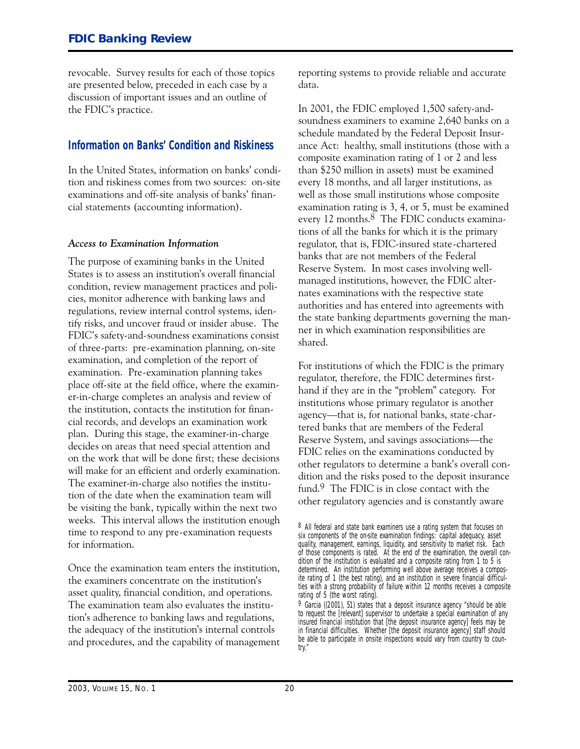<span id="page-20-0"></span>revocable. Survey results for each of those topics are presented below, preceded in each case by a discussion of important issues and an outline of the FDIC's practice.

#### **Information on Banks' Condition and Riskiness**

In the United States, information on banks' condition and riskiness comes from two sources: on-site examinations and off-site analysis of banks' financial statements (accounting information).

#### *Access to Examination Information*

The purpose of examining banks in the United States is to assess an institution's overall financial condition, review management practices and policies, monitor adherence with banking laws and regulations, review internal control systems, identify risks, and uncover fraud or insider abuse. The FDIC's safety-and-soundness examinations consist of three-parts: pre-examination planning, on-site examination, and completion of the report of examination. Pre-examination planning takes place off-site at the field office, where the examiner-in-charge completes an analysis and review of the institution, contacts the institution for financial records, and develops an examination work plan. During this stage, the examiner-in-charge decides on areas that need special attention and on the work that will be done first; these decisions will make for an efficient and orderly examination. The examiner-in-charge also notifies the institution of the date when the examination team will be visiting the bank, typically within the next two weeks. This interval allows the institution enough time to respond to any pre-examination requests for information.

Once the examination team enters the institution, the examiners concentrate on the institution's asset quality, financial condition, and operations. The examination team also evaluates the institution's adherence to banking laws and regulations, the adequacy of the institution's internal controls and procedures, and the capability of management reporting systems to provide reliable and accurate data.

In 2001, the FDIC employed 1,500 safety-andsoundness examiners to examine 2,640 banks on a schedule mandated by the Federal Deposit Insurance Act: healthy, small institutions (those with a composite examination rating of 1 or 2 and less than \$250 million in assets) must be examined every 18 months, and all larger institutions, as well as those small institutions whose composite examination rating is 3, 4, or 5, must be examined every 12 months.<sup>8</sup> The FDIC conducts examinations of all the banks for which it is the primary regulator, that is, FDIC-insured state-chartered banks that are not members of the Federal Reserve System. In most cases involving wellmanaged institutions, however, the FDIC alternates examinations with the respective state authorities and has entered into agreements with the state banking departments governing the manner in which examination responsibilities are shared.

For institutions of which the FDIC is the primary regulator, therefore, the FDIC determines firsthand if they are in the "problem" category. For institutions whose primary regulator is another agency—that is, for national banks, state-chartered banks that are members of the Federal Reserve System, and savings associations—the FDIC relies on the examinations conducted by other regulators to determine a bank's overall condition and the risks posed to the deposit insurance fund.9 The FDIC is in close contact with the other regulatory agencies and is constantly aware

<sup>8</sup> All federal and state bank examiners use a rating system that focuses on six *components* of the on-site examination findings: capital adequacy, asset quality, management, earnings, liquidity, and sensitivity to market risk. Each of those components is rated. At the end of the examination, the overall condition of the institution is evaluated and a *composite* rating from 1 to 5 is determined. An institution performing well above average receives a composite rating of 1 (the best rating), and an institution in severe financial difficulties with a strong probability of failure within 12 months receives a composite rating of 5 (the worst rating).

<sup>9</sup> Garcia ((2001), 51) states that a deposit insurance agency "should be able to request the [relevant] supervisor to undertake a special examination of any insured financial institution that [the deposit insurance agency] feels may be in financial difficulties. Whether [the deposit insurance agency] staff should be able to participate in onsite inspections would vary from country to country."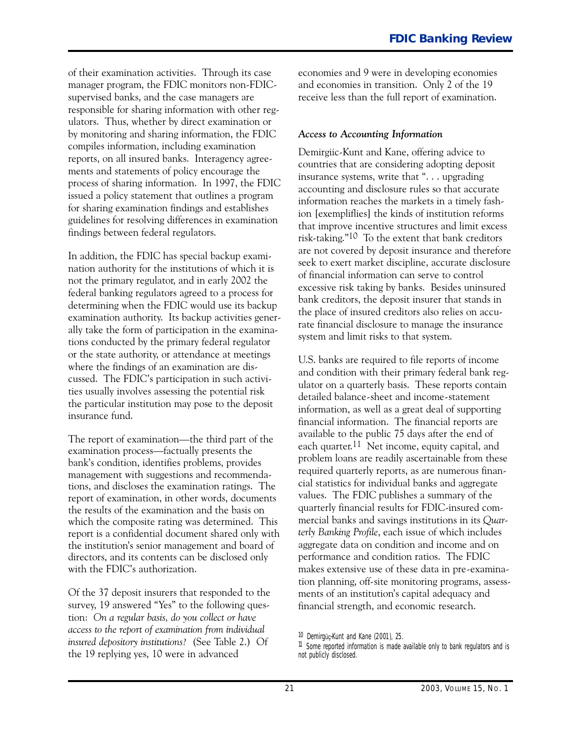of their examination activities. Through its case manager program, the FDIC monitors non-FDICsupervised banks, and the case managers are responsible for sharing information with other regulators. Thus, whether by direct examination or by monitoring and sharing information, the FDIC compiles information, including examination reports, on all insured banks. Interagency agreements and statements of policy encourage the process of sharing information. In 1997, the FDIC issued a policy statement that outlines a program for sharing examination findings and establishes guidelines for resolving differences in examination findings between federal regulators.

In addition, the FDIC has special backup examination authority for the institutions of which it is not the primary regulator, and in early 2002 the federal banking regulators agreed to a process for determining when the FDIC would use its backup examination authority. Its backup activities generally take the form of participation in the examinations conducted by the primary federal regulator or the state authority, or attendance at meetings where the findings of an examination are discussed. The FDIC's participation in such activities usually involves assessing the potential risk the particular institution may pose to the deposit insurance fund.

The report of examination—the third part of the examination process-factually presents the bank's condition, identifies problems, provides management with suggestions and recommendations, and discloses the examination ratings. The report of examination, in other words, documents the results of the examination and the basis on which the composite rating was determined. This report is a confidential document shared only with the institution's senior management and board of directors, and its contents can be disclosed only with the FDIC's authorization.

Of the 37 deposit insurers that responded to the survey, 19 answered "Yes" to the following question: *On a regular basis, do you collect or have access to the report of examination from individual insured depository institutions?* (See Table 2.) Of the 19 replying yes, 10 were in advanced

economies and 9 were in developing economies and economies in transition. Only 2 of the 19 receive less than the full report of examination.

#### *Access to Accounting Information*

Demirgiic-Kunt and Kane, offering advice to countries that are considering adopting deposit insurance systems, write that ". . . upgrading accounting and disclosure rules so that accurate information reaches the markets in a timely fashion [exempliflies] the kinds of institution reforms that improve incentive structures and limit excess risk-taking." $10$  To the extent that bank creditors are not covered by deposit insurance and therefore seek to exert market discipline, accurate disclosure of financial information can serve to control excessive risk taking by banks. Besides uninsured bank creditors, the deposit insurer that stands in the place of insured creditors also relies on accurate financial disclosure to manage the insurance system and limit risks to that system.

U.S. banks are required to file reports of income and condition with their primary federal bank regulator on a quarterly basis. These reports contain detailed balance-sheet and income-statement information, as well as a great deal of supporting financial information. The financial reports are available to the public 75 days after the end of each quarter.<sup>11</sup> Net income, equity capital, and problem loans are readily ascertainable from these required quarterly reports, as are numerous financial statistics for individual banks and aggregate values. The FDIC publishes a summary of the quarterly financial results for FDIC-insured commercial banks and savings institutions in its *Quarterly Banking Profile*, each issue of which includes aggregate data on condition and income and on performance and condition ratios. The FDIC makes extensive use of these data in pre-examination planning, off-site monitoring programs, assessments of an institution's capital adequacy and financial strength, and economic research.

<sup>10</sup> Demirgüc-Kunt and Kane (2001), 25.

<sup>&</sup>lt;sup>11</sup> Some reported information is made available only to bank regulators and is not publicly disclosed.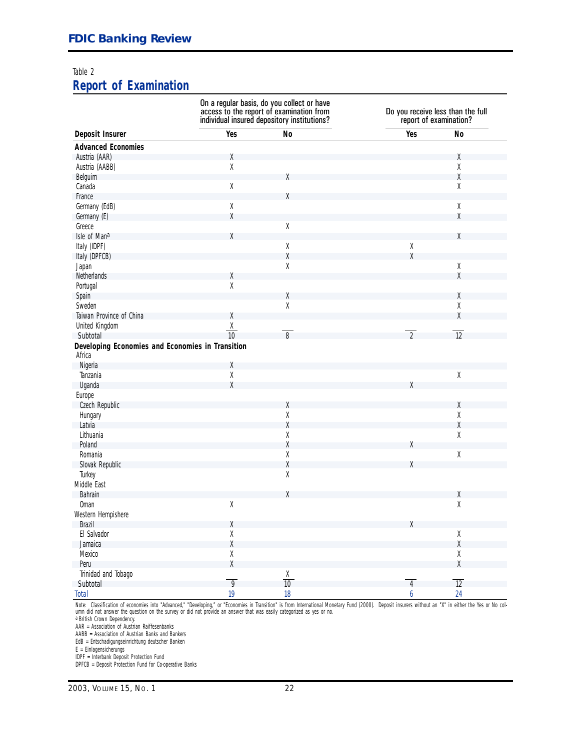#### [Table 2](#page-2-0)

#### **Report of Examination**

|                                                            |                | On a regular basis, do you collect or have<br>access to the report of examination from<br>individual insured depository institutions? |                | Do you receive less than the full<br>report of examination? |
|------------------------------------------------------------|----------------|---------------------------------------------------------------------------------------------------------------------------------------|----------------|-------------------------------------------------------------|
| Deposit Insurer                                            | Yes            | No                                                                                                                                    | Yes            | <b>No</b>                                                   |
| <b>Advanced Economies</b>                                  |                |                                                                                                                                       |                |                                                             |
| Austria (AAR)                                              | Χ              |                                                                                                                                       |                | Χ                                                           |
| Austria (AABB)                                             | $\mathsf X$    |                                                                                                                                       |                | χ                                                           |
| Belguim                                                    |                | χ                                                                                                                                     |                | $\chi$                                                      |
| Canada                                                     | $\mathsf X$    |                                                                                                                                       |                | Χ                                                           |
| France                                                     |                | X                                                                                                                                     |                |                                                             |
| Germany (EdB)                                              | $\mathsf X$    |                                                                                                                                       |                | Χ                                                           |
| Germany (E)                                                | χ              |                                                                                                                                       |                | X                                                           |
| Greece                                                     |                | $\mathsf X$                                                                                                                           |                |                                                             |
| Isle of Mana                                               | Χ              |                                                                                                                                       |                | X                                                           |
| Italy (IDPF)                                               |                | χ                                                                                                                                     | χ              |                                                             |
| Italy (DPFCB)                                              |                | χ                                                                                                                                     | X              |                                                             |
| Japan                                                      |                | χ                                                                                                                                     |                | Χ                                                           |
| Netherlands                                                | Χ              |                                                                                                                                       |                | X                                                           |
| Portugal                                                   | $\mathsf X$    |                                                                                                                                       |                |                                                             |
| Spain                                                      |                | χ                                                                                                                                     |                | Χ                                                           |
| Sweden                                                     |                | χ                                                                                                                                     |                | $\mathsf X$                                                 |
| Taiwan Province of China                                   | χ              |                                                                                                                                       |                | X                                                           |
| United Kingdom                                             |                |                                                                                                                                       |                |                                                             |
| Subtotal                                                   | $\frac{X}{10}$ | $\overline{8}$                                                                                                                        | $\overline{2}$ | $\overline{12}$                                             |
| Developing Economies and Economies in Transition<br>Africa |                |                                                                                                                                       |                |                                                             |
| Nigeria                                                    | χ              |                                                                                                                                       |                |                                                             |
| Tanzania                                                   | χ              |                                                                                                                                       |                | $\chi$                                                      |
| Uganda                                                     | Χ              |                                                                                                                                       | Χ              |                                                             |
| Europe                                                     |                |                                                                                                                                       |                |                                                             |
| Czech Republic                                             |                | χ                                                                                                                                     |                | χ                                                           |
| Hungary                                                    |                | χ                                                                                                                                     |                | χ                                                           |
| Latvia                                                     |                | χ                                                                                                                                     |                | χ                                                           |
| Lithuania                                                  |                | χ                                                                                                                                     |                | $\mathsf X$                                                 |
| Poland                                                     |                | χ                                                                                                                                     | χ              |                                                             |
| Romania                                                    |                | χ                                                                                                                                     |                | $\mathsf X$                                                 |
| Slovak Republic                                            |                | χ                                                                                                                                     | χ              |                                                             |
| Turkey                                                     |                | χ                                                                                                                                     |                |                                                             |
| Middle East                                                |                |                                                                                                                                       |                |                                                             |
| Bahrain                                                    |                | χ                                                                                                                                     |                | Χ                                                           |
| <b>Oman</b>                                                | Χ              |                                                                                                                                       |                | χ                                                           |
| Western Hempishere                                         |                |                                                                                                                                       |                |                                                             |
| Brazil                                                     |                |                                                                                                                                       |                |                                                             |
|                                                            | X              |                                                                                                                                       |                |                                                             |
| El Salvador                                                | χ<br>χ         |                                                                                                                                       |                | Χ                                                           |
| Jamaica                                                    |                |                                                                                                                                       |                | $\mathsf X$                                                 |
| Mexico                                                     | χ              |                                                                                                                                       |                | χ                                                           |
| Peru                                                       | χ              |                                                                                                                                       |                | Χ                                                           |
| Trinidad and Tobago                                        |                | $\frac{\chi}{10}$                                                                                                                     |                |                                                             |
| Subtotal                                                   | $\overline{9}$ |                                                                                                                                       | $\overline{4}$ | $\overline{12}$                                             |
| <b>Total</b>                                               | 19             | 18                                                                                                                                    | 6              | 24                                                          |

*Note: C*lassification of economies into "Advanced," "Developing," or "Economies in Transition" is from International Monetary Fund (2000). Deposit insurers without an "X" in either the Yes or No col-<br>umn did not answer th

a British Crown Dependency.

AAR = Association of Austrian Raiffesenbanks

AABB = Association of Austrian Banks and Bankers

EdB = Entschadigungseinrichtung deutscher Banken

E = Einlagensicherungs

IDPF = Interbank Deposit Protection Fund

DPFCB = Deposit Protection Fund for Co-operative Banks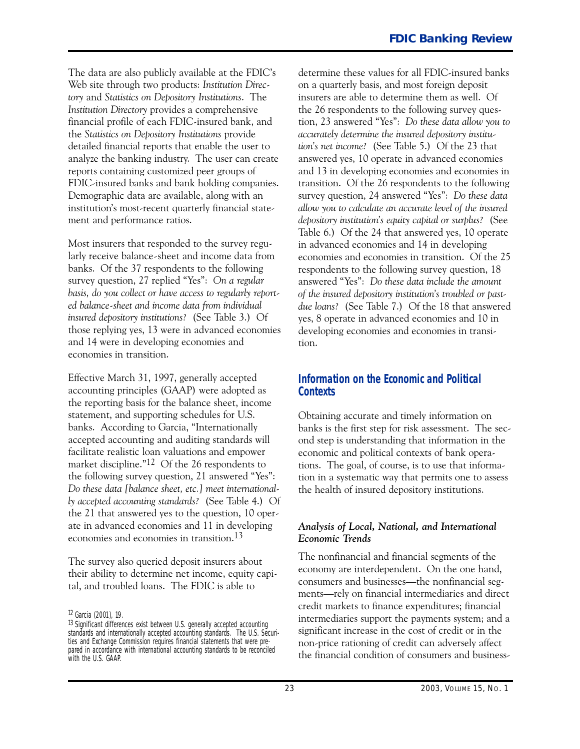<span id="page-23-0"></span>The data are also publicly available at the FDIC's Web site through two products: *Institution Directory* and *Statistics on Depository Institutions*. The *Institution Directory* provides a comprehensive financial profile of each FDIC-insured bank, and the *Statistics on Depository Institutions* provide detailed financial reports that enable the user to analyze the banking industry. The user can create reports containing customized peer groups of FDIC-insured banks and bank holding companies. Demographic data are available, along with an institution's most-recent quarterly financial statement and performance ratios.

Most insurers that responded to the survey regularly receive balance-sheet and income data from banks. Of the 37 respondents to the following survey question, 27 replied "Yes": *On a regular basis, do you collect or have access to regularly reported balancesheet and income data from individual insured depository institutions?* (See Table 3.) Of those replying yes, 13 were in advanced economies and 14 were in developing economies and economies in transition.

Effective March 31, 1997, generally accepted accounting principles (GAAP) were adopted as the reporting basis for the balance sheet, income statement, and supporting schedules for U.S. banks. According to Garcia, "Internationally accepted accounting and auditing standards will facilitate realistic loan valuations and empower market discipline."12 Of the 26 respondents to the following survey question, 21 answered "Yes": *Do these data [balance sheet, etc.] meet internationally accepted accounting standards?* (See Table 4.) Of the 21 that answered yes to the question, 10 operate in advanced economies and 11 in developing economies and economies in transition.13

The survey also queried deposit insurers about their ability to determine net income, equity capital, and troubled loans. The FDIC is able to

12 Garcia (2001), 19.

determine these values for all FDIC-insured banks on a quarterly basis, and most foreign deposit insurers are able to determine them as well. Of the 26 respondents to the following survey question, 23 answered "Yes": *Do these data allow you to accurately determine the insured depository institution's net income?* (See Table 5.) Of the 23 that answered yes, 10 operate in advanced economies and 13 in developing economies and economies in transition. Of the 26 respondents to the following survey question, 24 answered "Yes": *Do these data allow you to calculate an accurate level of the insured depository institution's equity capital or surplus?* (See Table 6.) Of the 24 that answered yes, 10 operate in advanced economies and 14 in developing economies and economies in transition. Of the 25 respondents to the following survey question, 18 answered "Yes": *Do these data include the amount of the insured depository institution's troubled or pastdue loans?* (See Table 7.) Of the 18 that answered yes, 8 operate in advanced economies and 10 in developing economies and economies in transition.

#### **Information on the Economic and Political Contexts**

Obtaining accurate and timely information on banks is the first step for risk assessment. The second step is understanding that information in the economic and political contexts of bank operations. The goal, of course, is to use that information in a systematic way that permits one to assess the health of insured depository institutions.

#### *Analysis of Local, National, and International Economic Trends*

The nonfinancial and financial segments of the economy are interdependent. On the one hand, consumers and businesses-the nonfinancial segments-rely on financial intermediaries and direct credit markets to finance expenditures; financial intermediaries support the payments system; and a significant increase in the cost of credit or in the non-price rationing of credit can adversely affect the financial condition of consumers and business-

<sup>13</sup> Significant differences exist between U.S. generally accepted accounting standards and internationally accepted accounting standards. The U.S. Securities and Exchange Commission requires financial statements that were prepared in accordance with international accounting standards to be reconciled with the U.S. GAAP.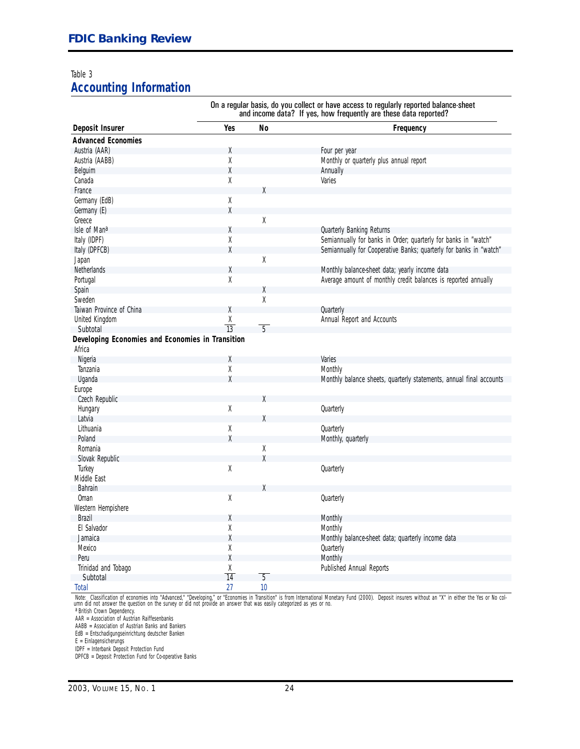#### Table 3 **Accounting Information**

On a regular basis, do you collect or have access to regularly reported balance-sheet and income data? If yes, how frequently are these data reported? **Deposit Insurer The Contract Contract Contract Pressure Area Pressure Area Pressure Area Pressure Area Pressure Area Pressure Area Pressure Area Pressure Area Pressure Area Pressure Area Pressure Area Pressure Area Pressu Advanced Economies**  Austria (AAR) X Four per year Austria (AABB) X Monthly or quarterly plus annual report Belguim X Annually Canada X Varies France XX Germany (EdB) X<br>Germany (E) X X Germany (E) Greece XX Isle of Man<sup>a</sup> 2008 and 2008 and 2008 and 2008 and 2008 and 2008 and 2008 and 2008 and 2008 and 2008 and 2008 and 2008 and 2008 and 2008 and 2008 and 2008 and 2008 and 2008 and 2008 and 2008 and 2008 and 2008 and 2008 and Italy (IDPF) <br>Italy (DPFCB) <br>Italy (DPFCB) X Semiannually for Cooperative Banks; quarterly for banks in "watch" Semiannually for Cooperative Banks; quarterly for banks in "watch"<br>X Japan X Netherlands X Monthly balance-sheet data; yearly income data Average amount of monthly credit balances is reported annually Spain X Sweden XX Taiwan Province of China  $X$  Quarterly United Kingdom  $\frac{X}{13}$   $\frac{1}{5}$  Annual Report and Accounts Subtotal 5 **Developing Economies and Economies in Transition**  Africa Nigeria X Varies Tanzania X Monthly Uganda X Monthly balance sheets, quarterly statements, annual final accounts Europe Czech Republic Hungary **Contract Contract Contract Contract Contract Contract Contract Contract Contract Contract Contract Contract Contract Contract Contract Contract Contract Contract Contract Contract Contract Contract Contract Contra** Latvia XXIII a.C. Andrew March 2003. In the second contract of the second contract of the second contract of the second contract of the second contract of the second contract of the second contract of the second contract o Lithuania X Quarterly Poland **X** Monthly, quarterly Romania **X** X Monthly, quarterly Romania Romania XX<br>Slovak Republic XX Slovak Republic XX<br>Turkey XX Turkey Quarterly Middle East Bahrain XXIII ama an ama an suidhichte ann an Salamain XXII am an am am an A Oman X Quarterly Western Hempishere Brazil X Monthly El Salvador X Monthly Jamaica X Monthly balance-sheet data; quarterly income data Mexico Quarterly Next Constants and Mexico Constants and Mexico Constants and Mexico Constants and Mexico Constants and Mexico Constants and Mexico Constants and Mexico Constants and Mexico Constants and Mexico Constants a Peru X Monthly Trinidad and Tobago  $\frac{X}{14}$   $\frac{1}{5}$  Published Annual Reports Subtotal 14 5<br>Total 27 10 Total 27 10

*Note:* Classification of economies into "Advanced," "Developing," or "Economies in Transition" is from International Monetary Fund (2000). Deposit insurers without an "X" in either the Yes or No col-<br>umn did not answer th

a British Crown Dependency.

AAR = Association of Austrian Raiffesenbanks

AABB = Association of Austrian Banks and Bankers

EdB = Entschadigungseinrichtung deutscher Banken

E = Einlagensicherungs

IDPF = Interbank Deposit Protection Fund DPFCB = Deposit Protection Fund for Co-operative Banks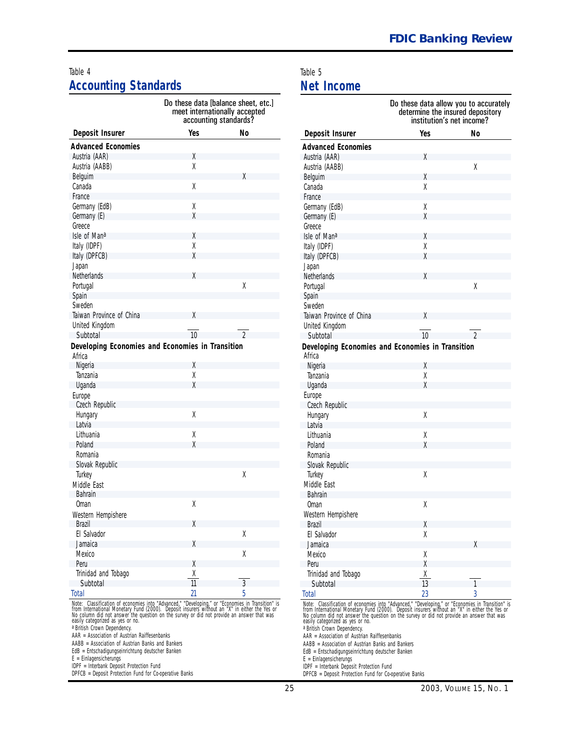#### [Table 4 Table 5](#page-5-0) **Accounting Standards** Net Income

|                                                                                                  | Do these data [balance sheet, etc.]<br>meet internationally accepted<br>accounting standards? |                |                                                                                   | Do these data allow you to a<br>determine the insured depo<br>institution's net income |                |
|--------------------------------------------------------------------------------------------------|-----------------------------------------------------------------------------------------------|----------------|-----------------------------------------------------------------------------------|----------------------------------------------------------------------------------------|----------------|
| Deposit Insurer                                                                                  | Yes                                                                                           | No             | Deposit Insurer                                                                   | Yes                                                                                    | No             |
| <b>Advanced Economies</b>                                                                        |                                                                                               |                | <b>Advanced Economies</b>                                                         |                                                                                        |                |
| Austria (AAR)                                                                                    | χ                                                                                             |                | Austria (AAR)                                                                     | χ                                                                                      |                |
| Austria (AABB)                                                                                   | $\mathsf X$                                                                                   |                | Austria (AABB)                                                                    |                                                                                        | χ              |
| Belguim                                                                                          |                                                                                               | X              | Belguim                                                                           | X                                                                                      |                |
| Canada                                                                                           | $\mathsf X$                                                                                   |                | Canada                                                                            | χ                                                                                      |                |
| France                                                                                           |                                                                                               |                | France                                                                            |                                                                                        |                |
| Germany (EdB)                                                                                    | Χ                                                                                             |                | Germany (EdB)                                                                     | χ                                                                                      |                |
| Germany (E)                                                                                      | X                                                                                             |                | Germany (E)                                                                       | X                                                                                      |                |
| Greece                                                                                           |                                                                                               |                | Greece                                                                            |                                                                                        |                |
| Isle of Mana                                                                                     | Χ                                                                                             |                | Isle of Mana                                                                      | X                                                                                      |                |
| Italy (IDPF)                                                                                     | χ                                                                                             |                | Italy (IDPF)                                                                      | χ                                                                                      |                |
| Italy (DPFCB)                                                                                    | X                                                                                             |                | Italy (DPFCB)                                                                     | X                                                                                      |                |
| Japan                                                                                            |                                                                                               |                | Japan                                                                             |                                                                                        |                |
| Netherlands                                                                                      | Χ                                                                                             |                | Netherlands                                                                       | X                                                                                      |                |
| Portugal                                                                                         |                                                                                               | $\mathsf X$    | Portugal                                                                          |                                                                                        | χ              |
| Spain                                                                                            |                                                                                               |                | Spain                                                                             |                                                                                        |                |
| Sweden                                                                                           |                                                                                               |                | Sweden                                                                            |                                                                                        |                |
| Taiwan Province of China                                                                         | X                                                                                             |                | Taiwan Province of China                                                          | X                                                                                      |                |
| United Kingdom                                                                                   |                                                                                               |                | United Kingdom                                                                    |                                                                                        |                |
| Subtotal                                                                                         | 10                                                                                            | $\mathfrak{D}$ | Subtotal                                                                          | 10                                                                                     | $\mathfrak{D}$ |
| Developing Economies and Economies in Transition                                                 |                                                                                               |                | Developing Economies and Economies in Transition                                  |                                                                                        |                |
| Africa                                                                                           |                                                                                               |                | Africa                                                                            |                                                                                        |                |
| Nigeria                                                                                          | χ                                                                                             |                | Nigeria                                                                           | Χ                                                                                      |                |
| Tanzania                                                                                         | χ                                                                                             |                | Tanzania                                                                          | χ                                                                                      |                |
| Uganda                                                                                           | χ                                                                                             |                | Uganda                                                                            | X                                                                                      |                |
| Europe                                                                                           |                                                                                               |                | Europe                                                                            |                                                                                        |                |
| Czech Republic                                                                                   |                                                                                               |                | Czech Republic                                                                    |                                                                                        |                |
| Hungary                                                                                          | $\mathsf X$                                                                                   |                | Hungary                                                                           | Χ                                                                                      |                |
| Latvia                                                                                           |                                                                                               |                | Latvia                                                                            |                                                                                        |                |
| Lithuania                                                                                        | Χ                                                                                             |                | Lithuania                                                                         | Χ                                                                                      |                |
| Poland                                                                                           | χ                                                                                             |                | Poland                                                                            | χ                                                                                      |                |
| Romania                                                                                          |                                                                                               |                | Romania                                                                           |                                                                                        |                |
| Slovak Republic                                                                                  |                                                                                               |                | Slovak Republic                                                                   |                                                                                        |                |
| Turkey                                                                                           |                                                                                               | $\mathsf X$    | Turkey                                                                            | χ                                                                                      |                |
| Middle East                                                                                      |                                                                                               |                | Middle East                                                                       |                                                                                        |                |
| Bahrain                                                                                          |                                                                                               |                | Bahrain                                                                           |                                                                                        |                |
| <b>Oman</b>                                                                                      | X                                                                                             |                | <b>Oman</b>                                                                       | χ                                                                                      |                |
| Western Hempishere                                                                               |                                                                                               |                | Western Hempishere                                                                |                                                                                        |                |
| Brazil                                                                                           | X                                                                                             |                | Brazil                                                                            | χ                                                                                      |                |
| El Salvador                                                                                      |                                                                                               | $\mathsf X$    | El Salvador                                                                       | χ                                                                                      |                |
| Jamaica                                                                                          | X                                                                                             |                | Jamaica                                                                           |                                                                                        | X              |
| Mexico                                                                                           |                                                                                               | $\mathsf X$    | Mexico                                                                            | χ                                                                                      |                |
| Peru                                                                                             | X                                                                                             |                | Peru                                                                              | χ                                                                                      |                |
| Trinidad and Tobago                                                                              |                                                                                               |                | Trinidad and Tobago                                                               |                                                                                        |                |
| Subtotal                                                                                         | $\frac{\chi}{11}$                                                                             | $\overline{3}$ | Subtotal                                                                          | $rac{X}{13}$                                                                           | $\mathbf{1}$   |
| <b>Total</b>                                                                                     | 21                                                                                            | 5              | <b>Total</b>                                                                      | 23                                                                                     | 3              |
| Note: Classification of economies into "Advanced," "Developing," or "Economies in Transition" is |                                                                                               |                | Note: Classification of economies into "Advanced," "Developing," or "Economies in |                                                                                        |                |

From International Monetary Eurol (2000). Deposit insurers without an "X" in either the Yes or<br>No column did not provide an answer that was<br>easily categorized as yes or no.<br>easily categorized as yes or no.<br>easily categoriz

E = Einlagensicherungs E = Einlagensicherungs

IDPF = Interbank Deposit Protection Fund IDPF = Interbank Deposit Protection Fund

| Do these data [balance sheet, etc.]<br>meet internationally accepted<br>accounting standards? |                                                                                                                |                                                                                                                                                                                                         |                   | Do these data allow you to accurately<br>determine the insured depository<br>institution's net income? |  |  |
|-----------------------------------------------------------------------------------------------|----------------------------------------------------------------------------------------------------------------|---------------------------------------------------------------------------------------------------------------------------------------------------------------------------------------------------------|-------------------|--------------------------------------------------------------------------------------------------------|--|--|
| Yes                                                                                           | No                                                                                                             | Deposit Insurer                                                                                                                                                                                         | Yes               | <b>No</b>                                                                                              |  |  |
|                                                                                               |                                                                                                                | <b>Advanced Economies</b>                                                                                                                                                                               |                   |                                                                                                        |  |  |
| χ                                                                                             |                                                                                                                | Austria (AAR)                                                                                                                                                                                           | Χ                 |                                                                                                        |  |  |
| $\chi$                                                                                        |                                                                                                                | Austria (AABB)                                                                                                                                                                                          |                   | χ                                                                                                      |  |  |
|                                                                                               | Χ                                                                                                              | Belguim                                                                                                                                                                                                 | X                 |                                                                                                        |  |  |
| Χ                                                                                             |                                                                                                                | Canada                                                                                                                                                                                                  | Χ                 |                                                                                                        |  |  |
|                                                                                               |                                                                                                                | France                                                                                                                                                                                                  |                   |                                                                                                        |  |  |
| χ                                                                                             |                                                                                                                | Germany (EdB)                                                                                                                                                                                           | Χ                 |                                                                                                        |  |  |
| χ                                                                                             |                                                                                                                | Germany (E)                                                                                                                                                                                             | Χ                 |                                                                                                        |  |  |
|                                                                                               |                                                                                                                | Greece                                                                                                                                                                                                  |                   |                                                                                                        |  |  |
| X                                                                                             |                                                                                                                | Isle of Mana                                                                                                                                                                                            | Χ                 |                                                                                                        |  |  |
| χ                                                                                             |                                                                                                                | Italy (IDPF)                                                                                                                                                                                            | $\chi$            |                                                                                                        |  |  |
| χ                                                                                             |                                                                                                                | Italy (DPFCB)                                                                                                                                                                                           | X                 |                                                                                                        |  |  |
|                                                                                               |                                                                                                                | Japan                                                                                                                                                                                                   |                   |                                                                                                        |  |  |
| χ                                                                                             |                                                                                                                | Netherlands                                                                                                                                                                                             | χ                 |                                                                                                        |  |  |
|                                                                                               | Χ                                                                                                              | Portugal                                                                                                                                                                                                |                   | χ                                                                                                      |  |  |
|                                                                                               |                                                                                                                | Spain                                                                                                                                                                                                   |                   |                                                                                                        |  |  |
|                                                                                               |                                                                                                                | Sweden                                                                                                                                                                                                  |                   |                                                                                                        |  |  |
| χ                                                                                             |                                                                                                                | Taiwan Province of China                                                                                                                                                                                | X                 |                                                                                                        |  |  |
|                                                                                               |                                                                                                                | United Kingdom                                                                                                                                                                                          |                   |                                                                                                        |  |  |
| 10                                                                                            | $\mathfrak{D}$                                                                                                 | Subtotal                                                                                                                                                                                                | 10                | $\mathfrak{D}$                                                                                         |  |  |
| Economies in Transition                                                                       |                                                                                                                | Developing Economies and Economies in Transition<br>Africa                                                                                                                                              |                   |                                                                                                        |  |  |
| χ                                                                                             |                                                                                                                | Nigeria                                                                                                                                                                                                 | χ                 |                                                                                                        |  |  |
| χ                                                                                             |                                                                                                                | Tanzania                                                                                                                                                                                                | $\mathsf X$       |                                                                                                        |  |  |
| χ                                                                                             |                                                                                                                | Uganda                                                                                                                                                                                                  | $\chi$            |                                                                                                        |  |  |
|                                                                                               |                                                                                                                | Europe                                                                                                                                                                                                  |                   |                                                                                                        |  |  |
|                                                                                               |                                                                                                                | Czech Republic                                                                                                                                                                                          |                   |                                                                                                        |  |  |
| Χ                                                                                             |                                                                                                                | Hungary                                                                                                                                                                                                 | Χ                 |                                                                                                        |  |  |
|                                                                                               |                                                                                                                | Latvia                                                                                                                                                                                                  |                   |                                                                                                        |  |  |
| χ                                                                                             |                                                                                                                | Lithuania                                                                                                                                                                                               | Χ                 |                                                                                                        |  |  |
| χ                                                                                             |                                                                                                                | Poland<br>г                                                                                                                                                                                             | χ                 |                                                                                                        |  |  |
|                                                                                               |                                                                                                                | Romania                                                                                                                                                                                                 |                   |                                                                                                        |  |  |
|                                                                                               |                                                                                                                | Slovak Republic                                                                                                                                                                                         |                   |                                                                                                        |  |  |
|                                                                                               | Χ                                                                                                              | Turkey                                                                                                                                                                                                  | Χ                 |                                                                                                        |  |  |
|                                                                                               |                                                                                                                | Middle East                                                                                                                                                                                             |                   |                                                                                                        |  |  |
|                                                                                               |                                                                                                                | Bahrain                                                                                                                                                                                                 |                   |                                                                                                        |  |  |
| χ                                                                                             |                                                                                                                | 0man                                                                                                                                                                                                    | χ                 |                                                                                                        |  |  |
|                                                                                               |                                                                                                                | Western Hempishere                                                                                                                                                                                      |                   |                                                                                                        |  |  |
| χ                                                                                             |                                                                                                                | Brazil                                                                                                                                                                                                  | χ                 |                                                                                                        |  |  |
|                                                                                               | χ                                                                                                              | El Salvador                                                                                                                                                                                             | χ                 |                                                                                                        |  |  |
| χ                                                                                             |                                                                                                                | Jamaica                                                                                                                                                                                                 |                   | χ                                                                                                      |  |  |
|                                                                                               | χ                                                                                                              | Mexico                                                                                                                                                                                                  | χ                 |                                                                                                        |  |  |
| X                                                                                             |                                                                                                                | Peru<br>L                                                                                                                                                                                               | X                 |                                                                                                        |  |  |
| χ                                                                                             |                                                                                                                | Trinidad and Tobago                                                                                                                                                                                     | $\frac{\chi}{13}$ |                                                                                                        |  |  |
| 11                                                                                            | 3                                                                                                              | Subtotal                                                                                                                                                                                                |                   |                                                                                                        |  |  |
| $\overline{21}$                                                                               | 5                                                                                                              | <b>Total</b>                                                                                                                                                                                            | 23                | 3                                                                                                      |  |  |
|                                                                                               | vanced," "Developing," or "Economies in Transition" is<br>Deposit insurers without an "X" in either the Yes or | <i>Note:</i> Classification of economies into "Advanced," "Developing," or "Economies in Transition" is<br>from International Monetary Fund (2000) Deposit insurers without an "X" in either the Yes or |                   |                                                                                                        |  |  |

AAR = Association of Austrian Raiffesenbanks AAR = Association of Austrian Raiffesenbanks

AABB = Association of Austrian Banks and Bankers AAABB = Association of Austrian Banks and Bankers

EdB = Entschadigungseinrichtung deutscher Banken ein einer EdB = Entschadigungseinrichtung deutscher Banken E = Einlagensicherungs ein Entschadigungseinrichtung deutscher Banken E = Einlagensicherungs

DPFCB = Deposit Protection Fund for Co-operative Banks DPFCB = Deposit Protection Fund for Co-operative Banks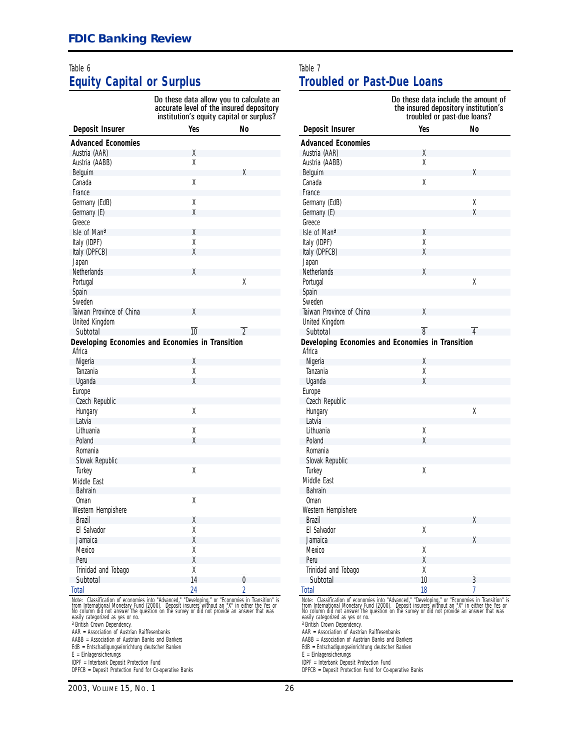#### [Table 6](#page-6-0) **Equity Capital or Surplus**

Do these data allow you to calculate an accurate level of the insured depository institution's equity capital or surplus?

| Deposit Insurer                                  | Yes             | No             |
|--------------------------------------------------|-----------------|----------------|
| <b>Advanced Economies</b>                        |                 |                |
| Austria (AAR)                                    | χ               |                |
| Austria (AABB)                                   | χ               |                |
| Belguim                                          |                 | χ              |
| Canada                                           | χ               |                |
| France                                           |                 |                |
| Germany (EdB)                                    | χ               |                |
| Germany (E)                                      | χ               |                |
| Greece                                           |                 |                |
| Isle of Mana                                     | χ               |                |
| Italy (IDPF)                                     | χ               |                |
| Italy (DPFCB)                                    | χ               |                |
| Japan                                            |                 |                |
| <b>Netherlands</b>                               | χ               |                |
| Portugal                                         |                 | χ              |
| Spain                                            |                 |                |
| Sweden                                           |                 |                |
| Taiwan Province of China                         | χ               |                |
| United Kingdom                                   |                 |                |
| Subtotal                                         | $\overline{10}$ | $\overline{2}$ |
| Developing Economies and Economies in Transition |                 |                |
| Africa                                           |                 |                |
| Nigeria                                          | χ               |                |
| Tanzania                                         | χ               |                |
| Uganda                                           | χ               |                |
| Europe                                           |                 |                |
| Czech Republic                                   |                 |                |
| Hungary                                          | χ               |                |
| Latvia                                           |                 |                |
| Lithuania                                        | χ<br>χ          |                |
| Poland<br>Romania                                |                 |                |
|                                                  |                 |                |
| Slovak Republic                                  | χ               |                |
| Turkey                                           |                 |                |
| Middle East<br><b>Bahrain</b>                    |                 |                |
| Oman                                             | χ               |                |
| Western Hempishere                               |                 |                |
| <b>Brazil</b>                                    | χ               |                |
| FI Salvador                                      | χ               |                |
| Jamaica                                          | χ               |                |
| Mexico                                           | χ               |                |
| Peru                                             | χ               |                |
| Trinidad and Tobago                              | χ               |                |
| Subtotal                                         | 14              | $\overline{0}$ |
| Total                                            | 24              | $\overline{c}$ |
| $\epsilon$<br>$\mathbf{A} \mathbf{A}$            | $\mathbf{m}$    | control on     |

*Note:* Classification of economies into "Advanced," "Developing," or "Economies in Transition" is<br>from International Monetary Fund (2000). Deposit insurers without an "X" in either the Yes or<br>No column did not answer the

a British Crown Dependency.

AAR = Association of Austrian Raiffesenbanks

AABB = Association of Austrian Banks and Bankers

EdB = Entschadigungseinrichtung deutscher Banken

 $E =$  Einlagensicherungs IDPF = Interbank Deposit Protection Fund

DPFCB = Deposit Protection Fund for Co-operative Banks

*[2003, VOLUME 1](#page-1-0)5, NO. 1 26* 

#### [Table 7](#page-7-0)

#### **Troubled or Past-Due Loans**

|                                                                                                  | Do these data include the amount of<br>the insured depository institution's<br>troubled or past-due loans? |                |  |
|--------------------------------------------------------------------------------------------------|------------------------------------------------------------------------------------------------------------|----------------|--|
| Deposit Insurer                                                                                  | Yes                                                                                                        | No             |  |
| <b>Advanced Economies</b>                                                                        |                                                                                                            |                |  |
| Austria (AAR)                                                                                    | Χ                                                                                                          |                |  |
| Austria (AABB)                                                                                   | χ                                                                                                          |                |  |
| Belguim                                                                                          |                                                                                                            | Χ              |  |
| Canada                                                                                           | Χ                                                                                                          |                |  |
| France                                                                                           |                                                                                                            |                |  |
| Germany (EdB)                                                                                    |                                                                                                            | Χ              |  |
| Germany (E)                                                                                      |                                                                                                            | χ              |  |
| Greece                                                                                           |                                                                                                            |                |  |
| Isle of Mana                                                                                     | χ                                                                                                          |                |  |
| Italy (IDPF)                                                                                     | χ                                                                                                          |                |  |
| Italy (DPFCB)                                                                                    | χ                                                                                                          |                |  |
| Japan                                                                                            |                                                                                                            |                |  |
| Netherlands                                                                                      | χ                                                                                                          |                |  |
| Portugal                                                                                         |                                                                                                            | χ              |  |
| Spain                                                                                            |                                                                                                            |                |  |
| Sweden                                                                                           |                                                                                                            |                |  |
| Taiwan Province of China                                                                         | χ                                                                                                          |                |  |
| United Kingdom                                                                                   |                                                                                                            |                |  |
| Subtotal                                                                                         | $\overline{8}$                                                                                             | 4              |  |
| Developing Economies and Economies in Transition                                                 |                                                                                                            |                |  |
| Africa                                                                                           |                                                                                                            |                |  |
| Nigeria                                                                                          | Χ                                                                                                          |                |  |
| Tanzania                                                                                         | χ                                                                                                          |                |  |
| Uganda                                                                                           | χ                                                                                                          |                |  |
| Europe                                                                                           |                                                                                                            |                |  |
| Czech Republic                                                                                   |                                                                                                            |                |  |
| Hungary                                                                                          |                                                                                                            | X              |  |
| Latvia                                                                                           |                                                                                                            |                |  |
| Lithuania                                                                                        | χ                                                                                                          |                |  |
| Poland                                                                                           | X                                                                                                          |                |  |
| Romania                                                                                          |                                                                                                            |                |  |
| Slovak Republic                                                                                  |                                                                                                            |                |  |
| Turkey                                                                                           | χ                                                                                                          |                |  |
| Middle East                                                                                      |                                                                                                            |                |  |
| Bahrain                                                                                          |                                                                                                            |                |  |
| 0man                                                                                             |                                                                                                            |                |  |
| Western Hempishere                                                                               |                                                                                                            |                |  |
| Brazil                                                                                           |                                                                                                            | X              |  |
| El Salvador                                                                                      | χ                                                                                                          |                |  |
| Jamaica                                                                                          |                                                                                                            | χ              |  |
| Mexico                                                                                           | χ                                                                                                          |                |  |
| Peru                                                                                             | χ                                                                                                          |                |  |
| Trinidad and Tobago                                                                              | $\frac{\chi}{10}$                                                                                          |                |  |
| Subtotal                                                                                         |                                                                                                            | $\overline{3}$ |  |
| <b>Total</b>                                                                                     | 18                                                                                                         | 7              |  |
| Note: Classification of economies into "Advanced," "Developing," or "Economies in Transition" is |                                                                                                            |                |  |

*Note:* Classification of economies into "Advanced," "Developing," or "Economies in Transition" is<br>from International Monetary Fund (2000). Deposit insurers without an "X" in either the Yes or<br>No column did not answer the

a British Crown Dependency.

AAR = Association of Austrian Raiffesenbanks

AABB = Association of Austrian Banks and Bankers

EdB = Entschadigungseinrichtung deutscher Banken

E = Einlagensicherungs

IDPF = Interbank Deposit Protection Fund

DPFCB = Deposit Protection Fund for Co-operative Banks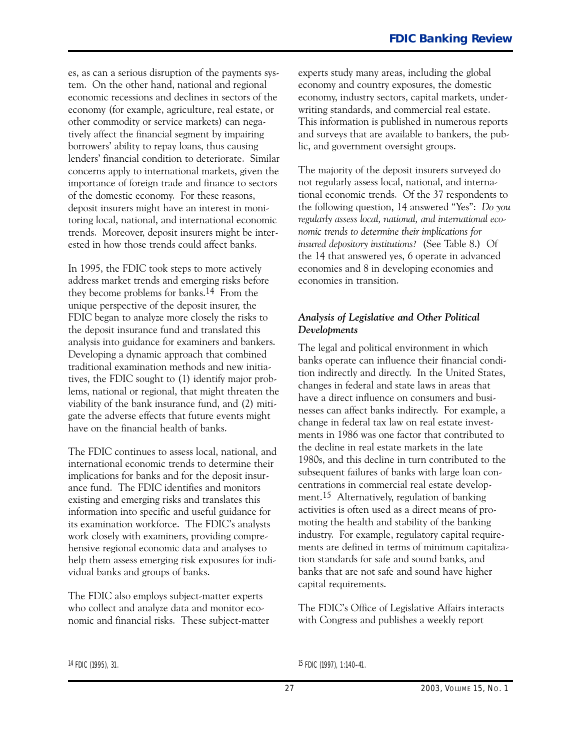of the domestic economy. For these reasons, es, as can a serious disruption of the payments system. On the other hand, national and regional economic recessions and declines in sectors of the economy (for example, agriculture, real estate, or other commodity or service markets) can negatively affect the financial segment by impairing borrowers' ability to repay loans, thus causing lenders' financial condition to deteriorate. Similar concerns apply to international markets, given the importance of foreign trade and finance to sectors deposit insurers might have an interest in monitoring local, national, and international economic trends. Moreover, deposit insurers might be interested in how those trends could affect banks.

In 1995, the FDIC took steps to more actively address market trends and emerging risks before they become problems for banks.14 From the unique perspective of the deposit insurer, the FDIC began to analyze more closely the risks to the deposit insurance fund and translated this analysis into guidance for examiners and bankers. Developing a dynamic approach that combined traditional examination methods and new initiatives, the FDIC sought to (1) identify major problems, national or regional, that might threaten the viability of the bank insurance fund, and (2) mitigate the adverse effects that future events might have on the financial health of banks.

The FDIC continues to assess local, national, and international economic trends to determine their implications for banks and for the deposit insurance fund. The FDIC identifies and monitors existing and emerging risks and translates this information into specific and useful guidance for its examination workforce. The FDIC's analysts work closely with examiners, providing comprehensive regional economic data and analyses to help them assess emerging risk exposures for individual banks and groups of banks.

The FDIC also employs subject-matter experts who collect and analyze data and monitor economic and financial risks. These subject-matter experts study many areas, including the global economy and country exposures, the domestic economy, industry sectors, capital markets, underwriting standards, and commercial real estate. This information is published in numerous reports and surveys that are available to bankers, the public, and government oversight groups.

The majority of the deposit insurers surveyed do not regularly assess local, national, and international economic trends. Of the 37 respondents to the following question, 14 answered "Yes": *Do you regularly assess local, national, and international economic trends to determine their implications for insured depository institutions?* (See Table 8.) Of the 14 that answered yes, 6 operate in advanced economies and 8 in developing economies and economies in transition.

#### *Analysis of Legislative and Other Political Developments*

The legal and political environment in which banks operate can influence their financial condition indirectly and directly. In the United States, changes in federal and state laws in areas that have a direct influence on consumers and businesses can affect banks indirectly. For example, a change in federal tax law on real estate investments in 1986 was one factor that contributed to the decline in real estate markets in the late 1980s, and this decline in turn contributed to the subsequent failures of banks with large loan concentrations in commercial real estate development.15 Alternatively, regulation of banking activities is often used as a direct means of promoting the health and stability of the banking industry. For example, regulatory capital requirements are defined in terms of minimum capitalization standards for safe and sound banks, and banks that are not safe and sound have higher capital requirements.

The FDIC's Office of Legislative Affairs interacts with Congress and publishes a weekly report

14 FDIC (1995), 31. 2010 11:140-41.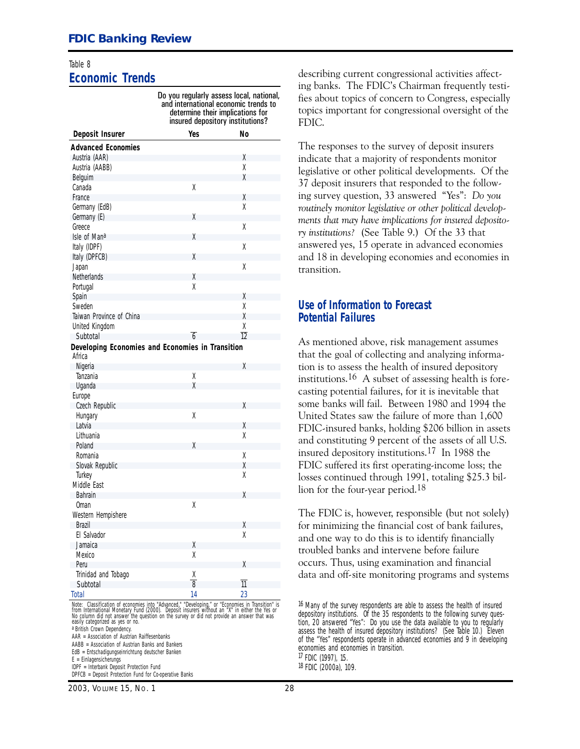#### [Table 8](#page-8-0) **Economic Trends**

| Do you regularly assess local, national,<br>and international economic trends to<br>determine their implications for<br>insured depository institutions? |                    |                 |  |  |
|----------------------------------------------------------------------------------------------------------------------------------------------------------|--------------------|-----------------|--|--|
| Deposit Insurer                                                                                                                                          | Yes                | No              |  |  |
| <b>Advanced Economies</b>                                                                                                                                |                    |                 |  |  |
| Austria (AAR)                                                                                                                                            |                    | Χ               |  |  |
| Austria (AABB)                                                                                                                                           |                    | X               |  |  |
| Belguim                                                                                                                                                  |                    | χ               |  |  |
| Canada                                                                                                                                                   | X                  |                 |  |  |
| France                                                                                                                                                   |                    | χ               |  |  |
| Germany (EdB)                                                                                                                                            |                    | χ               |  |  |
| Germany (E)                                                                                                                                              | χ                  |                 |  |  |
| Greece                                                                                                                                                   |                    | χ               |  |  |
| Isle of Mana                                                                                                                                             | χ                  |                 |  |  |
|                                                                                                                                                          |                    |                 |  |  |
| Italy (IDPF)                                                                                                                                             |                    | Χ               |  |  |
| Italy (DPFCB)                                                                                                                                            | χ                  |                 |  |  |
| Japan                                                                                                                                                    |                    | χ               |  |  |
| Netherlands                                                                                                                                              | χ                  |                 |  |  |
| Portugal                                                                                                                                                 | χ                  |                 |  |  |
| Spain                                                                                                                                                    |                    | Χ               |  |  |
| Sweden                                                                                                                                                   |                    | X               |  |  |
| Taiwan Province of China                                                                                                                                 |                    | χ               |  |  |
| United Kingdom                                                                                                                                           |                    | χ               |  |  |
| Subtotal                                                                                                                                                 | $\overline{6}$     | $\overline{12}$ |  |  |
| Developing Economies and Economies in Transition                                                                                                         |                    |                 |  |  |
| Africa                                                                                                                                                   |                    |                 |  |  |
| Nigeria                                                                                                                                                  |                    | χ               |  |  |
| Tanzania                                                                                                                                                 | χ                  |                 |  |  |
| Uganda                                                                                                                                                   | χ                  |                 |  |  |
| Europe                                                                                                                                                   |                    |                 |  |  |
| Czech Republic                                                                                                                                           |                    | X               |  |  |
| Hungary                                                                                                                                                  | χ                  |                 |  |  |
| Latvia                                                                                                                                                   |                    | Χ               |  |  |
| Lithuania                                                                                                                                                |                    | χ               |  |  |
| Poland                                                                                                                                                   | χ                  |                 |  |  |
| Romania                                                                                                                                                  |                    | Χ               |  |  |
| Slovak Republic                                                                                                                                          |                    | χ               |  |  |
| Turkey                                                                                                                                                   |                    | χ               |  |  |
| Middle East                                                                                                                                              |                    |                 |  |  |
| <b>Bahrain</b>                                                                                                                                           |                    | Χ               |  |  |
| Oman                                                                                                                                                     | χ                  |                 |  |  |
| Western Hempishere                                                                                                                                       |                    |                 |  |  |
| <b>Brazil</b>                                                                                                                                            |                    | χ               |  |  |
| El Salvador                                                                                                                                              |                    | χ               |  |  |
| Jamaica                                                                                                                                                  | χ                  |                 |  |  |
| Mexico                                                                                                                                                   | χ                  |                 |  |  |
|                                                                                                                                                          |                    |                 |  |  |
| Peru                                                                                                                                                     |                    | χ               |  |  |
| Trinidad and Tobago                                                                                                                                      | $\frac{\times}{8}$ |                 |  |  |
| Subtotal                                                                                                                                                 |                    | $\overline{11}$ |  |  |
| Total                                                                                                                                                    | 14                 | 23              |  |  |

*Note:* Classification of economies into "Advanced," "Developing," or "Economies in Transition" is<br>from International Monetary Fund (2000). Deposit insurers without an "X" in either the Yes or<br>No column did not answer the

a British Crown Dependency.

AAR = Association of Austrian Raiffesenbanks

AABB = Association of Austrian Banks and Bankers EdB = Entschadigungseinrichtung deutscher Banken

 $E =$  Einlagensicherungs

IDPF = Interbank Deposit Protection Fund

DPFCB = Deposit Protection Fund for Co-operative Banks

*[2003, VOLUME 1](#page-1-0)5, NO. 1 28* 

describing current congressional activities affecting banks. The FDIC's Chairman frequently testifies about topics of concern to Congress, especially topics important for congressional oversight of the FDIC.

 ing survey question, 33 answered "Yes": *Do you* The responses to the survey of deposit insurers indicate that a majority of respondents monitor legislative or other political developments. Of the 37 deposit insurers that responded to the follow*routinely monitor legislative or other political developments that may have implications for insured depository institutions?* (See Table 9.) Of the 33 that answered yes, 15 operate in advanced economies and 18 in developing economies and economies in transition.

#### **Use of Information to Forecast Potential Failures**

As mentioned above, risk management assumes that the goal of collecting and analyzing information is to assess the health of insured depository institutions.16 A subset of assessing health is forecasting potential failures, for it is inevitable that some banks will fail. Between 1980 and 1994 the United States saw the failure of more than 1,600 FDIC-insured banks, holding \$206 billion in assets and constituting 9 percent of the assets of all U.S. insured depository institutions.17 In 1988 the FDIC suffered its first operating-income loss; the losses continued through 1991, totaling \$25.3 billion for the four-year period.<sup>18</sup>

The FDIC is, however, responsible (but not solely) for minimizing the financial cost of bank failures, and one way to do this is to identify financially troubled banks and intervene before failure occurs. Thus, using examination and financial data and off-site monitoring programs and systems

<sup>16</sup> Many of the survey respondents are able to assess the health of insured depository institutions. Of the 35 respondents to the following survey question, 20 answered "Yes": *Do you use the data available to you to regularly assess the health of insured depository institutions?* (See Table 10.) Eleven of the "Yes" respondents operate in advanced economies and 9 in developing economies and economies in transition. 17 FDIC (1997), 15. 18 FDIC (2000a), 109.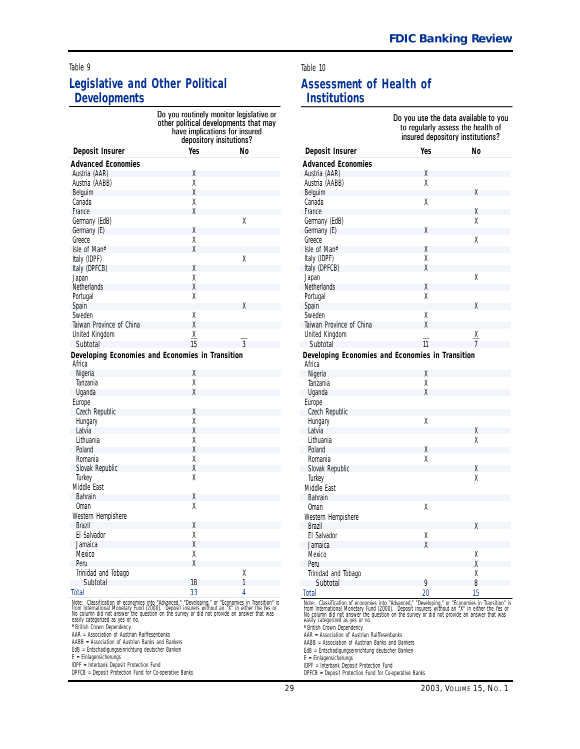#### [Table 9](#page-9-0)

#### **Legislative and Other Political Developments**

|                                                  | Do you routinely monitor legislative or<br>other political developments that may<br>have implications for insured<br>depository insitutions? |        |  |  |
|--------------------------------------------------|----------------------------------------------------------------------------------------------------------------------------------------------|--------|--|--|
| Deposit Insurer                                  | Yes                                                                                                                                          | Nο     |  |  |
| <b>Advanced Economies</b>                        |                                                                                                                                              |        |  |  |
| Austria (AAR)                                    | Χ                                                                                                                                            |        |  |  |
| Austria (AABB)                                   | X                                                                                                                                            |        |  |  |
| Belguim                                          | χ                                                                                                                                            |        |  |  |
| Canada                                           | χ                                                                                                                                            |        |  |  |
| France                                           | X                                                                                                                                            |        |  |  |
| Germany (EdB)                                    |                                                                                                                                              | χ      |  |  |
| Germany (E)                                      | X                                                                                                                                            |        |  |  |
| Greece                                           | X                                                                                                                                            |        |  |  |
| Isle of Mana                                     | χ                                                                                                                                            |        |  |  |
| Italy (IDPF)                                     |                                                                                                                                              | χ      |  |  |
|                                                  | X                                                                                                                                            |        |  |  |
| Italy (DPFCB)                                    | X                                                                                                                                            |        |  |  |
| Japan                                            | X                                                                                                                                            |        |  |  |
| <b>Netherlands</b>                               | X                                                                                                                                            |        |  |  |
| Portugal                                         |                                                                                                                                              |        |  |  |
| Spain                                            |                                                                                                                                              | χ      |  |  |
| Sweden                                           | χ                                                                                                                                            |        |  |  |
| Taiwan Province of China                         | X                                                                                                                                            |        |  |  |
| United Kingdom                                   | $\underline{X}$                                                                                                                              |        |  |  |
| Subtotal                                         | 15                                                                                                                                           | 3      |  |  |
| Developing Economies and Economies in Transition |                                                                                                                                              |        |  |  |
| Africa                                           |                                                                                                                                              |        |  |  |
| Nigeria                                          | χ                                                                                                                                            |        |  |  |
| Tanzania                                         | χ                                                                                                                                            |        |  |  |
| Uganda                                           | X                                                                                                                                            |        |  |  |
| Europe                                           |                                                                                                                                              |        |  |  |
| Czech Republic                                   | X                                                                                                                                            |        |  |  |
| Hungary                                          | X                                                                                                                                            |        |  |  |
| Latvia                                           | X                                                                                                                                            |        |  |  |
| Lithuania                                        | χ                                                                                                                                            |        |  |  |
| Poland                                           | X                                                                                                                                            |        |  |  |
| Romania                                          | X                                                                                                                                            |        |  |  |
| Slovak Republic                                  | X                                                                                                                                            |        |  |  |
| Turkey                                           | X                                                                                                                                            |        |  |  |
| Middle East                                      |                                                                                                                                              |        |  |  |
| <b>Bahrain</b>                                   | X                                                                                                                                            |        |  |  |
| Oman                                             | X                                                                                                                                            |        |  |  |
| Western Hempishere                               |                                                                                                                                              |        |  |  |
| Brazil                                           | Χ                                                                                                                                            |        |  |  |
| El Salvador                                      | X                                                                                                                                            |        |  |  |
| Jamaica                                          | χ                                                                                                                                            |        |  |  |
| Mexico                                           | χ                                                                                                                                            |        |  |  |
| Peru                                             | $\chi$                                                                                                                                       |        |  |  |
|                                                  |                                                                                                                                              |        |  |  |
|                                                  |                                                                                                                                              |        |  |  |
| Trinidad and Tobago<br>Subtotal                  | $\overline{18}$                                                                                                                              | Χ<br>1 |  |  |

*Note:* Classification of economies into "Advanced," "Developing," or "Economies in Transition" is<br>from International Monetary Fund (2000). Deposit insurers without an "X" in either the Yes or<br>No column did not answer the

AAR = Association of Austrian Raiffesenbanks

AABB = Association of Austrian Banks and Bankers

EdB = Entschadigungseinrichtung deutscher Banken

E = Einlagensicherungs

IDPF = Interbank Deposit Protection Fund

DPFCB = Deposit Protection Fund for Co-operative Banks

#### Table 10

#### **Assessment of Health of Institutions**

| Do you use the data available to you<br>to regularly assess the health of<br>insured depository institutions? |     |                   |  |
|---------------------------------------------------------------------------------------------------------------|-----|-------------------|--|
| Deposit Insurer                                                                                               | Yes | No                |  |
| <b>Advanced Economies</b>                                                                                     |     |                   |  |
| Austria (AAR)                                                                                                 | χ   |                   |  |
| Austria (AABB)                                                                                                | χ   |                   |  |
| Belguim                                                                                                       |     | χ                 |  |
| Canada                                                                                                        | Χ   |                   |  |
| France                                                                                                        |     | Χ                 |  |
| Germany (EdB)                                                                                                 |     | χ                 |  |
| Germany (E)                                                                                                   | X   |                   |  |
| Greece                                                                                                        |     | χ                 |  |
| Isle of Mana                                                                                                  | χ   |                   |  |
| Italy (IDPF)                                                                                                  | X   |                   |  |
| Italy (DPFCB)                                                                                                 | χ   |                   |  |
| Japan                                                                                                         |     | χ                 |  |
| <b>Netherlands</b>                                                                                            | χ   |                   |  |
| Portugal                                                                                                      | χ   |                   |  |
| Spain                                                                                                         |     | X                 |  |
| Sweden                                                                                                        | X   |                   |  |
| Taiwan Province of China                                                                                      | χ   |                   |  |
| United Kingdom                                                                                                |     | $\frac{\chi}{7}$  |  |
| Subtotal                                                                                                      | 11  |                   |  |
| Developing Economies and Economies in Transition<br>Africa                                                    |     |                   |  |
| Nigeria                                                                                                       | χ   |                   |  |
| Tanzania                                                                                                      | X   |                   |  |
| Uganda                                                                                                        | X   |                   |  |
| Europe                                                                                                        |     |                   |  |
| Czech Republic                                                                                                |     |                   |  |
| Hungary                                                                                                       | χ   |                   |  |
| Latvia                                                                                                        |     | χ                 |  |
| Lithuania                                                                                                     |     | Χ                 |  |
| Poland                                                                                                        | χ   |                   |  |
| Romania                                                                                                       | Χ   |                   |  |
| Slovak Republic                                                                                               |     | X                 |  |
| Turkey                                                                                                        |     | X                 |  |
| Middle East                                                                                                   |     |                   |  |
| <b>Bahrain</b>                                                                                                |     |                   |  |
| 0man                                                                                                          | Χ   |                   |  |
| Western Hempishere                                                                                            |     |                   |  |
| <b>Brazil</b>                                                                                                 |     | Χ                 |  |
| El Salvador                                                                                                   | χ   |                   |  |
| Jamaica                                                                                                       | χ   |                   |  |
| Mexico                                                                                                        |     | Χ                 |  |
| Peru                                                                                                          |     | χ                 |  |
| Trinidad and Tobago                                                                                           |     | $\overline{\chi}$ |  |
| Subtotal                                                                                                      | 9   | 8                 |  |
| Total<br>Nata: Classification of economies into "Advanced" "Developing" or "Economies in Transition" is       | 20  | 15                |  |

*Note:* Classification of economies into "Advanced," "Developing," or "Economies in Transition" is<br>from International Monetary Fund (2000). Deposit insurers without an "X" in either the Yes or<br>No column did not answer the

AAR = Association of Austrian Raiffesenbanks

AABB = Association of Austrian Banks and Bankers

EdB = Entschadigungseinrichtung deutscher Banken

E = Einlagensicherungs

IDPF = Interbank Deposit Protection Fund

DPFCB = Deposit Protection Fund for Co-operative Banks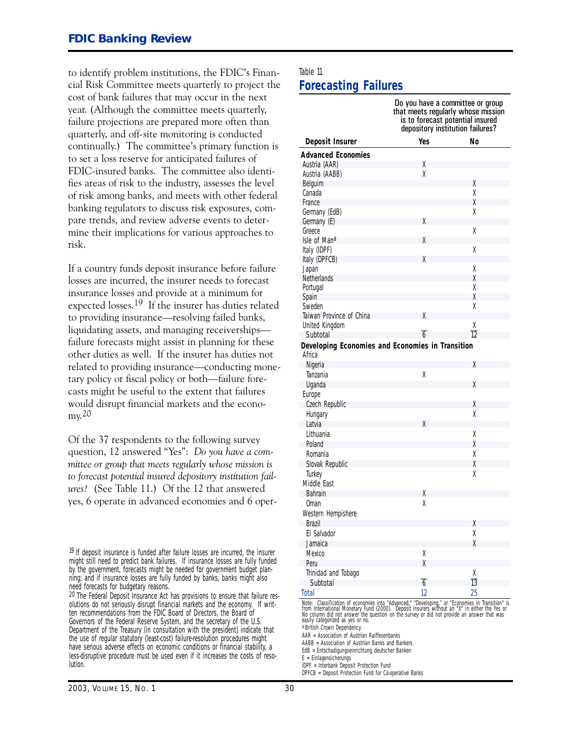to identify problem institutions, the FDIC's Financial Risk Committee meets quarterly to project the cost of bank failures that may occur in the next year. (Although the committee meets quarterly, failure projections are prepared more often than quarterly, and off-site monitoring is conducted continually.) The committee's primary function is to set a loss reserve for anticipated failures of FDIC-insured banks. The committee also identifies areas of risk to the industry, assesses the level of risk among banks, and meets with other federal banking regulators to discuss risk exposures, compare trends, and review adverse events to determine their implications for various approaches to risk.

If a country funds deposit insurance before failure losses are incurred, the insurer needs to forecast insurance losses and provide at a minimum for expected losses.19 If the insurer has duties related to providing insurance—resolving failed banks, liquidating assets, and managing receivershipsfailure forecasts might assist in planning for these other duties as well. If the insurer has duties not related to providing insurance—conducting monetary policy or fiscal policy or both-failure forecasts might be useful to the extent that failures would disrupt financial markets and the economy.20

Of the 37 respondents to the following survey question, 12 answered "Yes": *Do you have a committee or group that meets regularly whose mission is to forecast potential insured depository institution failures?* (See Table 11.) Of the 12 that answered yes, 6 operate in advanced economies and 6 oper-

<sup>19</sup> If deposit insurance is funded after failure losses are incurred, the insurer might still need to predict bank failures. If insurance losses are fully funded by the government, forecasts might be needed for government budget planning; and if insurance losses are fully funded by banks, banks might also need forecasts for budgetary reasons.

20 The Federal Deposit Insurance Act has provisions to ensure that failure resolutions do not seriously disrupt financial markets and the economy. If written recommendations from the FDIC Board of Directors, the Board of Governors of the Federal Reserve System, and the secretary of the U.S. Department of the Treasury (in consultation with the president) indicate that the use of regular statutory (least-cost) failure-resolution procedures might have serious adverse effects on economic conditions or financial stability, a less-disruptive procedure must be used even if it increases the costs of resolution.

#### [Table 11](#page-11-0) **Forecasting Failures**

|                                                                                                                                                                                                                                                                              | Do you have a committee or group<br>that meets regularly whose mission<br>is to forecast potential insured<br>depository institution failures? |                 |  |
|------------------------------------------------------------------------------------------------------------------------------------------------------------------------------------------------------------------------------------------------------------------------------|------------------------------------------------------------------------------------------------------------------------------------------------|-----------------|--|
| Deposit Insurer                                                                                                                                                                                                                                                              | Yes                                                                                                                                            | No              |  |
| <b>Advanced Economies</b>                                                                                                                                                                                                                                                    |                                                                                                                                                |                 |  |
| Austria (AAR)                                                                                                                                                                                                                                                                | Χ                                                                                                                                              |                 |  |
| Austria (AABB)                                                                                                                                                                                                                                                               | χ                                                                                                                                              |                 |  |
| Belguim                                                                                                                                                                                                                                                                      |                                                                                                                                                | χ               |  |
| Canada                                                                                                                                                                                                                                                                       |                                                                                                                                                | χ               |  |
| France                                                                                                                                                                                                                                                                       |                                                                                                                                                | χ               |  |
| Germany (EdB)                                                                                                                                                                                                                                                                |                                                                                                                                                | χ               |  |
| Germany (E)                                                                                                                                                                                                                                                                  | χ                                                                                                                                              |                 |  |
| Greece                                                                                                                                                                                                                                                                       |                                                                                                                                                | χ               |  |
| Isle of Mana                                                                                                                                                                                                                                                                 | χ                                                                                                                                              |                 |  |
| Italy (IDPF)                                                                                                                                                                                                                                                                 |                                                                                                                                                | χ               |  |
| Italy (DPFCB)                                                                                                                                                                                                                                                                | χ                                                                                                                                              |                 |  |
| Japan                                                                                                                                                                                                                                                                        |                                                                                                                                                | Χ               |  |
| Netherlands                                                                                                                                                                                                                                                                  |                                                                                                                                                | χ               |  |
| Portugal                                                                                                                                                                                                                                                                     |                                                                                                                                                | χ               |  |
| Spain                                                                                                                                                                                                                                                                        |                                                                                                                                                | χ               |  |
| Sweden                                                                                                                                                                                                                                                                       |                                                                                                                                                | χ               |  |
| Taiwan Province of China                                                                                                                                                                                                                                                     | χ                                                                                                                                              |                 |  |
| United Kingdom                                                                                                                                                                                                                                                               |                                                                                                                                                | Χ               |  |
| Subtotal                                                                                                                                                                                                                                                                     | $\overline{6}$                                                                                                                                 | $\overline{12}$ |  |
| Developing Economies and Economies in Transition<br>Africa                                                                                                                                                                                                                   |                                                                                                                                                |                 |  |
| Nigeria                                                                                                                                                                                                                                                                      |                                                                                                                                                | Χ               |  |
| Tanzania                                                                                                                                                                                                                                                                     | χ                                                                                                                                              |                 |  |
| Uganda                                                                                                                                                                                                                                                                       |                                                                                                                                                | χ               |  |
| Europe                                                                                                                                                                                                                                                                       |                                                                                                                                                |                 |  |
| Czech Republic                                                                                                                                                                                                                                                               |                                                                                                                                                | χ               |  |
| Hungary                                                                                                                                                                                                                                                                      |                                                                                                                                                | χ               |  |
| Latvia                                                                                                                                                                                                                                                                       | χ                                                                                                                                              |                 |  |
| Lithuania                                                                                                                                                                                                                                                                    |                                                                                                                                                | Χ               |  |
| Poland                                                                                                                                                                                                                                                                       |                                                                                                                                                | χ               |  |
| Romania                                                                                                                                                                                                                                                                      |                                                                                                                                                | χ               |  |
| Slovak Republic                                                                                                                                                                                                                                                              |                                                                                                                                                | χ               |  |
| Turkey                                                                                                                                                                                                                                                                       |                                                                                                                                                | χ               |  |
| Middle Fast                                                                                                                                                                                                                                                                  |                                                                                                                                                |                 |  |
| <b>Bahrain</b>                                                                                                                                                                                                                                                               | Χ                                                                                                                                              |                 |  |
| Oman                                                                                                                                                                                                                                                                         | X                                                                                                                                              |                 |  |
| Western Hempishere                                                                                                                                                                                                                                                           |                                                                                                                                                |                 |  |
| Brazil                                                                                                                                                                                                                                                                       |                                                                                                                                                | Χ               |  |
| El Salvador                                                                                                                                                                                                                                                                  |                                                                                                                                                | χ               |  |
| Jamaica                                                                                                                                                                                                                                                                      |                                                                                                                                                | χ               |  |
| Mexico                                                                                                                                                                                                                                                                       | χ                                                                                                                                              |                 |  |
| Peru                                                                                                                                                                                                                                                                         | X                                                                                                                                              |                 |  |
| Trinidad and Tobago                                                                                                                                                                                                                                                          |                                                                                                                                                | Χ               |  |
| Subtotal                                                                                                                                                                                                                                                                     | $\overline{6}$                                                                                                                                 | $\overline{13}$ |  |
|                                                                                                                                                                                                                                                                              |                                                                                                                                                |                 |  |
| Total                                                                                                                                                                                                                                                                        | 12                                                                                                                                             | 25              |  |
| <i>Note:</i> Classification of economies into "Advanced," "Developing," or "Economies in Transition" is<br>from International Monetary Fund (2000). Deposit insurers without an "X" in either the Yes or<br>No column did not answer the<br>easily categorized as yes or no. |                                                                                                                                                |                 |  |

a British Crown Dependency.

AAR = Association of Austrian Raiffesenbanks

AABB = Association of Austrian Banks and Bankers

EdB = Entschadigungseinrichtung deutscher Banken

E = Einlagensicherungs

IDPF = Interbank Deposit Protection Fund

DPFCB = Deposit Protection Fund for Co-operative Banks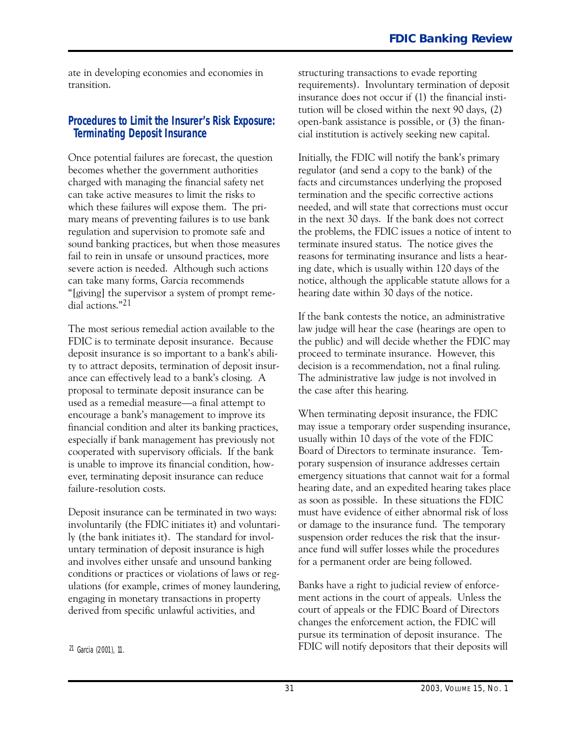ate in developing economies and economies in transition.

#### **Procedures to Limit the Insurer's Risk Exposure: Terminating Deposit Insurance**

Once potential failures are forecast, the question becomes whether the government authorities charged with managing the financial safety net can take active measures to limit the risks to which these failures will expose them. The primary means of preventing failures is to use bank regulation and supervision to promote safe and sound banking practices, but when those measures fail to rein in unsafe or unsound practices, more severe action is needed. Although such actions can take many forms, Garcia recommends "[giving] the supervisor a system of prompt remedial actions."21

The most serious remedial action available to the FDIC is to terminate deposit insurance. Because deposit insurance is so important to a bank's ability to attract deposits, termination of deposit insurance can effectively lead to a bank's closing. A proposal to terminate deposit insurance can be used as a remedial measure—a final attempt to encourage a bank's management to improve its financial condition and alter its banking practices, especially if bank management has previously not cooperated with supervisory officials. If the bank is unable to improve its financial condition, however, terminating deposit insurance can reduce failure-resolution costs.

Deposit insurance can be terminated in two ways: involuntarily (the FDIC initiates it) and voluntarily (the bank initiates it). The standard for involuntary termination of deposit insurance is high and involves either unsafe and unsound banking conditions or practices or violations of laws or regulations (for example, crimes of money laundering, engaging in monetary transactions in property derived from specific unlawful activities, and

structuring transactions to evade reporting requirements). Involuntary termination of deposit insurance does not occur if (1) the financial institution will be closed within the next 90 days, (2) open-bank assistance is possible, or  $(3)$  the financial institution is actively seeking new capital.

Initially, the FDIC will notify the bank's primary regulator (and send a copy to the bank) of the facts and circumstances underlying the proposed termination and the specific corrective actions needed, and will state that corrections must occur in the next 30 days. If the bank does not correct the problems, the FDIC issues a notice of intent to terminate insured status. The notice gives the reasons for terminating insurance and lists a hearing date, which is usually within 120 days of the notice, although the applicable statute allows for a hearing date within 30 days of the notice.

If the bank contests the notice, an administrative law judge will hear the case (hearings are open to the public) and will decide whether the FDIC may proceed to terminate insurance. However, this decision is a recommendation, not a final ruling. The administrative law judge is not involved in the case after this hearing.

When terminating deposit insurance, the FDIC may issue a temporary order suspending insurance, usually within 10 days of the vote of the FDIC Board of Directors to terminate insurance. Temporary suspension of insurance addresses certain emergency situations that cannot wait for a formal hearing date, and an expedited hearing takes place as soon as possible. In these situations the FDIC must have evidence of either abnormal risk of loss or damage to the insurance fund. The temporary suspension order reduces the risk that the insurance fund will suffer losses while the procedures for a permanent order are being followed.

Banks have a right to judicial review of enforcement actions in the court of appeals. Unless the court of appeals or the FDIC Board of Directors changes the enforcement action, the FDIC will pursue its termination of deposit insurance. The FDIC will notify depositors that their deposits will

<sup>21</sup> Garcia (2001), 11.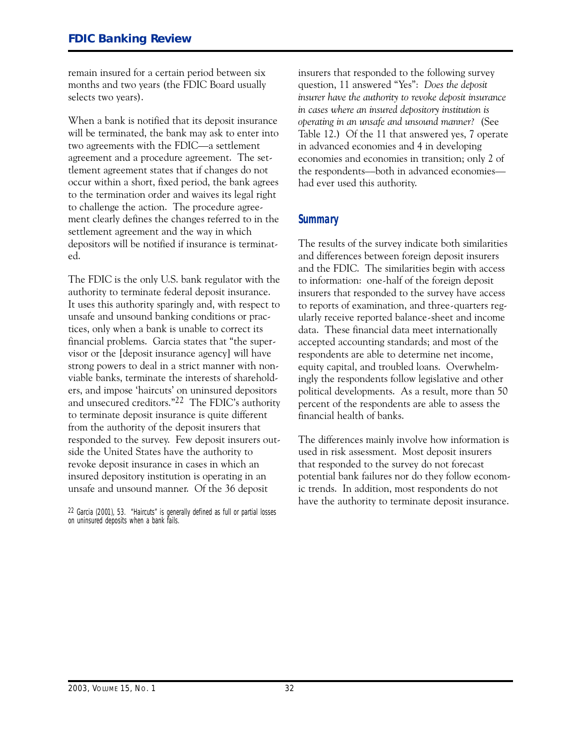remain insured for a certain period between six months and two years (the FDIC Board usually selects two years).

When a bank is notified that its deposit insurance will be terminated, the bank may ask to enter into two agreements with the FDIC-a settlement agreement and a procedure agreement. The settlement agreement states that if changes do not occur within a short, fixed period, the bank agrees to the termination order and waives its legal right to challenge the action. The procedure agreement clearly defines the changes referred to in the settlement agreement and the way in which depositors will be notified if insurance is terminated.

 unsafe and unsound manner. Of the 36 deposit The FDIC is the only U.S. bank regulator with the authority to terminate federal deposit insurance. It uses this authority sparingly and, with respect to unsafe and unsound banking conditions or practices, only when a bank is unable to correct its financial problems. Garcia states that "the supervisor or the [deposit insurance agency] will have strong powers to deal in a strict manner with nonviable banks, terminate the interests of shareholders, and impose 'haircuts' on uninsured depositors and unsecured creditors."22 The FDIC's authority to terminate deposit insurance is quite different from the authority of the deposit insurers that responded to the survey. Few deposit insurers outside the United States have the authority to revoke deposit insurance in cases in which an insured depository institution is operating in an

22 Garcia (2001), 53. "Haircuts" is generally defined as full or partial losses on uninsured deposits when a bank fails.

insurers that responded to the following survey question, 11 answered "Yes": *Does the deposit insurer have the authority to revoke deposit insurance in cases where an insured depository institution is operating in an unsafe and unsound manner?* (See Table 12.) Of the 11 that answered yes, 7 operate in advanced economies and 4 in developing economies and economies in transition; only 2 of the respondents--both in advanced economieshad ever used this authority.

#### **Summary**

The results of the survey indicate both similarities and differences between foreign deposit insurers and the FDIC. The similarities begin with access to information: one-half of the foreign deposit insurers that responded to the survey have access to reports of examination, and three-quarters regularly receive reported balance-sheet and income data. These financial data meet internationally accepted accounting standards; and most of the respondents are able to determine net income, equity capital, and troubled loans. Overwhelmingly the respondents follow legislative and other political developments. As a result, more than 50 percent of the respondents are able to assess the financial health of banks.

The differences mainly involve how information is used in risk assessment. Most deposit insurers that responded to the survey do not forecast potential bank failures nor do they follow economic trends. In addition, most respondents do not have the authority to terminate deposit insurance.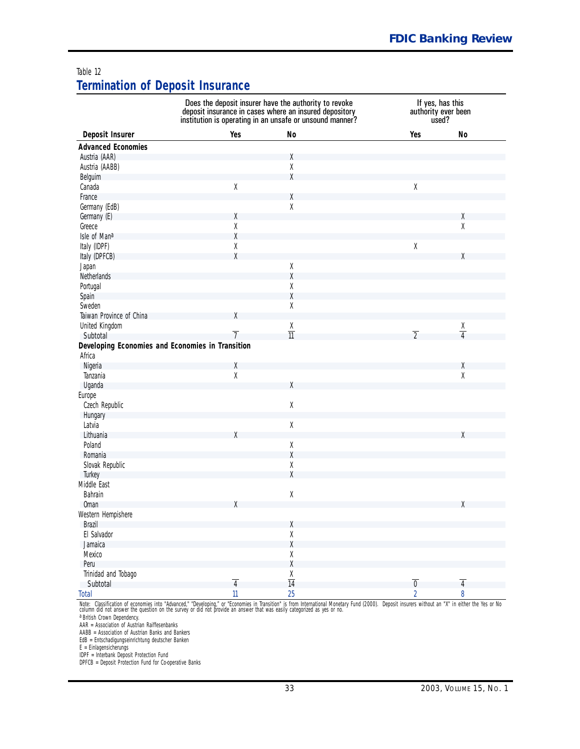#### <span id="page-33-0"></span>Table 12 **Termination of Deposit Insurance**

| Deposit Insurer<br>Yes<br><b>No</b><br>Yes<br>No<br><b>Advanced Economies</b><br>Austria (AAR)<br>χ<br>Χ<br>Austria (AABB)<br>χ<br>Belguim<br>Canada<br>$\mathsf X$<br>$\mathsf X$<br>χ<br>France<br>$\mathsf X$<br>Germany (EdB)<br>Germany (E)<br>Χ<br>χ<br>$\mathsf X$<br>χ<br>Greece<br>χ<br>Isle of Mana<br>$\mathsf X$<br>χ<br>Italy (IDPF)<br>X<br>Italy (DPFCB)<br>χ<br>$\mathsf X$<br>Japan<br>χ<br>Netherlands<br>Χ<br>Portugal<br>χ<br>Spain<br>Χ<br>Sweden<br>Taiwan Province of China<br>X<br>United Kingdom<br>χ<br>$\frac{X}{4}$<br>$\overline{11}$<br>$\overline{2}$<br>$\overline{7}$<br>Subtotal<br>Developing Economies and Economies in Transition<br>Africa<br>Nigeria<br>χ<br>χ<br>$\mathsf X$<br>χ<br>Tanzania<br>Uganda<br>χ<br>Europe<br>$\mathsf X$<br>Czech Republic<br>Hungary<br>$\mathsf X$<br>Latvia<br>Lithuania<br>χ<br>χ<br>Poland<br>χ<br>χ<br>Romania<br>χ<br>Slovak Republic<br>X<br>Turkey<br>$\mathsf X$<br>Bahrain<br><b>Oman</b><br>χ<br>χ<br>Western Hempishere<br>Brazil<br>χ<br>El Salvador<br>χ<br>χ<br>Jamaica<br>χ<br>Mexico<br>χ<br>Peru<br>Trinidad and Tobago<br>$\frac{X}{14}$<br>$\overline{4}$<br>$\overline{\mathbf{0}}$<br>$\overline{4}$<br>Subtotal<br>25<br>$\mathbf{11}$<br>$\overline{2}$<br>8<br><b>Total</b> |             | Does the deposit insurer have the authority to revoke<br>If yes, has this<br>deposit insurance in cases where an insured depository<br>authority ever been<br>institution is operating in an unsafe or unsound manner?<br>used? |  |  |  |  |
|----------------------------------------------------------------------------------------------------------------------------------------------------------------------------------------------------------------------------------------------------------------------------------------------------------------------------------------------------------------------------------------------------------------------------------------------------------------------------------------------------------------------------------------------------------------------------------------------------------------------------------------------------------------------------------------------------------------------------------------------------------------------------------------------------------------------------------------------------------------------------------------------------------------------------------------------------------------------------------------------------------------------------------------------------------------------------------------------------------------------------------------------------------------------------------------------------------------------------------------------------------------------------|-------------|---------------------------------------------------------------------------------------------------------------------------------------------------------------------------------------------------------------------------------|--|--|--|--|
|                                                                                                                                                                                                                                                                                                                                                                                                                                                                                                                                                                                                                                                                                                                                                                                                                                                                                                                                                                                                                                                                                                                                                                                                                                                                            |             |                                                                                                                                                                                                                                 |  |  |  |  |
|                                                                                                                                                                                                                                                                                                                                                                                                                                                                                                                                                                                                                                                                                                                                                                                                                                                                                                                                                                                                                                                                                                                                                                                                                                                                            |             |                                                                                                                                                                                                                                 |  |  |  |  |
|                                                                                                                                                                                                                                                                                                                                                                                                                                                                                                                                                                                                                                                                                                                                                                                                                                                                                                                                                                                                                                                                                                                                                                                                                                                                            |             |                                                                                                                                                                                                                                 |  |  |  |  |
|                                                                                                                                                                                                                                                                                                                                                                                                                                                                                                                                                                                                                                                                                                                                                                                                                                                                                                                                                                                                                                                                                                                                                                                                                                                                            |             |                                                                                                                                                                                                                                 |  |  |  |  |
|                                                                                                                                                                                                                                                                                                                                                                                                                                                                                                                                                                                                                                                                                                                                                                                                                                                                                                                                                                                                                                                                                                                                                                                                                                                                            |             |                                                                                                                                                                                                                                 |  |  |  |  |
|                                                                                                                                                                                                                                                                                                                                                                                                                                                                                                                                                                                                                                                                                                                                                                                                                                                                                                                                                                                                                                                                                                                                                                                                                                                                            |             |                                                                                                                                                                                                                                 |  |  |  |  |
|                                                                                                                                                                                                                                                                                                                                                                                                                                                                                                                                                                                                                                                                                                                                                                                                                                                                                                                                                                                                                                                                                                                                                                                                                                                                            |             |                                                                                                                                                                                                                                 |  |  |  |  |
|                                                                                                                                                                                                                                                                                                                                                                                                                                                                                                                                                                                                                                                                                                                                                                                                                                                                                                                                                                                                                                                                                                                                                                                                                                                                            |             |                                                                                                                                                                                                                                 |  |  |  |  |
|                                                                                                                                                                                                                                                                                                                                                                                                                                                                                                                                                                                                                                                                                                                                                                                                                                                                                                                                                                                                                                                                                                                                                                                                                                                                            |             |                                                                                                                                                                                                                                 |  |  |  |  |
|                                                                                                                                                                                                                                                                                                                                                                                                                                                                                                                                                                                                                                                                                                                                                                                                                                                                                                                                                                                                                                                                                                                                                                                                                                                                            |             |                                                                                                                                                                                                                                 |  |  |  |  |
|                                                                                                                                                                                                                                                                                                                                                                                                                                                                                                                                                                                                                                                                                                                                                                                                                                                                                                                                                                                                                                                                                                                                                                                                                                                                            |             |                                                                                                                                                                                                                                 |  |  |  |  |
|                                                                                                                                                                                                                                                                                                                                                                                                                                                                                                                                                                                                                                                                                                                                                                                                                                                                                                                                                                                                                                                                                                                                                                                                                                                                            |             |                                                                                                                                                                                                                                 |  |  |  |  |
|                                                                                                                                                                                                                                                                                                                                                                                                                                                                                                                                                                                                                                                                                                                                                                                                                                                                                                                                                                                                                                                                                                                                                                                                                                                                            |             |                                                                                                                                                                                                                                 |  |  |  |  |
|                                                                                                                                                                                                                                                                                                                                                                                                                                                                                                                                                                                                                                                                                                                                                                                                                                                                                                                                                                                                                                                                                                                                                                                                                                                                            |             |                                                                                                                                                                                                                                 |  |  |  |  |
|                                                                                                                                                                                                                                                                                                                                                                                                                                                                                                                                                                                                                                                                                                                                                                                                                                                                                                                                                                                                                                                                                                                                                                                                                                                                            |             |                                                                                                                                                                                                                                 |  |  |  |  |
|                                                                                                                                                                                                                                                                                                                                                                                                                                                                                                                                                                                                                                                                                                                                                                                                                                                                                                                                                                                                                                                                                                                                                                                                                                                                            |             |                                                                                                                                                                                                                                 |  |  |  |  |
|                                                                                                                                                                                                                                                                                                                                                                                                                                                                                                                                                                                                                                                                                                                                                                                                                                                                                                                                                                                                                                                                                                                                                                                                                                                                            |             |                                                                                                                                                                                                                                 |  |  |  |  |
|                                                                                                                                                                                                                                                                                                                                                                                                                                                                                                                                                                                                                                                                                                                                                                                                                                                                                                                                                                                                                                                                                                                                                                                                                                                                            |             |                                                                                                                                                                                                                                 |  |  |  |  |
|                                                                                                                                                                                                                                                                                                                                                                                                                                                                                                                                                                                                                                                                                                                                                                                                                                                                                                                                                                                                                                                                                                                                                                                                                                                                            |             |                                                                                                                                                                                                                                 |  |  |  |  |
|                                                                                                                                                                                                                                                                                                                                                                                                                                                                                                                                                                                                                                                                                                                                                                                                                                                                                                                                                                                                                                                                                                                                                                                                                                                                            |             |                                                                                                                                                                                                                                 |  |  |  |  |
|                                                                                                                                                                                                                                                                                                                                                                                                                                                                                                                                                                                                                                                                                                                                                                                                                                                                                                                                                                                                                                                                                                                                                                                                                                                                            |             |                                                                                                                                                                                                                                 |  |  |  |  |
|                                                                                                                                                                                                                                                                                                                                                                                                                                                                                                                                                                                                                                                                                                                                                                                                                                                                                                                                                                                                                                                                                                                                                                                                                                                                            |             |                                                                                                                                                                                                                                 |  |  |  |  |
|                                                                                                                                                                                                                                                                                                                                                                                                                                                                                                                                                                                                                                                                                                                                                                                                                                                                                                                                                                                                                                                                                                                                                                                                                                                                            |             |                                                                                                                                                                                                                                 |  |  |  |  |
|                                                                                                                                                                                                                                                                                                                                                                                                                                                                                                                                                                                                                                                                                                                                                                                                                                                                                                                                                                                                                                                                                                                                                                                                                                                                            |             |                                                                                                                                                                                                                                 |  |  |  |  |
|                                                                                                                                                                                                                                                                                                                                                                                                                                                                                                                                                                                                                                                                                                                                                                                                                                                                                                                                                                                                                                                                                                                                                                                                                                                                            |             |                                                                                                                                                                                                                                 |  |  |  |  |
|                                                                                                                                                                                                                                                                                                                                                                                                                                                                                                                                                                                                                                                                                                                                                                                                                                                                                                                                                                                                                                                                                                                                                                                                                                                                            |             |                                                                                                                                                                                                                                 |  |  |  |  |
|                                                                                                                                                                                                                                                                                                                                                                                                                                                                                                                                                                                                                                                                                                                                                                                                                                                                                                                                                                                                                                                                                                                                                                                                                                                                            |             |                                                                                                                                                                                                                                 |  |  |  |  |
|                                                                                                                                                                                                                                                                                                                                                                                                                                                                                                                                                                                                                                                                                                                                                                                                                                                                                                                                                                                                                                                                                                                                                                                                                                                                            |             |                                                                                                                                                                                                                                 |  |  |  |  |
|                                                                                                                                                                                                                                                                                                                                                                                                                                                                                                                                                                                                                                                                                                                                                                                                                                                                                                                                                                                                                                                                                                                                                                                                                                                                            |             |                                                                                                                                                                                                                                 |  |  |  |  |
|                                                                                                                                                                                                                                                                                                                                                                                                                                                                                                                                                                                                                                                                                                                                                                                                                                                                                                                                                                                                                                                                                                                                                                                                                                                                            |             |                                                                                                                                                                                                                                 |  |  |  |  |
|                                                                                                                                                                                                                                                                                                                                                                                                                                                                                                                                                                                                                                                                                                                                                                                                                                                                                                                                                                                                                                                                                                                                                                                                                                                                            |             |                                                                                                                                                                                                                                 |  |  |  |  |
|                                                                                                                                                                                                                                                                                                                                                                                                                                                                                                                                                                                                                                                                                                                                                                                                                                                                                                                                                                                                                                                                                                                                                                                                                                                                            |             |                                                                                                                                                                                                                                 |  |  |  |  |
|                                                                                                                                                                                                                                                                                                                                                                                                                                                                                                                                                                                                                                                                                                                                                                                                                                                                                                                                                                                                                                                                                                                                                                                                                                                                            |             |                                                                                                                                                                                                                                 |  |  |  |  |
|                                                                                                                                                                                                                                                                                                                                                                                                                                                                                                                                                                                                                                                                                                                                                                                                                                                                                                                                                                                                                                                                                                                                                                                                                                                                            |             |                                                                                                                                                                                                                                 |  |  |  |  |
|                                                                                                                                                                                                                                                                                                                                                                                                                                                                                                                                                                                                                                                                                                                                                                                                                                                                                                                                                                                                                                                                                                                                                                                                                                                                            |             |                                                                                                                                                                                                                                 |  |  |  |  |
|                                                                                                                                                                                                                                                                                                                                                                                                                                                                                                                                                                                                                                                                                                                                                                                                                                                                                                                                                                                                                                                                                                                                                                                                                                                                            |             |                                                                                                                                                                                                                                 |  |  |  |  |
|                                                                                                                                                                                                                                                                                                                                                                                                                                                                                                                                                                                                                                                                                                                                                                                                                                                                                                                                                                                                                                                                                                                                                                                                                                                                            | Middle East |                                                                                                                                                                                                                                 |  |  |  |  |
|                                                                                                                                                                                                                                                                                                                                                                                                                                                                                                                                                                                                                                                                                                                                                                                                                                                                                                                                                                                                                                                                                                                                                                                                                                                                            |             |                                                                                                                                                                                                                                 |  |  |  |  |
|                                                                                                                                                                                                                                                                                                                                                                                                                                                                                                                                                                                                                                                                                                                                                                                                                                                                                                                                                                                                                                                                                                                                                                                                                                                                            |             |                                                                                                                                                                                                                                 |  |  |  |  |
|                                                                                                                                                                                                                                                                                                                                                                                                                                                                                                                                                                                                                                                                                                                                                                                                                                                                                                                                                                                                                                                                                                                                                                                                                                                                            |             |                                                                                                                                                                                                                                 |  |  |  |  |
|                                                                                                                                                                                                                                                                                                                                                                                                                                                                                                                                                                                                                                                                                                                                                                                                                                                                                                                                                                                                                                                                                                                                                                                                                                                                            |             |                                                                                                                                                                                                                                 |  |  |  |  |
|                                                                                                                                                                                                                                                                                                                                                                                                                                                                                                                                                                                                                                                                                                                                                                                                                                                                                                                                                                                                                                                                                                                                                                                                                                                                            |             |                                                                                                                                                                                                                                 |  |  |  |  |
|                                                                                                                                                                                                                                                                                                                                                                                                                                                                                                                                                                                                                                                                                                                                                                                                                                                                                                                                                                                                                                                                                                                                                                                                                                                                            |             |                                                                                                                                                                                                                                 |  |  |  |  |
|                                                                                                                                                                                                                                                                                                                                                                                                                                                                                                                                                                                                                                                                                                                                                                                                                                                                                                                                                                                                                                                                                                                                                                                                                                                                            |             |                                                                                                                                                                                                                                 |  |  |  |  |
|                                                                                                                                                                                                                                                                                                                                                                                                                                                                                                                                                                                                                                                                                                                                                                                                                                                                                                                                                                                                                                                                                                                                                                                                                                                                            |             |                                                                                                                                                                                                                                 |  |  |  |  |
|                                                                                                                                                                                                                                                                                                                                                                                                                                                                                                                                                                                                                                                                                                                                                                                                                                                                                                                                                                                                                                                                                                                                                                                                                                                                            |             |                                                                                                                                                                                                                                 |  |  |  |  |
|                                                                                                                                                                                                                                                                                                                                                                                                                                                                                                                                                                                                                                                                                                                                                                                                                                                                                                                                                                                                                                                                                                                                                                                                                                                                            |             |                                                                                                                                                                                                                                 |  |  |  |  |
|                                                                                                                                                                                                                                                                                                                                                                                                                                                                                                                                                                                                                                                                                                                                                                                                                                                                                                                                                                                                                                                                                                                                                                                                                                                                            |             |                                                                                                                                                                                                                                 |  |  |  |  |

*Note:* Classification of economies into "Advanced," "Developing," or "Economies in Transition" is from International Monetary Fund (2000). Deposit insurers without an "X" in either the Yes or No<br>column did not answer the

a British Crown Dependency.

AAR = Association of Austrian Raiffesenbanks

AABB = Association of Austrian Banks and Bankers

EdB = Entschadigungseinrichtung deutscher Banken

E = Einlagensicherungs IDPF = Interbank Deposit Protection Fund

DPFCB = Deposit Protection Fund for Co-operative Banks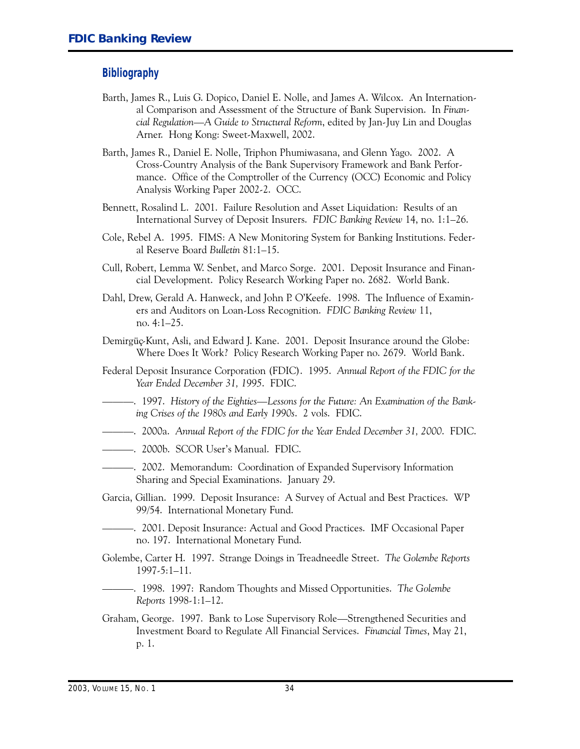#### **Bibliography**

- Barth, James R., Luis G. Dopico, Daniel E. Nolle, and James A. Wilcox. An International Comparison and Assessment of the Structure of Bank Supervision. In *Einancial Regulation—A Guide to Structural Reform*, edited by Jan-Juy Lin and Douglas Arner. Hong Kong: Sweet-Maxwell, 2002.
- Barth, James R., Daniel E. Nolle, Triphon Phumiwasana, and Glenn Yago. 2002. A Cross-Country Analysis of the Bank Supervisory Framework and Bank Performance. Office of the Comptroller of the Currency (OCC) Economic and Policy Analysis Working Paper 2002-2. OCC.
- Bennett, Rosalind L. 2001. Failure Resolution and Asset Liquidation: Results of an International Survey of Deposit Insurers. *EDIC Banking Review* 14, no. 1:1-26.
- Cole, Rebel A. 1995. FIMS: A New Monitoring System for Banking Institutions. Federal Reserve Board *Bulletin* 81:1-15.
- Cull, Robert, Lemma W. Senbet, and Marco Sorge. 2001. Deposit Insurance and Financial Development. Policy Research Working Paper no. 2682. World Bank.
- Dahl, Drew, Gerald A. Hanweck, and John P. O'Keefe. 1998. The Influence of Examiners and Auditors on Loan-Loss Recognition. *FDIC Banking Review* 11, no. 4:1-25.
- Demirgüç-Kunt, Asli, and Edward J. Kane. 2001. Deposit Insurance around the Globe: Where Does It Work? Policy Research Working Paper no. 2679. World Bank.
- Federal Deposit Insurance Corporation (FDIC). 1995. *Annual Report of the EDIC for the Year Ended December 31, 1995*. FDIC.
- <sup>-----</sup> 1997. History of the Eighties—Lessons for the Future: An Examination of the Bank-*ing Crises of the 1980s and Early 1990s*. 2 vols. FDIC.
- ---. 2000a. *Annual Report of the EDIC for the Year Ended December 31, 2000*. FDIC.
- ------------- 2000b. SCOR User's Manual. FDIC.
- --------------. 2002. Memorandum: Coordination of Expanded Supervisory Information Sharing and Special Examinations. January 29.
- Garcia, Gillian. 1999. Deposit Insurance: A Survey of Actual and Best Practices. WP 99/54. International Monetary Fund.
	- ---. 2001. Deposit Insurance: Actual and Good Practices. IMF Occasional Paper no. 197. International Monetary Fund.
- Golembe, Carter �. 1997. Strange Doings in Treadneedle Street. *The Golembe Reports*  $1997-5:1-11.$
- ---. 1998. 1997: Random Thoughts and Missed Opportunities. *The Golembe Reports* 1998-1:1-12.
- Graham, George. 1997. Bank to Lose Supervisory Role-Strengthened Securities and Investment Board to Regulate All Financial Services. *Einancial Times*, May 21, p. 1.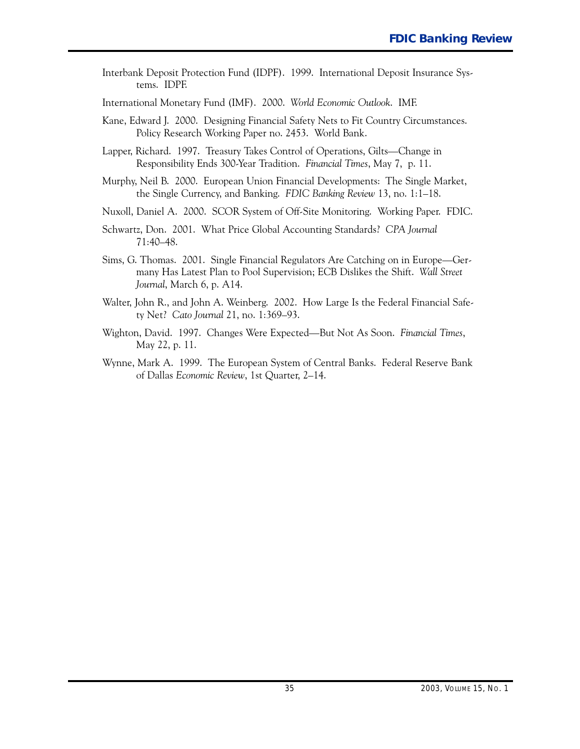Interbank Deposit Protection Fund (IDPF). 1999. International Deposit Insurance Systems. IDPF.

International Monetary Fund (IMF). 2000. *�orld Economic Outlook*. IMF.

- Kane, Edward J. 2000. Designing Financial Safety Nets to Fit Country Circumstances. Policy Research Working Paper no. 2453. World Bank.
- Lapper, Richard. 1997. Treasury Takes Control of Operations, Gilts-Change in Responsibility Ends 300Year Tradition. *Einancial Times*, May 7, p. 11.
- Murphy, Neil B. 2000. European Union Financial Developments: The Single Market, the Single Currency, and Banking. *EDIC Banking Review* 13, no. 1:1-18.
- Nuxoll, Daniel A. 2000. SCOR System of Off-Site Monitoring. Working Paper. FDIC.
- Schwartz, Don. 2001. What Price Global Accounting Standards? *CPA Journal* 71:40-48.
- Sims, G. Thomas. 2001. Single Financial Regulators Are Catching on in Europe—Germany Has Latest Plan to Pool Supervision; ECB Dislikes the Shift. Wall Street *Journal*, March 6, p. A14.
- Walter, John R., and John A. Weinberg. 2002. How Large Is the Federal Financial Safety Net? *Cato Journal* 21, no. 1:369-93.
- Wighton, David. 1997. Changes Were Expected-But Not As Soon. *Einancial Times*, May 22, p. 11.
- Wynne, Mark A. 1999. The European System of Central Banks. Federal Reserve Bank of Dallas *Economic Review*, 1st Quarter, 2-14.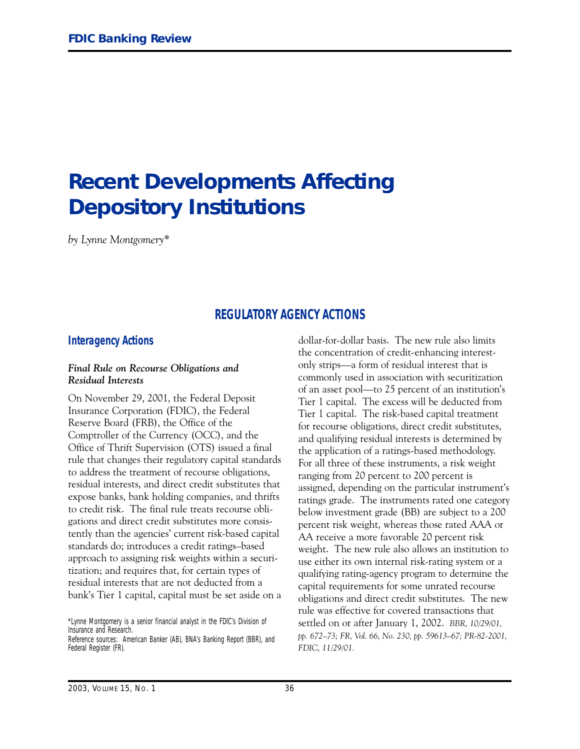## <span id="page-36-0"></span>**Recent Developments Affecting Depository Institutions**

*by Lynne Montgomery\**

#### **REGULATORY AGENCY ACTIONS**

#### **Interagency Actions**

#### *Final Rule on Recourse Obligations and Residual Interests*

On November 29, 2001, the Federal Deposit Insurance Corporation (FDIC), the Federal Reserve Board (FRB), the Office of the Comptroller of the Currency (OCC), and the Office of Thrift Supervision (OTS) issued a final rule that changes their regulatory capital standards to address the treatment of recourse obligations, residual interests, and direct credit substitutes that expose banks, bank holding companies, and thrifts to credit risk. The final rule treats recourse obligations and direct credit substitutes more consistently than the agencies' current risk-based capital standards do; introduces a credit ratings-based approach to assigning risk weights within a securitization; and requires that, for certain types of residual interests that are not deducted from a bank's Tier 1 capital, capital must be set aside on a

\*Lynne Montgomery is a senior financial analyst in the FDIC's Division of Insurance and Research.

Reference sources: *American Banker* (AB), *BNA's Banking Report* (BBR), and *Federal Register* (FR).

dollar-for-dollar basis. The new rule also limits the concentration of credit-enhancing interestonly strips-a form of residual interest that is commonly used in association with securitization of an asset pool-to 25 percent of an institution's Tier 1 capital. The excess will be deducted from Tier 1 capital. The risk-based capital treatment for recourse obligations, direct credit substitutes, and qualifying residual interests is determined by the application of a ratings-based methodology. For all three of these instruments, a risk weight ranging from 20 percent to 200 percent is assigned, depending on the particular instrument's ratings grade. The instruments rated one category below investment grade (BB) are subject to a 200 percent risk weight, whereas those rated AAA or AA receive a more favorable 20 percent risk weight. The new rule also allows an institution to use either its own internal risk-rating system or a qualifying rating-agency program to determine the capital requirements for some unrated recourse obligations and direct credit substitutes. The new rule was effective for covered transactions that settled on or after January 1, 2002. *BBR, 10/29/01, pp. 672-73; FR, Vol. 66, No. 230, pp. 59613-67; PR-82-2001, FDIC, 11/29/01.*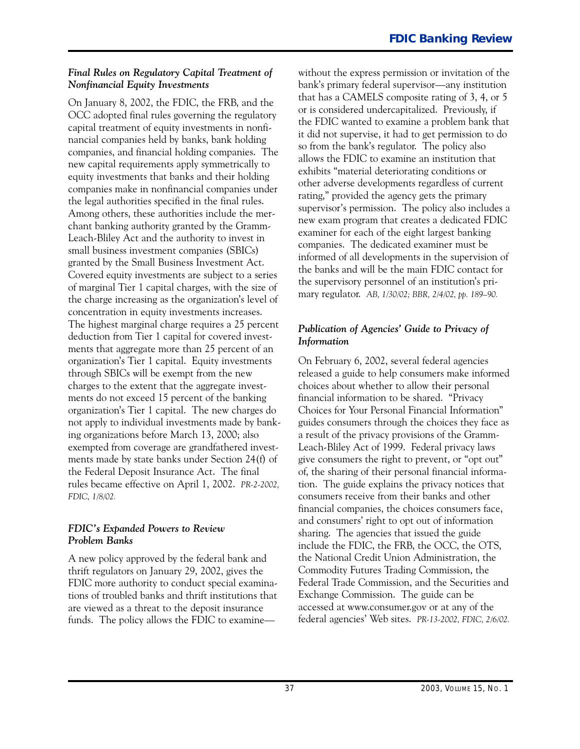#### *Final Rules on Regulatory Capital Treatment of Nonfinancial Equity Investments*

On January 8, 2002, the FDIC, the FRB, and the OCC adopted final rules governing the regulatory capital treatment of equity investments in nonfinancial companies held by banks, bank holding companies, and financial holding companies. The new capital requirements apply symmetrically to equity investments that banks and their holding companies make in nonfinancial companies under the legal authorities specified in the final rules. Among others, these authorities include the merchant banking authority granted by the Gramm-Leach-Bliley Act and the authority to invest in small business investment companies (SBICs) granted by the Small Business Investment Act. Covered equity investments are subject to a series of marginal Tier 1 capital charges, with the size of the charge increasing as the organization's level of concentration in equity investments increases. The highest marginal charge requires a 25 percent deduction from Tier 1 capital for covered investments that aggregate more than 25 percent of an organization's Tier 1 capital. Equity investments through SBICs will be exempt from the new charges to the extent that the aggregate investments do not exceed 15 percent of the banking organization's Tier 1 capital. The new charges do not apply to individual investments made by banking organizations before March 13, 2000; also exempted from coverage are grandfathered investments made by state banks under Section 24(f) of the Federal Deposit Insurance Act. The final rules became effective on April 1, 2002. *PR-2-2002, FDIC, 1/8/02.*

#### *FDIC's Expanded Powers to Review Problem Banks*

A new policy approved by the federal bank and thrift regulators on January 29, 2002, gives the FDIC more authority to conduct special examinations of troubled banks and thrift institutions that are viewed as a threat to the deposit insurance funds. The policy allows the FDIC to examinewithout the express permission or invitation of the bank's primary federal supervisor—any institution that has a CAMELS composite rating of 3, 4, or 5 or is considered undercapitalized. Previously, if the FDIC wanted to examine a problem bank that it did not supervise, it had to get permission to do so from the bank's regulator. The policy also allows the FDIC to examine an institution that exhibits "material deteriorating conditions or other adverse developments regardless of current rating," provided the agency gets the primary supervisor's permission. The policy also includes a new exam program that creates a dedicated FDIC examiner for each of the eight largest banking companies. The dedicated examiner must be informed of all developments in the supervision of the banks and will be the main FDIC contact for the supervisory personnel of an institution's primary regulator. *AB, 1/30/02; BBR, 2/4/02, pp. 189-90.*

#### *Publication of Agencies' Guide to Privacy of Information*

On February 6, 2002, several federal agencies released a guide to help consumers make informed choices about whether to allow their personal financial information to be shared. "Privacy Choices for Your Personal Financial Information" guides consumers through the choices they face as a result of the privacy provisions of the Gramm-Leach-Bliley Act of 1999. Federal privacy laws give consumers the right to prevent, or "opt out" of, the sharing of their personal financial information. The guide explains the privacy notices that consumers receive from their banks and other financial companies, the choices consumers face, and consumers' right to opt out of information sharing. The agencies that issued the guide include the FDIC, the FRB, the OCC, the OTS, the National Credit Union Administration, the Commodity Futures Trading Commission, the Federal Trade Commission, and the Securities and Exchange Commission. The guide can be accessed at www.consumer.gov or at any of the federal agencies' Web sites. *PR-13-2002, FDIC, 2/6/02.*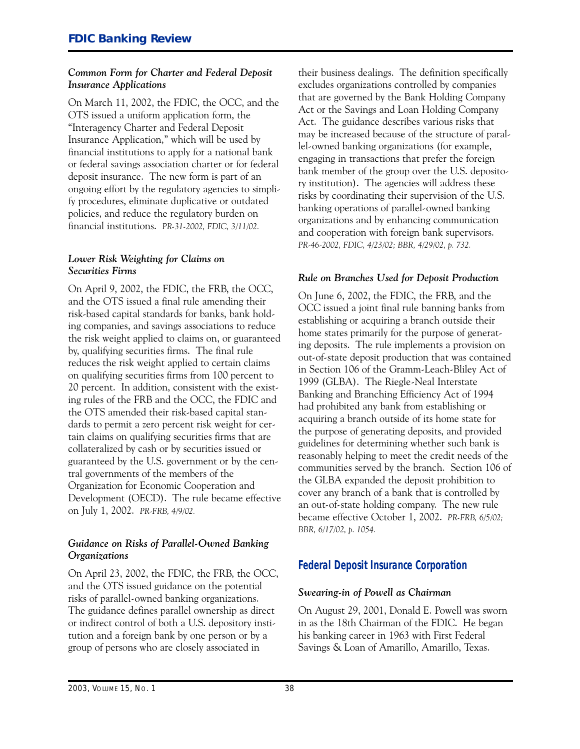#### *Common Form for Charter and Federal Deposit Insurance Applications*

On March 11, 2002, the FDIC, the OCC, and the OTS issued a uniform application form, the "Interagency Charter and Federal Deposit Insurance Application," which will be used by financial institutions to apply for a national bank or federal savings association charter or for federal deposit insurance. The new form is part of an ongoing effort by the regulatory agencies to simplify procedures, eliminate duplicative or outdated policies, and reduce the regulatory burden on financial institutions. *PR-31-2002, FDIC, 3/11/02.*

#### *Lower Risk Weighting for Claims on Securities Firms*

On April 9, 2002, the FDIC, the FRB, the OCC, and the OTS issued a final rule amending their risk-based capital standards for banks, bank holding companies, and savings associations to reduce the risk weight applied to claims on, or guaranteed by, qualifying securities firms. The final rule reduces the risk weight applied to certain claims on qualifying securities firms from 100 percent to 20 percent. In addition, consistent with the existing rules of the FRB and the OCC, the FDIC and the OTS amended their risk-based capital standards to permit a zero percent risk weight for certain claims on qualifying securities firms that are collateralized by cash or by securities issued or guaranteed by the U.S. government or by the central governments of the members of the Organization for Economic Cooperation and Development (OECD). The rule became effective on July 1, 2002. *PR-FRB, 4/9/02.*

#### *Guidance on Risks of Parallel-Owned Banking Organizations*

On April 23, 2002, the FDIC, the FRB, the OCC, and the OTS issued guidance on the potential risks of parallel-owned banking organizations. The guidance defines parallel ownership as direct or indirect control of both a U.S. depository institution and a foreign bank by one person or by a group of persons who are closely associated in

their business dealings. The definition specifically excludes organizations controlled by companies that are governed by the Bank Holding Company Act or the Savings and Loan Holding Company Act. The guidance describes various risks that may be increased because of the structure of parallel-owned banking organizations (for example, engaging in transactions that prefer the foreign bank member of the group over the U.S. depository institution). The agencies will address these risks by coordinating their supervision of the U.S. banking operations of parallel-owned banking organizations and by enhancing communication and cooperation with foreign bank supervisors. *PR-46-2002, FDIC, 4/23/02; BBR, 4/29/02, p. 732.*

#### *Rule on Branches Used for Deposit Production*

On June 6, 2002, the FDIC, the FRB, and the OCC issued a joint final rule banning banks from establishing or acquiring a branch outside their home states primarily for the purpose of generating deposits. The rule implements a provision on out-of-state deposit production that was contained in Section 106 of the Gramm-Leach-Bliley Act of 1999 (GLBA). The Riegle-Neal Interstate Banking and Branching Efficiency Act of 1994 had prohibited any bank from establishing or acquiring a branch outside of its home state for the purpose of generating deposits, and provided guidelines for determining whether such bank is reasonably helping to meet the credit needs of the communities served by the branch. Section 106 of the GLBA expanded the deposit prohibition to cover any branch of a bank that is controlled by an out-of-state holding company. The new rule became effective October 1, 2002. *PR-FRB, 6/5/02; BBR, 6/17/02, p. 1054.*

#### **Federal Deposit Insurance Corporation**

#### *Swearing-in of Powell as Chairman*

On August 29, 2001, Donald E. Powell was sworn in as the 18th Chairman of the FDIC. He began his banking career in 1963 with First Federal Savings & Loan of Amarillo, Amarillo, Texas.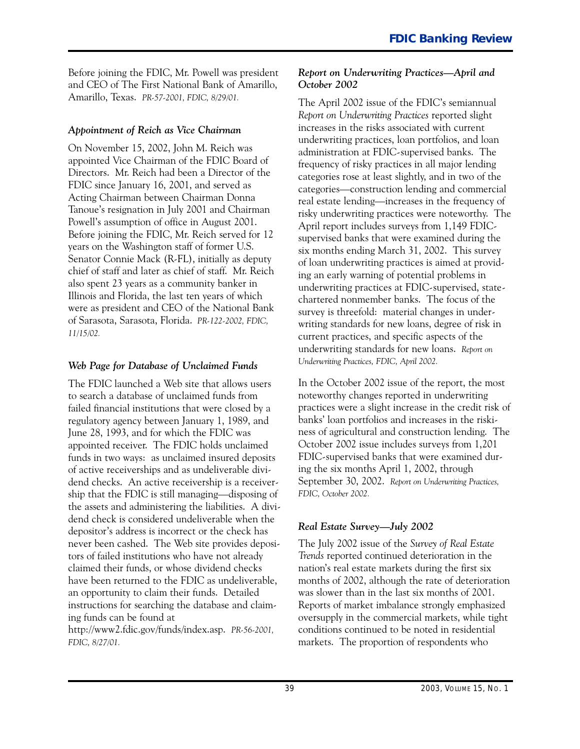Before joining the FDIC, Mr. Powell was president and CEO of The First National Bank of Amarillo, Amarillo, Texas. *PR-57-2001, FDIC, 8/29/01.*

#### *Appointment of Reich as Vice Chairman*

 Directors. Mr. Reich had been a Director of the chief of staff and later as chief of staff. Mr. Reich On November 15, 2002, John M. Reich was appointed Vice Chairman of the FDIC Board of FDIC since January 16, 2001, and served as Acting Chairman between Chairman Donna Tanoue's resignation in July 2001 and Chairman Powell's assumption of office in August 2001. Before joining the FDIC, Mr. Reich served for 12 years on the Washington staff of former U.S. Senator Connie Mack (R-FL), initially as deputy also spent 23 years as a community banker in Illinois and Florida, the last ten years of which were as president and CEO of the National Bank of Sarasota, Sarasota, Florida. *PR-122-2002, FDIC, 11/15/02.*

#### *Web Page for Database of Unclaimed Funds*

 the assets and administering the liabilities. A divi-The FDIC launched a Web site that allows users to search a database of unclaimed funds from failed financial institutions that were closed by a regulatory agency between January 1, 1989, and June 28, 1993, and for which the FDIC was appointed receiver. The FDIC holds unclaimed funds in two ways: as unclaimed insured deposits of active receiverships and as undeliverable dividend checks. An active receivership is a receivership that the FDIC is still managing—disposing of dend check is considered undeliverable when the depositor's address is incorrect or the check has never been cashed. The Web site provides depositors of failed institutions who have not already claimed their funds, or whose dividend checks have been returned to the FDIC as undeliverable, an opportunity to claim their funds. Detailed instructions for searching the database and claiming funds can be found at http://www2.fdic.gov/funds/index.asp. *PR-56-2001, FDIC, 8/27/01.*

#### *Report on Underwriting Practices-April and October 2002*

The April 2002 issue of the FDIC's semiannual *Report on Underwriting Practices* reported slight increases in the risks associated with current underwriting practices, loan portfolios, and loan administration at FDIC-supervised banks. The frequency of risky practices in all major lending categories rose at least slightly, and in two of the categories-construction lending and commercial real estate lending-increases in the frequency of risky underwriting practices were noteworthy. The April report includes surveys from 1,149 FDICsupervised banks that were examined during the six months ending March 31, 2002. This survey of loan underwriting practices is aimed at providing an early warning of potential problems in underwriting practices at FDIC-supervised, statechartered nonmember banks. The focus of the survey is threefold: material changes in underwriting standards for new loans, degree of risk in current practices, and specific aspects of the underwriting standards for new loans. *Report on Underwriting Practices, FDIC, April 2002.*

In the October 2002 issue of the report, the most noteworthy changes reported in underwriting practices were a slight increase in the credit risk of banks' loan portfolios and increases in the riskiness of agricultural and construction lending. The October 2002 issue includes surveys from 1,201 FDIC-supervised banks that were examined during the six months April 1, 2002, through September 30, 2002. *Report on Underwriting Practices, FDIC, October 2002.* 

#### *Real Estate Survey-July 2002*

The July 2002 issue of the *Survey of Real Estate Trends* reported continued deterioration in the nation's real estate markets during the first six months of 2002, although the rate of deterioration was slower than in the last six months of 2001. Reports of market imbalance strongly emphasized oversupply in the commercial markets, while tight conditions continued to be noted in residential markets. The proportion of respondents who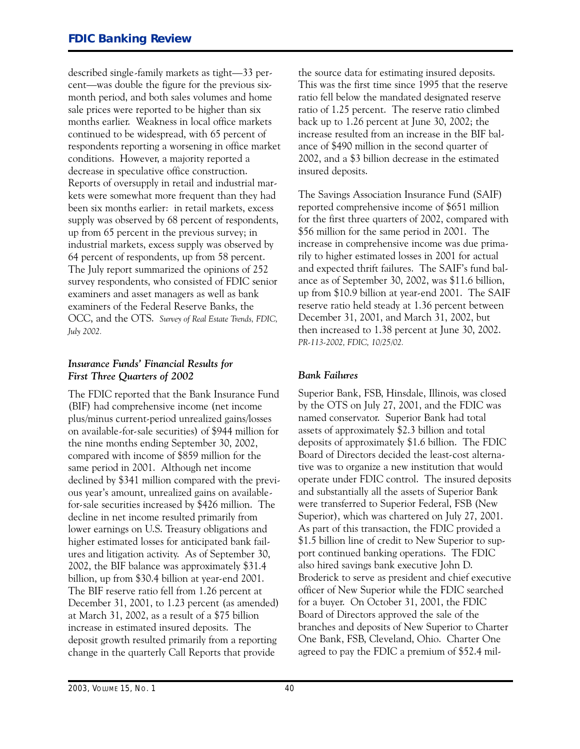months earlier. Weakness in local office markets described single-family markets as tight-33 percent—was double the figure for the previous sixmonth period, and both sales volumes and home sale prices were reported to be higher than six continued to be widespread, with 65 percent of respondents reporting a worsening in office market conditions. However, a majority reported a decrease in speculative office construction. Reports of oversupply in retail and industrial markets were somewhat more frequent than they had been six months earlier: in retail markets, excess supply was observed by 68 percent of respondents, up from 65 percent in the previous survey; in industrial markets, excess supply was observed by 64 percent of respondents, up from 58 percent. The July report summarized the opinions of 252 survey respondents, who consisted of FDIC senior examiners and asset managers as well as bank examiners of the Federal Reserve Banks, the OCC, and the OTS. *Survey of Real Estate Trends, FDIC, July 2002.*

#### *Insurance Funds' Financial Results for First Three Quarters of 2002*

The FDIC reported that the Bank Insurance Fund (BIF) had comprehensive income (net income plus/minus current-period unrealized gains/losses on available-for-sale securities) of \$944 million for the nine months ending September 30, 2002, compared with income of \$859 million for the same period in 2001. Although net income declined by \$341 million compared with the previous year's amount, unrealized gains on availablefor-sale securities increased by \$426 million. The decline in net income resulted primarily from lower earnings on U.S. Treasury obligations and higher estimated losses for anticipated bank failures and litigation activity. As of September 30, 2002, the BIF balance was approximately \$31.4 billion, up from \$30.4 billion at year-end 2001. The BIF reserve ratio fell from 1.26 percent at December 31, 2001, to 1.23 percent (as amended) at March 31, 2002, as a result of a \$75 billion increase in estimated insured deposits. The deposit growth resulted primarily from a reporting change in the quarterly Call Reports that provide

the source data for estimating insured deposits. This was the first time since 1995 that the reserve ratio fell below the mandated designated reserve ratio of 1.25 percent. The reserve ratio climbed back up to 1.26 percent at June 30, 2002; the increase resulted from an increase in the BIF balance of \$490 million in the second quarter of 2002, and a \$3 billion decrease in the estimated insured deposits.

The Savings Association Insurance Fund (SAIF) reported comprehensive income of \$651 million for the first three quarters of 2002, compared with \$56 million for the same period in 2001. The increase in comprehensive income was due primarily to higher estimated losses in 2001 for actual and expected thrift failures. The SAIF's fund balance as of September 30, 2002, was \$11.6 billion, up from \$10.9 billion at year-end 2001. The SAIF reserve ratio held steady at 1.36 percent between December 31, 2001, and March 31, 2002, but then increased to 1.38 percent at June 30, 2002. *PR-113-2002, FDIC, 10/25/02.*

#### *Bank Failures*

Superior Bank, FSB, Hinsdale, Illinois, was closed by the OTS on July 27, 2001, and the FDIC was named conservator. Superior Bank had total assets of approximately \$2.3 billion and total deposits of approximately \$1.6 billion. The FDIC Board of Directors decided the least-cost alternative was to organize a new institution that would operate under FDIC control. The insured deposits and substantially all the assets of Superior Bank were transferred to Superior Federal, FSB (New Superior), which was chartered on July 27, 2001. As part of this transaction, the FDIC provided a \$1.5 billion line of credit to New Superior to support continued banking operations. The FDIC also hired savings bank executive John D. Broderick to serve as president and chief executive officer of New Superior while the FDIC searched for a buyer. On October 31, 2001, the FDIC Board of Directors approved the sale of the branches and deposits of New Superior to Charter One Bank, FSB, Cleveland, Ohio. Charter One agreed to pay the FDIC a premium of \$52.4 mil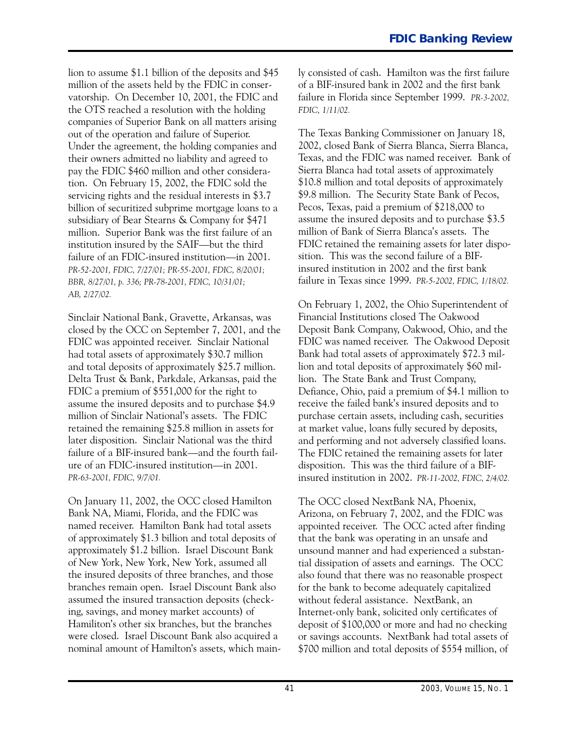lion to assume \$1.1 billion of the deposits and \$45 million of the assets held by the FDIC in conservatorship. On December 10, 2001, the FDIC and the OTS reached a resolution with the holding companies of Superior Bank on all matters arising out of the operation and failure of Superior. Under the agreement, the holding companies and their owners admitted no liability and agreed to pay the FDIC \$460 million and other consideration. On February 15, 2002, the FDIC sold the servicing rights and the residual interests in \$3.7 billion of securitized subprime mortgage loans to a subsidiary of Bear Stearns & Company for \$471 million. Superior Bank was the first failure of an institution insured by the SAIF-but the third failure of an FDIC-insured institution—in 2001. *PR-52-2001, FDIC, 7/27/01; PR-55-2001, FDIC, 8/20/01; BBR, 8/27/01, p. 336; PR-78-2001, FDIC, 10/31/01; AB, 2/27/02.* 

Sinclair National Bank, Gravette, Arkansas, was closed by the OCC on September 7, 2001, and the FDIC was appointed receiver. Sinclair National had total assets of approximately \$30.7 million and total deposits of approximately \$25.7 million. Delta Trust & Bank, Parkdale, Arkansas, paid the FDIC a premium of \$551,000 for the right to assume the insured deposits and to purchase \$4.9 million of Sinclair National's assets. The FDIC retained the remaining \$25.8 million in assets for later disposition. Sinclair National was the third failure of a BIF-insured bank—and the fourth failure of an FDIC-insured institution-in 2001. *PR-63-2001, FDIC, 9/7/01.*

On January 11, 2002, the OCC closed Hamilton Bank NA, Miami, Florida, and the FDIC was named receiver. Hamilton Bank had total assets of approximately \$1.3 billion and total deposits of approximately \$1.2 billion. Israel Discount Bank of New York, New York, New York, assumed all the insured deposits of three branches, and those branches remain open. Israel Discount Bank also assumed the insured transaction deposits (checking, savings, and money market accounts) of Hamiliton's other six branches, but the branches were closed. Israel Discount Bank also acquired a nominal amount of Hamilton's assets, which mainly consisted of cash. Hamilton was the first failure of a BIF-insured bank in 2002 and the first bank failure in Florida since September 1999. *PR-3-2002, FDIC, 1/11/02.*

The Texas Banking Commissioner on January 18, 2002, closed Bank of Sierra Blanca, Sierra Blanca, Texas, and the FDIC was named receiver. Bank of Sierra Blanca had total assets of approximately \$10.8 million and total deposits of approximately \$9.8 million. The Security State Bank of Pecos, Pecos, Texas, paid a premium of \$218,000 to assume the insured deposits and to purchase \$3.5 million of Bank of Sierra Blanca's assets. The FDIC retained the remaining assets for later disposition. This was the second failure of a BIFinsured institution in 2002 and the first bank failure in Texas since 1999. *PR-5-2002, FDIC, 1/18/02.*

On February 1, 2002, the Ohio Superintendent of Financial Institutions closed The Oakwood Deposit Bank Company, Oakwood, Ohio, and the FDIC was named receiver. The Oakwood Deposit Bank had total assets of approximately \$72.3 million and total deposits of approximately \$60 million. The State Bank and Trust Company, Defiance, Ohio, paid a premium of \$4.1 million to receive the failed bank's insured deposits and to purchase certain assets, including cash, securities at market value, loans fully secured by deposits, and performing and not adversely classified loans. The FDIC retained the remaining assets for later disposition. This was the third failure of a BIFinsured institution in 2002. *PR-11-2002, FDIC, 2/4/02.*

The OCC closed NextBank NA, Phoenix, Arizona, on February 7, 2002, and the FDIC was appointed receiver. The OCC acted after finding that the bank was operating in an unsafe and unsound manner and had experienced a substantial dissipation of assets and earnings. The OCC also found that there was no reasonable prospect for the bank to become adequately capitalized without federal assistance. NextBank, an Internet-only bank, solicited only certificates of deposit of \$100,000 or more and had no checking or savings accounts. NextBank had total assets of \$700 million and total deposits of \$554 million, of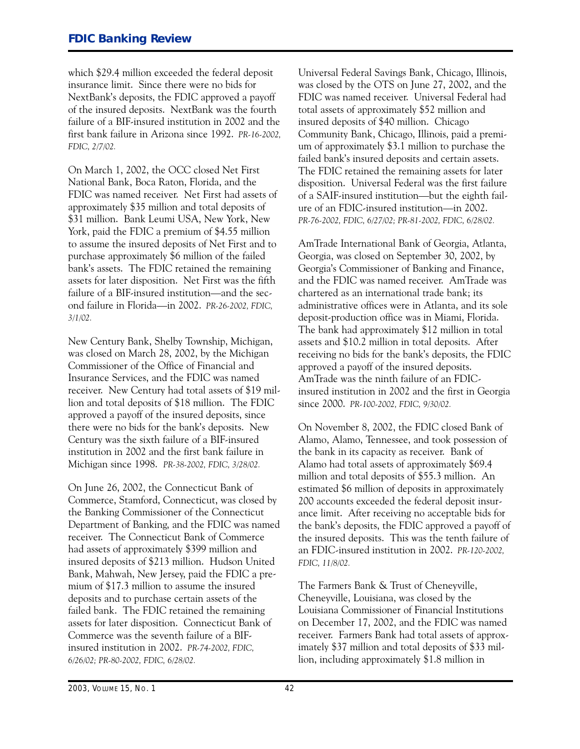which \$29.4 million exceeded the federal deposit insurance limit. Since there were no bids for NextBank's deposits, the FDIC approved a payoff of the insured deposits. NextBank was the fourth failure of a BIF-insured institution in 2002 and the first bank failure in Arizona since 1992. *PR-16-2002, FDIC, 2/7/02.*

On March 1, 2002, the OCC closed Net First National Bank, Boca Raton, Florida, and the FDIC was named receiver. Net First had assets of approximately \$35 million and total deposits of \$31 million. Bank Leumi USA, New York, New York, paid the FDIC a premium of \$4.55 million to assume the insured deposits of Net First and to purchase approximately \$6 million of the failed bank's assets. The FDIC retained the remaining assets for later disposition. Net First was the fifth failure of a BIF-insured institution—and the second failure in Florida-in 2002. *PR-26-2002, FDIC, 3/1/02.*

New Century Bank, Shelby Township, Michigan, was closed on March 28, 2002, by the Michigan Commissioner of the Office of Financial and Insurance Services, and the FDIC was named receiver. New Century had total assets of \$19 million and total deposits of \$18 million. The FDIC approved a payoff of the insured deposits, since there were no bids for the bank's deposits. New Century was the sixth failure of a BIF-insured institution in 2002 and the first bank failure in Michigan since 1998. *PR-38-2002, FDIC, 3/28/02.* 

On June 26, 2002, the Connecticut Bank of Commerce, Stamford, Connecticut, was closed by the Banking Commissioner of the Connecticut Department of Banking, and the FDIC was named receiver. The Connecticut Bank of Commerce had assets of approximately \$399 million and insured deposits of \$213 million. Hudson United Bank, Mahwah, New Jersey, paid the FDIC a premium of \$17.3 million to assume the insured deposits and to purchase certain assets of the failed bank. The FDIC retained the remaining assets for later disposition. Connecticut Bank of Commerce was the seventh failure of a BIFinsured institution in 2002. *PR-74-2002, FDIC, 6/26/02; PR-80-2002, FDIC, 6/28/02.*

Universal Federal Savings Bank, Chicago, Illinois, was closed by the OTS on June 27, 2002, and the FDIC was named receiver. Universal Federal had total assets of approximately \$52 million and insured deposits of \$40 million. Chicago Community Bank, Chicago, Illinois, paid a premium of approximately \$3.1 million to purchase the failed bank's insured deposits and certain assets. The FDIC retained the remaining assets for later disposition. Universal Federal was the first failure of a SAIF-insured institution-but the eighth failure of an FDIC-insured institution-in 2002. *PR-76-2002, FDIC, 6/27/02; PR-81-2002, FDIC, 6/28/02.*

AmTrade International Bank of Georgia, Atlanta, Georgia, was closed on September 30, 2002, by Georgia's Commissioner of Banking and Finance, and the FDIC was named receiver. AmTrade was chartered as an international trade bank; its administrative offices were in Atlanta, and its sole deposit-production office was in Miami, Florida. The bank had approximately \$12 million in total assets and \$10.2 million in total deposits. After receiving no bids for the bank's deposits, the FDIC approved a payoff of the insured deposits. AmTrade was the ninth failure of an FDICinsured institution in 2002 and the first in Georgia since 2000. *PR-100-2002, FDIC, 9/30/02.*

On November 8, 2002, the FDIC closed Bank of Alamo, Alamo, Tennessee, and took possession of the bank in its capacity as receiver. Bank of Alamo had total assets of approximately \$69.4 million and total deposits of \$55.3 million. An estimated \$6 million of deposits in approximately 200 accounts exceeded the federal deposit insurance limit. After receiving no acceptable bids for the bank's deposits, the FDIC approved a payoff of the insured deposits. This was the tenth failure of an FDIC-insured institution in 2002. *PR-120-2002, FDIC, 11/8/02.*

The Farmers Bank & Trust of Cheneyville, Cheneyville, Louisiana, was closed by the Louisiana Commissioner of Financial Institutions on December 17, 2002, and the FDIC was named receiver. Farmers Bank had total assets of approximately \$37 million and total deposits of \$33 million, including approximately \$1.8 million in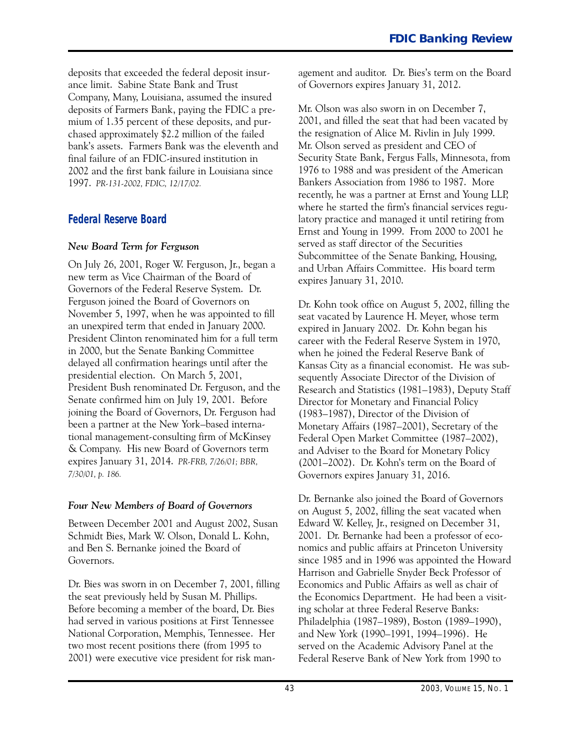deposits that exceeded the federal deposit insurance limit. Sabine State Bank and Trust Company, Many, Louisiana, assumed the insured deposits of Farmers Bank, paying the FDIC a premium of 1.35 percent of these deposits, and purchased approximately \$2.2 million of the failed bank's assets. Farmers Bank was the eleventh and final failure of an FDIC-insured institution in 2002 and the first bank failure in Louisiana since 1997. *PR-131-2002, FDIC, 12/17/02.*

#### **Federal Reserve Board**

#### *New Board Term for Ferguson*

On July 26, 2001, Roger W. Ferguson, Jr., began a new term as Vice Chairman of the Board of Governors of the Federal Reserve System. Dr. Ferguson joined the Board of Governors on November 5, 1997, when he was appointed to fill an unexpired term that ended in January 2000. President Clinton renominated him for a full term in 2000, but the Senate Banking Committee delayed all confirmation hearings until after the presidential election. On March 5, 2001, President Bush renominated Dr. Ferguson, and the Senate confirmed him on July 19, 2001. Before joining the Board of Governors, Dr. Ferguson had been a partner at the New York-based international management-consulting firm of McKinsey & Company. His new Board of Governors term expires January 31, 2014. *PR-FRB, 7/26/01; BBR, 7/30/01, p. 186.*

#### *Four New Members of Board of Governors*

Between December 2001 and August 2002, Susan Schmidt Bies, Mark W. Olson, Donald L. Kohn, and Ben S. Bernanke joined the Board of Governors.

Dr. Bies was sworn in on December 7, 2001, filling the seat previously held by Susan M. Phillips. Before becoming a member of the board, Dr. Bies had served in various positions at First Tennessee National Corporation, Memphis, Tennessee. Her two most recent positions there (from 1995 to 2001) were executive vice president for risk man-

 agement and auditor. Dr. Bies's term on the Board of Governors expires January 31, 2012.

Mr. Olson was also sworn in on December 7, 2001, and filled the seat that had been vacated by the resignation of Alice M. Rivlin in July 1999. Mr. Olson served as president and CEO of Security State Bank, Fergus Falls, Minnesota, from 1976 to 1988 and was president of the American Bankers Association from 1986 to 1987. More recently, he was a partner at Ernst and Young LLP, where he started the firm's financial services regulatory practice and managed it until retiring from Ernst and Young in 1999. From 2000 to 2001 he served as staff director of the Securities Subcommittee of the Senate Banking, Housing, and Urban Affairs Committee. His board term expires January 31, 2010.

 expired in January 2002. Dr. Kohn began his (2001-2002). Dr. Kohn's term on the Board of Dr. Kohn took office on August 5, 2002, filling the seat vacated by Laurence H. Meyer, whose term career with the Federal Reserve System in 1970, when he joined the Federal Reserve Bank of Kansas City as a financial economist. He was subsequently Associate Director of the Division of Research and Statistics (1981-1983), Deputy Staff Director for Monetary and Financial Policy (1983-1987), Director of the Division of Monetary Affairs (1987-2001), Secretary of the Federal Open Market Committee (1987-2002), and Adviser to the Board for Monetary Policy Governors expires January 31, 2016.

 Edward W. Kelley, Jr., resigned on December 31, 2001. Dr. Bernanke had been a professor of eco-Dr. Bernanke also joined the Board of Governors on August 5, 2002, filling the seat vacated when nomics and public affairs at Princeton University since 1985 and in 1996 was appointed the Howard Harrison and Gabrielle Snyder Beck Professor of Economics and Public Affairs as well as chair of the Economics Department. He had been a visiting scholar at three Federal Reserve Banks: Philadelphia (1987-1989), Boston (1989-1990), and New York (1990-1991, 1994-1996). He served on the Academic Advisory Panel at the Federal Reserve Bank of New York from 1990 to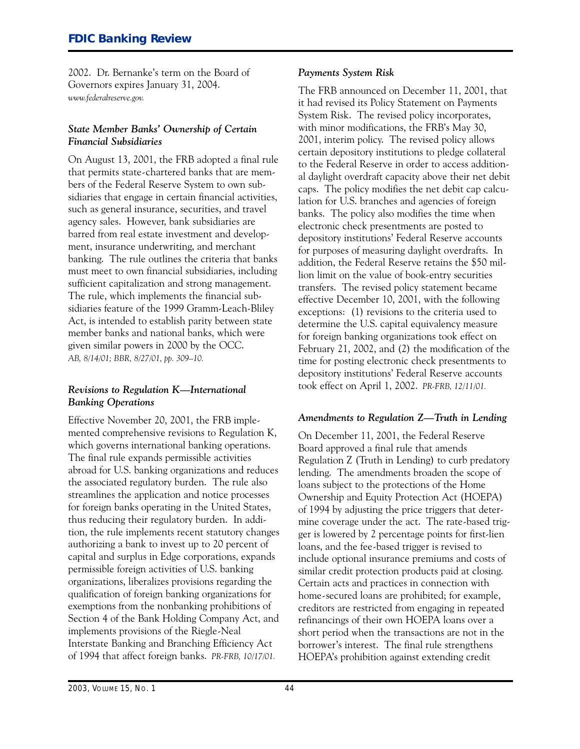2002. Dr. Bernanke's term on the Board of Governors expires January 31, 2004. *www.federalreserve.gov.*

#### *State Member Banks' Ownership of Certain Financial Subsidiaries*

On August 13, 2001, the FRB adopted a final rule that permits state-chartered banks that are members of the Federal Reserve System to own subsidiaries that engage in certain financial activities, such as general insurance, securities, and travel agency sales. However, bank subsidiaries are barred from real estate investment and development, insurance underwriting, and merchant banking. The rule outlines the criteria that banks must meet to own financial subsidiaries, including sufficient capitalization and strong management. The rule, which implements the financial subsidiaries feature of the 1999 Gramm-Leach-Bliley Act, is intended to establish parity between state member banks and national banks, which were given similar powers in 2000 by the OCC. *AB, 8/14/01; BBR, 8/27/01, pp. 309-10.*

#### *Revisions to Regulation K-International Banking Operations*

Effective November 20, 2001, the FRB implemented comprehensive revisions to Regulation K, which governs international banking operations. The final rule expands permissible activities abroad for U.S. banking organizations and reduces the associated regulatory burden. The rule also streamlines the application and notice processes for foreign banks operating in the United States, thus reducing their regulatory burden. In addition, the rule implements recent statutory changes authorizing a bank to invest up to 20 percent of capital and surplus in Edge corporations, expands permissible foreign activities of U.S. banking organizations, liberalizes provisions regarding the qualification of foreign banking organizations for exemptions from the nonbanking prohibitions of Section 4 of the Bank Holding Company Act, and implements provisions of the Riegle-Neal Interstate Banking and Branching Efficiency Act of 1994 that affect foreign banks. *PR-FRB, 10/17/01.*

#### *Payments System Risk*

The FRB announced on December 11, 2001, that it had revised its Policy Statement on Payments System Risk. The revised policy incorporates, with minor modifications, the FRB's May 30, 2001, interim policy. The revised policy allows certain depository institutions to pledge collateral to the Federal Reserve in order to access additional daylight overdraft capacity above their net debit caps. The policy modifies the net debit cap calculation for U.S. branches and agencies of foreign banks. The policy also modifies the time when electronic check presentments are posted to depository institutions' Federal Reserve accounts for purposes of measuring daylight overdrafts. In addition, the Federal Reserve retains the \$50 million limit on the value of book-entry securities transfers. The revised policy statement became effective December 10, 2001, with the following exceptions: (1) revisions to the criteria used to determine the U.S. capital equivalency measure for foreign banking organizations took effect on February 21, 2002, and (2) the modification of the time for posting electronic check presentments to depository institutions' Federal Reserve accounts took effect on April 1, 2002. *PR-FRB, 12/11/01.*

#### *Amendments to Regulation Z-Truth in Lending*

On December 11, 2001, the Federal Reserve Board approved a final rule that amends Regulation Z (Truth in Lending) to curb predatory lending. The amendments broaden the scope of loans subject to the protections of the Home Ownership and Equity Protection Act (HOEPA) of 1994 by adjusting the price triggers that determine coverage under the act. The rate-based trigger is lowered by 2 percentage points for first-lien loans, and the fee-based trigger is revised to include optional insurance premiums and costs of similar credit protection products paid at closing. Certain acts and practices in connection with home-secured loans are prohibited; for example, creditors are restricted from engaging in repeated refinancings of their own HOEPA loans over a short period when the transactions are not in the borrower's interest. The final rule strengthens HOEPA's prohibition against extending credit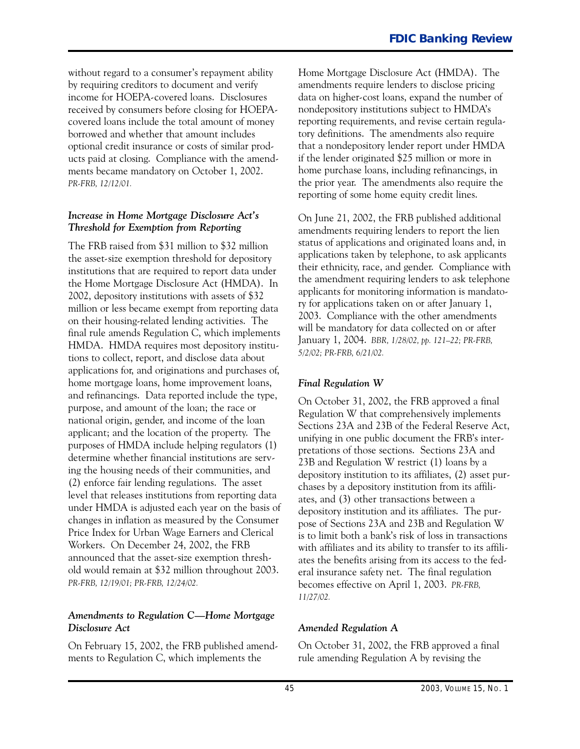without regard to a consumer's repayment ability by requiring creditors to document and verify income for HOEPA-covered loans. Disclosures received by consumers before closing for HOEPAcovered loans include the total amount of money borrowed and whether that amount includes optional credit insurance or costs of similar products paid at closing. Compliance with the amendments became mandatory on October 1, 2002. *PR-FRB, 12/12/01.*

#### *Increase in Home Mortgage Disclosure Act's Threshold for Exemption from Reporting*

The FRB raised from \$31 million to \$32 million the asset-size exemption threshold for depository institutions that are required to report data under the Home Mortgage Disclosure Act (HMDA). In 2002, depository institutions with assets of \$32 million or less became exempt from reporting data on their housing-related lending activities. The final rule amends Regulation C, which implements HMDA. HMDA requires most depository institutions to collect, report, and disclose data about applications for, and originations and purchases of, home mortgage loans, home improvement loans, and refinancings. Data reported include the type, purpose, and amount of the loan; the race or national origin, gender, and income of the loan applicant; and the location of the property. The purposes of HMDA include helping regulators (1) determine whether financial institutions are serving the housing needs of their communities, and (2) enforce fair lending regulations. The asset level that releases institutions from reporting data under HMDA is adjusted each year on the basis of changes in inflation as measured by the Consumer Price Index for Urban Wage Earners and Clerical Workers. On December 24, 2002, the FRB announced that the asset-size exemption threshold would remain at \$32 million throughout 2003. *PR-FRB, 12/19/01; PR-FRB, 12/24/02.*

#### *Amendments to Regulation C-Home Mortgage Disclosure Act*

On February 15, 2002, the FRB published amendments to Regulation C, which implements the

Home Mortgage Disclosure Act (HMDA). The amendments require lenders to disclose pricing data on higher-cost loans, expand the number of nondepository institutions subject to HMDA's reporting requirements, and revise certain regulatory definitions. The amendments also require that a nondepository lender report under HMDA if the lender originated \$25 million or more in home purchase loans, including refinancings, in the prior year. The amendments also require the reporting of some home equity credit lines.

On June 21, 2002, the FRB published additional amendments requiring lenders to report the lien status of applications and originated loans and, in applications taken by telephone, to ask applicants their ethnicity, race, and gender. Compliance with the amendment requiring lenders to ask telephone applicants for monitoring information is mandatory for applications taken on or after January 1, 2003. Compliance with the other amendments will be mandatory for data collected on or after January 1, 2004. *BBR, 1/28/02, pp. 121-22; PR-FRB, 5/2/02; PR-FRB, 6/21/02.*

#### *Final Regulation W*

On October 31, 2002, the FRB approved a final Regulation W that comprehensively implements Sections 23A and 23B of the Federal Reserve Act, unifying in one public document the FRB's interpretations of those sections. Sections 23A and 23B and Regulation W restrict (1) loans by a depository institution to its affiliates, (2) asset purchases by a depository institution from its affiliates, and (3) other transactions between a depository institution and its affiliates. The purpose of Sections 23A and 23B and Regulation W is to limit both a bank's risk of loss in transactions with affiliates and its ability to transfer to its affiliates the benefits arising from its access to the federal insurance safety net. The final regulation becomes effective on April 1, 2003. *PR-FRB, 11/27/02.*

#### *Amended Regulation A*

On October 31, 2002, the FRB approved a final rule amending Regulation A by revising the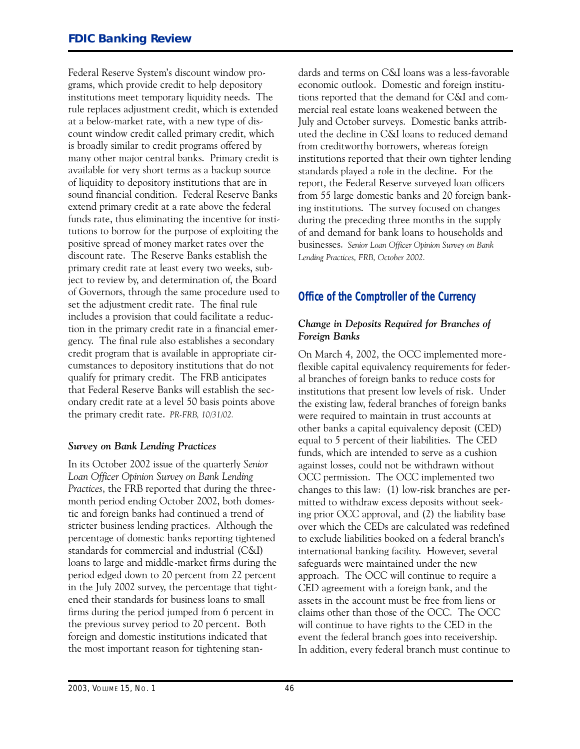Federal Reserve System's discount window programs, which provide credit to help depository institutions meet temporary liquidity needs. The rule replaces adjustment credit, which is extended at a below-market rate, with a new type of discount window credit called primary credit, which is broadly similar to credit programs offered by many other major central banks. Primary credit is available for very short terms as a backup source of liquidity to depository institutions that are in sound financial condition. Federal Reserve Banks extend primary credit at a rate above the federal funds rate, thus eliminating the incentive for institutions to borrow for the purpose of exploiting the positive spread of money market rates over the discount rate. The Reserve Banks establish the primary credit rate at least every two weeks, subject to review by, and determination of, the Board of Governors, through the same procedure used to set the adjustment credit rate. The final rule includes a provision that could facilitate a reduction in the primary credit rate in a financial emergency. The final rule also establishes a secondary credit program that is available in appropriate circumstances to depository institutions that do not qualify for primary credit. The FRB anticipates that Federal Reserve Banks will establish the secondary credit rate at a level 50 basis points above the primary credit rate. *PR-FRB, 10/31/02.*

#### *Survey on Bank Lending Practices*

In its October 2002 issue of the quarterly *Senior Loan Officer Opinion Survey on Bank Lending Practices*, the FRB reported that during the threemonth period ending October 2002, both domestic and foreign banks had continued a trend of stricter business lending practices. Although the percentage of domestic banks reporting tightened standards for commercial and industrial (C&I) loans to large and middle-market firms during the period edged down to 20 percent from 22 percent in the July 2002 survey, the percentage that tightened their standards for business loans to small firms during the period jumped from 6 percent in the previous survey period to 20 percent. Both foreign and domestic institutions indicated that the most important reason for tightening standards and terms on C&I loans was a less-favorable economic outlook. Domestic and foreign institutions reported that the demand for C&I and commercial real estate loans weakened between the July and October surveys. Domestic banks attributed the decline in C&I loans to reduced demand from creditworthy borrowers, whereas foreign institutions reported that their own tighter lending standards played a role in the decline. For the report, the Federal Reserve surveyed loan officers from 55 large domestic banks and 20 foreign banking institutions. The survey focused on changes during the preceding three months in the supply of and demand for bank loans to households and businesses. *Senior Loan Officer Opinion Survey on Bank Lending Practices, FRB, October 2002.*

#### **Office of the Comptroller of the Currency**

#### *Change in Deposits Required for Branches of Foreign Banks*

On March 4, 2002, the OCC implemented moreflexible capital equivalency requirements for federal branches of foreign banks to reduce costs for institutions that present low levels of risk. Under the existing law, federal branches of foreign banks were required to maintain in trust accounts at other banks a capital equivalency deposit (CED) equal to 5 percent of their liabilities. The CED funds, which are intended to serve as a cushion against losses, could not be withdrawn without OCC permission. The OCC implemented two changes to this law: (1) low-risk branches are permitted to withdraw excess deposits without seeking prior OCC approval, and (2) the liability base over which the CEDs are calculated was redefined to exclude liabilities booked on a federal branch's international banking facility. However, several safeguards were maintained under the new approach. The OCC will continue to require a CED agreement with a foreign bank, and the assets in the account must be free from liens or claims other than those of the OCC. The OCC will continue to have rights to the CED in the event the federal branch goes into receivership. In addition, every federal branch must continue to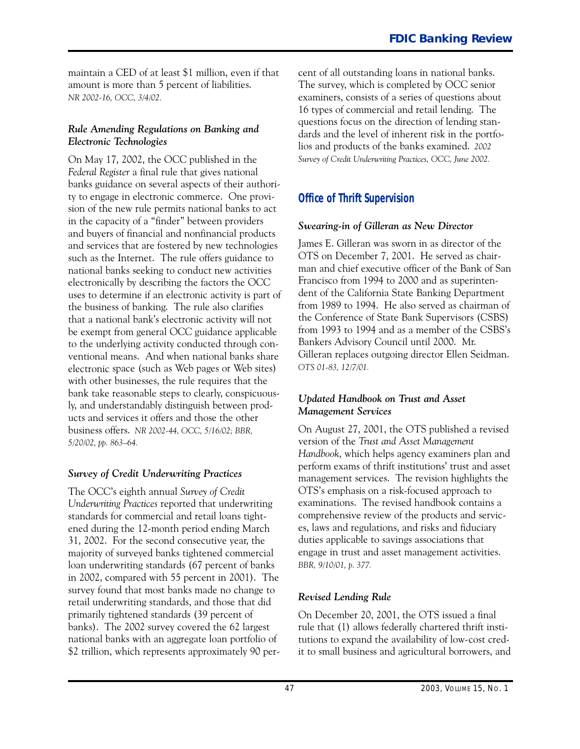maintain a CED of at least \$1 million, even if that amount is more than 5 percent of liabilities. *NR 2002-16, OCC, 3/4/02.*

#### *Rule Amending Regulations on Banking and Electronic Technologies*

On May 17, 2002, the OCC published in the *Federal Register* a final rule that gives national banks guidance on several aspects of their authority to engage in electronic commerce. One provision of the new rule permits national banks to act in the capacity of a "finder" between providers and buyers of financial and nonfinancial products and services that are fostered by new technologies such as the Internet. The rule offers guidance to national banks seeking to conduct new activities electronically by describing the factors the OCC uses to determine if an electronic activity is part of the business of banking. The rule also clarifies that a national bank's electronic activity will not be exempt from general OCC guidance applicable to the underlying activity conducted through conventional means. And when national banks share electronic space (such as Web pages or Web sites) with other businesses, the rule requires that the bank take reasonable steps to clearly, conspicuously, and understandably distinguish between products and services it offers and those the other business offers. *NR 2002-44, OCC, 5/16/02; BBR, 5/20/02, pp. 863-64.*

#### *Survey of Credit Underwriting Practices*

The OCC's eighth annual *Survey of Credit Underwriting Practices* reported that underwriting standards for commercial and retail loans tightened during the 12-month period ending March 31, 2002. For the second consecutive year, the majority of surveyed banks tightened commercial loan underwriting standards (67 percent of banks in 2002, compared with 55 percent in 2001). The survey found that most banks made no change to retail underwriting standards, and those that did primarily tightened standards (39 percent of banks). The 2002 survey covered the 62 largest national banks with an aggregate loan portfolio of \$2 trillion, which represents approximately 90 percent of all outstanding loans in national banks. The survey, which is completed by OCC senior examiners, consists of a series of questions about 16 types of commercial and retail lending. The questions focus on the direction of lending standards and the level of inherent risk in the portfolios and products of the banks examined. *2002 Survey of Credit Underwriting Practices, OCC, June 2002.*

#### **Office of Thrift Supervision**

#### *Swearing-in of Gilleran as New Director*

James E. Gilleran was sworn in as director of the OTS on December 7, 2001. He served as chairman and chief executive officer of the Bank of San Francisco from 1994 to 2000 and as superintendent of the California State Banking Department from 1989 to 1994. He also served as chairman of the Conference of State Bank Supervisors (CSBS) from 1993 to 1994 and as a member of the CSBS's Bankers Advisory Council until 2000. Mr. Gilleran replaces outgoing director Ellen Seidman. *OTS 01-83, 12/7/01.*

#### *Updated �andbook on Trust and Asset Management Services*

On August 27, 2001, the OTS published a revised version of the *Trust and Asset Management �andbook*, which helps agency examiners plan and perform exams of thrift institutions' trust and asset management services. The revision highlights the OTS's emphasis on a risk-focused approach to examinations. The revised handbook contains a comprehensive review of the products and services, laws and regulations, and risks and fiduciary duties applicable to savings associations that engage in trust and asset management activities. *BBR, 9/10/01, p. 377.*

#### *Revised Lending Rule*

On December 20, 2001, the OTS issued a final rule that (1) allows federally chartered thrift institutions to expand the availability of low-cost credit to small business and agricultural borrowers, and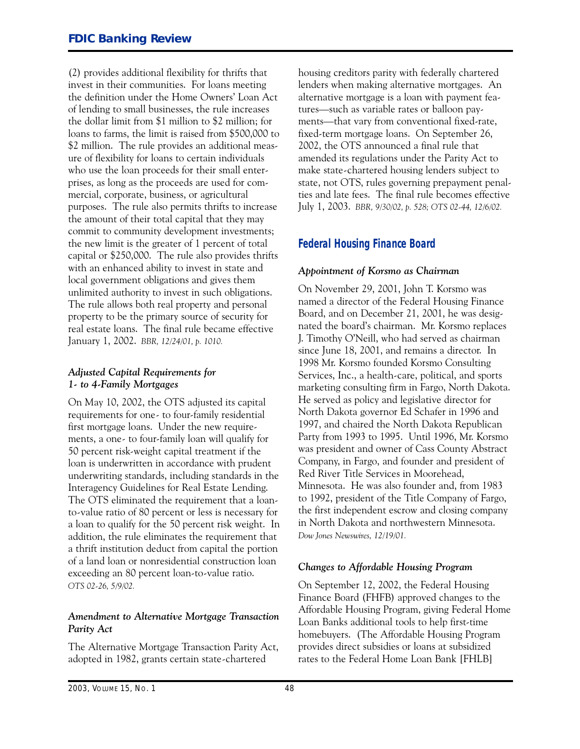(2) provides additional flexibility for thrifts that invest in their communities. For loans meeting the definition under the Home Owners' Loan Act of lending to small businesses, the rule increases the dollar limit from \$1 million to \$2 million; for loans to farms, the limit is raised from \$500,000 to \$2 million. The rule provides an additional measure of flexibility for loans to certain individuals who use the loan proceeds for their small enterprises, as long as the proceeds are used for commercial, corporate, business, or agricultural purposes. The rule also permits thrifts to increase the amount of their total capital that they may commit to community development investments; the new limit is the greater of 1 percent of total capital or \$250,000. The rule also provides thrifts with an enhanced ability to invest in state and local government obligations and gives them unlimited authority to invest in such obligations. The rule allows both real property and personal property to be the primary source of security for real estate loans. The final rule became effective January 1, 2002. *BBR, 12/24/01, p. 1010.*

#### *Adjusted Capital Requirements for I- to 4-Family Mortgages*

On May 10, 2002, the OTS adjusted its capital requirements for one- to four-family residential first mortgage loans. Under the new requirements, a one- to four-family loan will qualify for 50 percent risk-weight capital treatment if the loan is underwritten in accordance with prudent underwriting standards, including standards in the Interagency Guidelines for Real Estate Lending. The OTS eliminated the requirement that a loanto-value ratio of 80 percent or less is necessary for a loan to qualify for the 50 percent risk weight. In addition, the rule eliminates the requirement that a thrift institution deduct from capital the portion of a land loan or nonresidential construction loan exceeding an 80 percent loan-to-value ratio. *OTS 02-26, 5/9/02.*

#### *Amendment to Alternative Mortgage Transaction Parity Act*

The Alternative Mortgage Transaction Parity Act, adopted in 1982, grants certain state-chartered

housing creditors parity with federally chartered lenders when making alternative mortgages. An alternative mortgage is a loan with payment features—such as variable rates or balloon payments-that vary from conventional fixed-rate, fixed-term mortgage loans. On September 26, 2002, the OTS announced a final rule that amended its regulations under the Parity Act to make state-chartered housing lenders subject to state, not OTS, rules governing prepayment penalties and late fees. The final rule becomes effective July 1, 2003. *BBR, 9/30/02, p. 528; OTS 02-44, 12/6/02.*

#### **Federal Housing Finance Board**

#### *Appointment of Korsmo as Chairman*

 nated the board's chairman. Mr. Korsmo replaces On November 29, 2001, John T. Korsmo was named a director of the Federal Housing Finance Board, and on December 21, 2001, he was desig-J. Timothy O'Neill, who had served as chairman since June 18, 2001, and remains a director. In 1998 Mr. Korsmo founded Korsmo Consulting Services, Inc., a health-care, political, and sports marketing consulting firm in Fargo, North Dakota. He served as policy and legislative director for North Dakota governor Ed Schafer in 1996 and 1997, and chaired the North Dakota Republican Party from 1993 to 1995. Until 1996, Mr. Korsmo was president and owner of Cass County Abstract Company, in Fargo, and founder and president of Red River Title Services in Moorehead, Minnesota. He was also founder and, from 1983 to 1992, president of the Title Company of Fargo, the first independent escrow and closing company in North Dakota and northwestern Minnesota. *Dow Jones Newswires, 12/19/01.*

#### *Changes to Affordable Housing Program*

On September 12, 2002, the Federal Housing Finance Board (FHFB) approved changes to the Affordable Housing Program, giving Federal Home Loan Banks additional tools to help first-time homebuyers. (The Affordable Housing Program provides direct subsidies or loans at subsidized rates to the Federal Home Loan Bank [FHLB]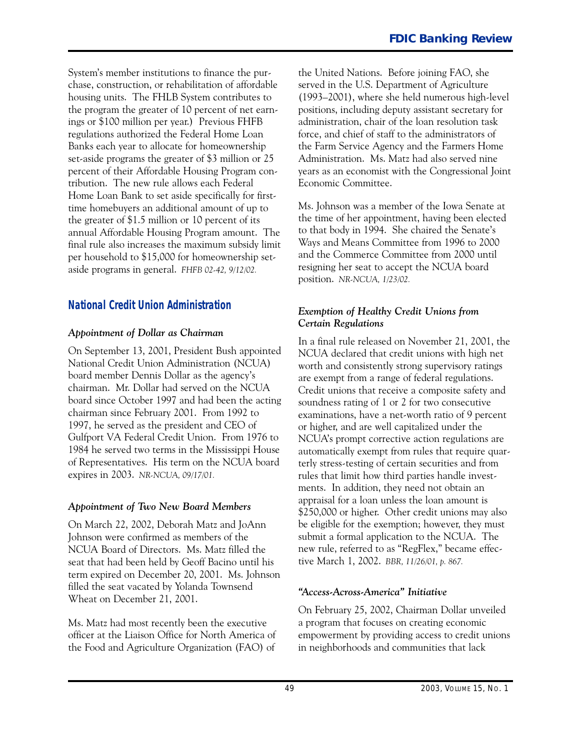System's member institutions to finance the purchase, construction, or rehabilitation of affordable housing units. The FHLB System contributes to the program the greater of 10 percent of net earnings or \$100 million per year.) Previous FHFB regulations authorized the Federal Home Loan Banks each year to allocate for homeownership set-aside programs the greater of \$3 million or 25 percent of their Affordable Housing Program contribution. The new rule allows each Federal Home Loan Bank to set aside specifically for firsttime homebuyers an additional amount of up to the greater of \$1.5 million or 10 percent of its annual Affordable Housing Program amount. The final rule also increases the maximum subsidy limit per household to \$15,000 for homeownership setaside programs in general. *FHFB 02-42, 9/12/02*.

#### **National Credit Union Administration**

#### *Appointment of Dollar as Chairman*

 chairman. Mr. Dollar had served on the NCUA On September 13, 2001, President Bush appointed National Credit Union Administration (NCUA) board member Dennis Dollar as the agency's board since October 1997 and had been the acting chairman since February 2001. From 1992 to 1997, he served as the president and CEO of Gulfport VA Federal Credit Union. From 1976 to 1984 he served two terms in the Mississippi House of Representatives. His term on the NCUA board expires in 2003. *NR-NCUA, 09/17/01.*

#### *Appointment of Two New Board Members*

On March 22, 2002, Deborah Matz and JoAnn Johnson were confirmed as members of the NCUA Board of Directors. Ms. Matz filled the seat that had been held by Geoff Bacino until his term expired on December 20, 2001. Ms. Johnson filled the seat vacated by Yolanda Townsend Wheat on December 21, 2001.

Ms. Matz had most recently been the executive officer at the Liaison Office for North America of the Food and Agriculture Organization (FAO) of

the United Nations. Before joining FAO, she served in the U.S. Department of Agriculture (1993-2001), where she held numerous high-level positions, including deputy assistant secretary for administration, chair of the loan resolution task force, and chief of staff to the administrators of the Farm Service Agency and the Farmers Home Administration. Ms. Matz had also served nine years as an economist with the Congressional Joint Economic Committee.

Ms. Johnson was a member of the Iowa Senate at the time of her appointment, having been elected to that body in 1994. She chaired the Senate's Ways and Means Committee from 1996 to 2000 and the Commerce Committee from 2000 until resigning her seat to accept the NCUA board position. *NR-NCUA, 1/23/02.*

#### *Exemption of �ealthy Credit Unions from Certain Regulations*

In a final rule released on November 21, 2001, the NCUA declared that credit unions with high net worth and consistently strong supervisory ratings are exempt from a range of federal regulations. Credit unions that receive a composite safety and soundness rating of 1 or 2 for two consecutive examinations, have a net-worth ratio of 9 percent or higher, and are well capitalized under the NCUA's prompt corrective action regulations are automatically exempt from rules that require quarterly stress-testing of certain securities and from rules that limit how third parties handle investments. In addition, they need not obtain an appraisal for a loan unless the loan amount is \$250,000 or higher. Other credit unions may also be eligible for the exemption; however, they must submit a formal application to the NCUA. The new rule, referred to as "RegFlex," became effective March 1, 2002. *BBR, 11/26/01, p. 867.*

#### *�Access-Across-America� Initiative*

On February 25, 2002, Chairman Dollar unveiled a program that focuses on creating economic empowerment by providing access to credit unions in neighborhoods and communities that lack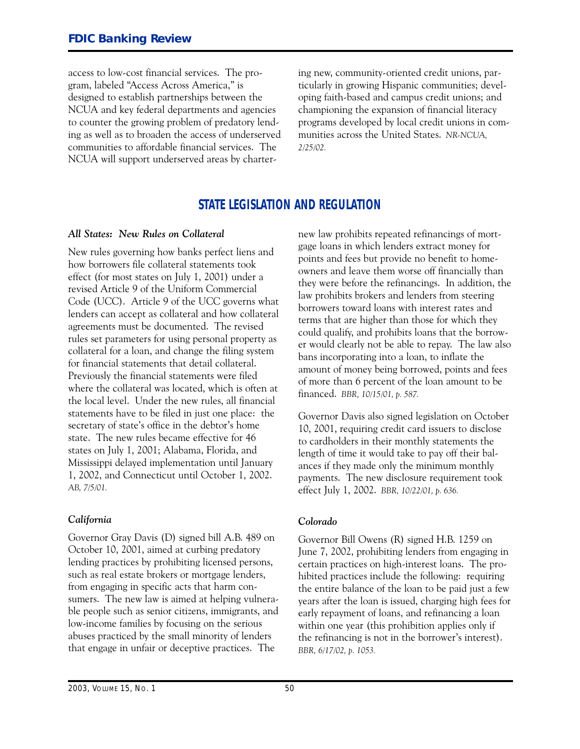access to low-cost financial services. The program, labeled "Access Across America," is designed to establish partnerships between the NCUA and key federal departments and agencies to counter the growing problem of predatory lending as well as to broaden the access of underserved communities to affordable financial services. The NCUA will support underserved areas by chartering new, community-oriented credit unions, particularly in growing Hispanic communities; developing faith-based and campus credit unions; and championing the expansion of financial literacy programs developed by local credit unions in communities across the United States. *NR-NCUA, 2/25/02.*

#### **STATE LEGISLATION AND REGULATION**

#### *All States� New Rules on Collateral*

New rules governing how banks perfect liens and how borrowers file collateral statements took effect (for most states on July 1, 2001) under a revised Article 9 of the Uniform Commercial Code (UCC). Article 9 of the UCC governs what lenders can accept as collateral and how collateral agreements must be documented. The revised rules set parameters for using personal property as collateral for a loan, and change the filing system for financial statements that detail collateral. Previously the financial statements were filed where the collateral was located, which is often at the local level. Under the new rules, all financial statements have to be filed in just one place: the secretary of state's office in the debtor's home state. The new rules became effective for 46 states on July 1, 2001; Alabama, Florida, and Mississippi delayed implementation until January 1, 2002, and Connecticut until October 1, 2002. *AB, 7/5/01.*

#### *California*

Governor Gray Davis (D) signed bill A.B. 489 on October 10, 2001, aimed at curbing predatory lending practices by prohibiting licensed persons, such as real estate brokers or mortgage lenders, from engaging in specific acts that harm consumers. The new law is aimed at helping vulnerable people such as senior citizens, immigrants, and low-income families by focusing on the serious abuses practiced by the small minority of lenders that engage in unfair or deceptive practices. The

new law prohibits repeated refinancings of mortgage loans in which lenders extract money for points and fees but provide no benefit to homeowners and leave them worse off financially than they were before the refinancings. In addition, the law prohibits brokers and lenders from steering borrowers toward loans with interest rates and terms that are higher than those for which they could qualify, and prohibits loans that the borrower would clearly not be able to repay. The law also bans incorporating into a loan, to inflate the amount of money being borrowed, points and fees of more than 6 percent of the loan amount to be financed. *BBR, 10/15/01, p. 587.*

Governor Davis also signed legislation on October 10, 2001, requiring credit card issuers to disclose to cardholders in their monthly statements the length of time it would take to pay off their balances if they made only the minimum monthly payments. The new disclosure requirement took effect July 1, 2002. *BBR, 10/22/01, p. 636.*

#### *Colorado*

Governor Bill Owens (R) signed H.B. 1259 on June 7, 2002, prohibiting lenders from engaging in certain practices on high-interest loans. The prohibited practices include the following: requiring the entire balance of the loan to be paid just a few years after the loan is issued, charging high fees for early repayment of loans, and refinancing a loan within one year (this prohibition applies only if the refinancing is not in the borrower's interest). *BBR, 6/17/02, p. 1053.*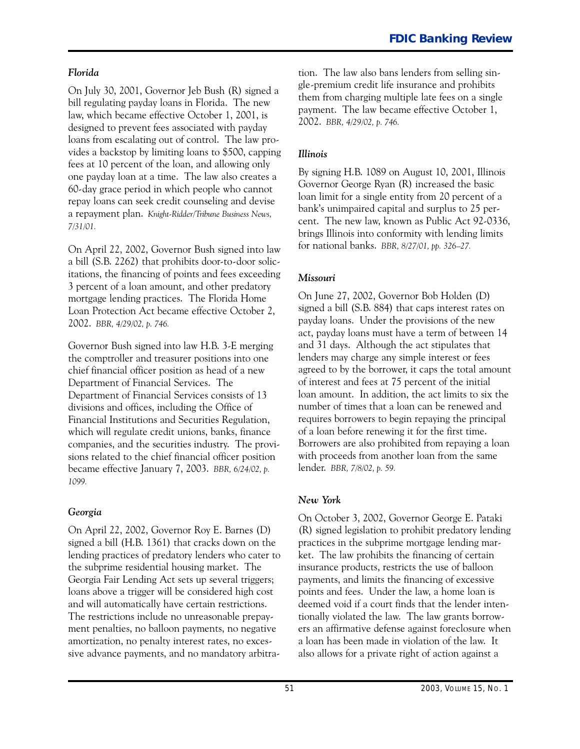#### *Florida*

On July 30, 2001, Governor Jeb Bush (R) signed a bill regulating payday loans in Florida. The new law, which became effective October 1, 2001, is designed to prevent fees associated with payday loans from escalating out of control. The law provides a backstop by limiting loans to \$500, capping fees at 10 percent of the loan, and allowing only one payday loan at a time. The law also creates a 60-day grace period in which people who cannot repay loans can seek credit counseling and devise a repayment plan. *�nig�t-Ridder/Tribune Business News, 7/31/01.*

On April 22, 2002, Governor Bush signed into law a bill (S.B. 2262) that prohibits door-to-door solicitations, the financing of points and fees exceeding 3 percent of a loan amount, and other predatory mortgage lending practices. The Florida Home Loan Protection Act became effective October 2, 2002. *BBR, 4/29/02, p. 746.*

Governor Bush signed into law H.B. 3-E merging the comptroller and treasurer positions into one chief financial officer position as head of a new Department of Financial Services. The Department of Financial Services consists of 13 divisions and offices, including the Office of Financial Institutions and Securities Regulation, which will regulate credit unions, banks, finance companies, and the securities industry. The provisions related to the chief financial officer position became effective January 7, 2003. *BBR, 6/24/02, p. 1099.*

#### *Georgia*

On April 22, 2002, Governor Roy E. Barnes (D) signed a bill (H.B. 1361) that cracks down on the lending practices of predatory lenders who cater to the subprime residential housing market. The Georgia Fair Lending Act sets up several triggers; loans above a trigger will be considered high cost and will automatically have certain restrictions. The restrictions include no unreasonable prepayment penalties, no balloon payments, no negative amortization, no penalty interest rates, no excessive advance payments, and no mandatory arbitration. The law also bans lenders from selling single-premium credit life insurance and prohibits them from charging multiple late fees on a single payment. The law became effective October 1, 2002. *BBR, 4/29/02, p. 746.*

#### *Illinois*

By signing H.B. 1089 on August 10, 2001, Illinois Governor George Ryan (R) increased the basic loan limit for a single entity from 20 percent of a bank's unimpaired capital and surplus to 25 percent. The new law, known as Public Act 92-0336, brings Illinois into conformity with lending limits for national banks. *BBR, 8/27/01, pp. 326-27.*

#### *Missouri*

On June 27, 2002, Governor Bob Holden (D) signed a bill (S.B. 884) that caps interest rates on payday loans. Under the provisions of the new act, payday loans must have a term of between 14 and 31 days. Although the act stipulates that lenders may charge any simple interest or fees agreed to by the borrower, it caps the total amount of interest and fees at 75 percent of the initial loan amount. In addition, the act limits to six the number of times that a loan can be renewed and requires borrowers to begin repaying the principal of a loan before renewing it for the first time. Borrowers are also prohibited from repaying a loan with proceeds from another loan from the same lender. *BBR, 7/8/02, p. 59.*

#### *New �ork*

 a loan has been made in violation of the law. It On October 3, 2002, Governor George E. Pataki (R) signed legislation to prohibit predatory lending practices in the subprime mortgage lending market. The law prohibits the financing of certain insurance products, restricts the use of balloon payments, and limits the financing of excessive points and fees. Under the law, a home loan is deemed void if a court finds that the lender intentionally violated the law. The law grants borrowers an affirmative defense against foreclosure when also allows for a private right of action against a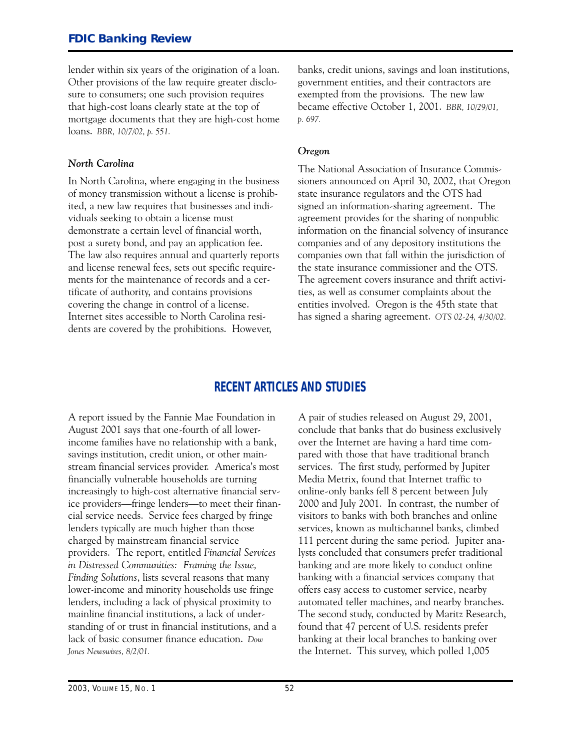#### **FDIC Banking Review**

lender within six years of the origination of a loan. Other provisions of the law require greater disclosure to consumers; one such provision requires that high-cost loans clearly state at the top of mortgage documents that they are high-cost home loans. *BBR, 10/7/02, p. 551.*

#### *North Carolina*

In North Carolina, where engaging in the business of money transmission without a license is prohibited, a new law requires that businesses and individuals seeking to obtain a license must demonstrate a certain level of financial worth, post a surety bond, and pay an application fee. The law also requires annual and quarterly reports and license renewal fees, sets out specific requirements for the maintenance of records and a certificate of authority, and contains provisions covering the change in control of a license. Internet sites accessible to North Carolina residents are covered by the prohibitions. However,

banks, credit unions, savings and loan institutions, government entities, and their contractors are exempted from the provisions. The new law became effective October 1, 2001. *BBR, 10/29/01, p. 697.*

#### *Oregon*

The National Association of Insurance Commissioners announced on April 30, 2002, that Oregon state insurance regulators and the OTS had signed an information-sharing agreement. The agreement provides for the sharing of nonpublic information on the financial solvency of insurance companies and of any depository institutions the companies own that fall within the jurisdiction of the state insurance commissioner and the OTS. The agreement covers insurance and thrift activities, as well as consumer complaints about the entities involved. Oregon is the 45th state that has signed a sharing agreement. *OTS 02-24, 4/30/02.*

#### **RECENT ARTICLES AND STUDIES**

A report issued by the Fannie Mae Foundation in August 2001 says that one-fourth of all lowerincome families have no relationship with a bank, savings institution, credit union, or other mainstream financial services provider. America's most financially vulnerable households are turning increasingly to high-cost alternative financial service providers—fringe lenders—to meet their financial service needs. Service fees charged by fringe lenders typically are much higher than those charged by mainstream financial service providers. The report, entitled *Financial Services in Distressed Communities: Framing the Issue, Finding Solutions*, lists several reasons that many lower-income and minority households use fringe lenders, including a lack of physical proximity to mainline financial institutions, a lack of understanding of or trust in financial institutions, and a lack of basic consumer finance education. *Dow Jones Newswires, 8/2/01.*

A pair of studies released on August 29, 2001, conclude that banks that do business exclusively over the Internet are having a hard time compared with those that have traditional branch services. The first study, performed by Jupiter Media Metrix, found that Internet traffic to online-only banks fell 8 percent between July 2000 and July 2001. In contrast, the number of visitors to banks with both branches and online services, known as multichannel banks, climbed 111 percent during the same period. Jupiter analysts concluded that consumers prefer traditional banking and are more likely to conduct online banking with a financial services company that offers easy access to customer service, nearby automated teller machines, and nearby branches. The second study, conducted by Maritz Research, found that 47 percent of U.S. residents prefer banking at their local branches to banking over the Internet. This survey, which polled 1,005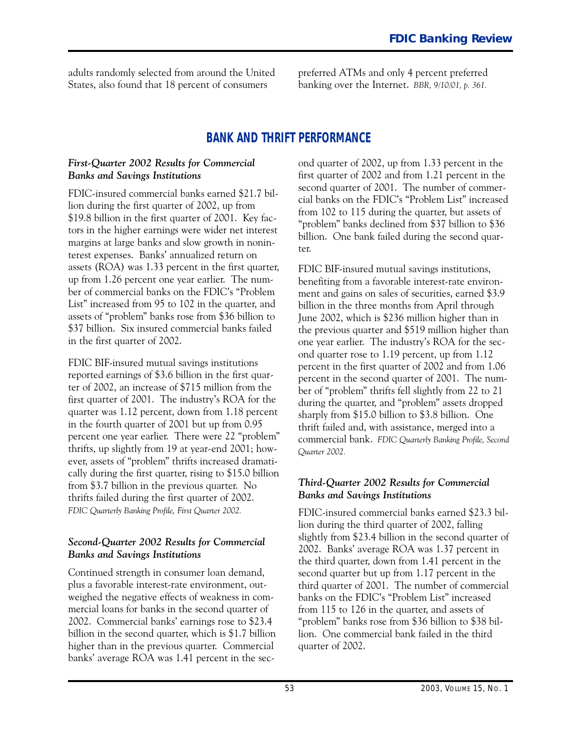adults randomly selected from around the United preferred ATMs and only 4 percent preferred States, also found that 18 percent of consumers banking over the Internet. *BBR, 9/10/01, p. 361.*

#### **BANK AND THRIFT PERFORMANCE**

#### *First-Quarter 2002 Results for Commercial Banks and Savings Institutions*

FDIC-insured commercial banks earned \$21.7 billion during the first quarter of 2002, up from \$19.8 billion in the first quarter of 2001. Key factors in the higher earnings were wider net interest margins at large banks and slow growth in noninterest expenses. Banks' annualized return on assets (ROA) was 1.33 percent in the first quarter, up from 1.26 percent one year earlier. The number of commercial banks on the FDIC's "Problem List" increased from 95 to 102 in the quarter, and assets of "problem" banks rose from \$36 billion to \$37 billion. Six insured commercial banks failed in the first quarter of 2002.

 percent one year earlier. There were 22 "problem" FDIC BIF-insured mutual savings institutions reported earnings of \$3.6 billion in the first quarter of 2002, an increase of \$715 million from the first quarter of 2001. The industry's ROA for the quarter was 1.12 percent, down from 1.18 percent in the fourth quarter of 2001 but up from 0.95 thrifts, up slightly from 19 at year-end 2001; however, assets of "problem" thrifts increased dramatically during the first quarter, rising to \$15.0 billion from \$3.7 billion in the previous quarter. No thrifts failed during the first quarter of 2002. *FDIC �uarterly Banking Profile, First �uarter 2002.*

#### *Second-Quarter 2002 Results for Commercial Banks and Savings Institutions*

Continued strength in consumer loan demand, plus a favorable interest-rate environment, outweighed the negative effects of weakness in commercial loans for banks in the second quarter of 2002. Commercial banks' earnings rose to \$23.4 billion in the second quarter, which is \$1.7 billion higher than in the previous quarter. Commercial banks' average ROA was 1.41 percent in the second quarter of 2002, up from 1.33 percent in the first quarter of 2002 and from 1.21 percent in the second quarter of 2001. The number of commercial banks on the FDIC's "Problem List" increased from 102 to 115 during the quarter, but assets of "problem" banks declined from \$37 billion to \$36 billion. One bank failed during the second quarter.

 one year earlier. The industry's ROA for the sec-FDIC BIF-insured mutual savings institutions, benefiting from a favorable interest-rate environment and gains on sales of securities, earned \$3.9 billion in the three months from April through June 2002, which is \$236 million higher than in the previous quarter and \$519 million higher than ond quarter rose to 1.19 percent, up from 1.12 percent in the first quarter of 2002 and from 1.06 percent in the second quarter of 2001. The number of "problem" thrifts fell slightly from 22 to 21 during the quarter, and "problem" assets dropped sharply from \$15.0 billion to \$3.8 billion. One thrift failed and, with assistance, merged into a commercial bank. *FDIC �uarterly Banking Profile, Second �uarter 2002.*

#### *Third-Quarter 2002 Results for Commercial Banks and Savings Institutions*

FDIC-insured commercial banks earned \$23.3 billion during the third quarter of 2002, falling slightly from \$23.4 billion in the second quarter of 2002. Banks' average ROA was 1.37 percent in the third quarter, down from 1.41 percent in the second quarter but up from 1.17 percent in the third quarter of 2001. The number of commercial banks on the FDIC's "Problem List" increased from 115 to 126 in the quarter, and assets of "problem" banks rose from \$36 billion to \$38 billion. One commercial bank failed in the third quarter of 2002.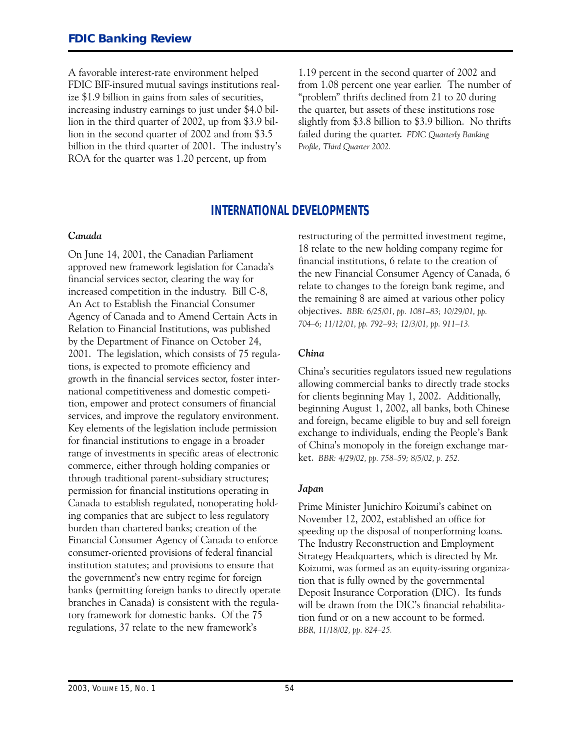A favorable interest-rate environment helped FDIC BIF-insured mutual savings institutions realize \$1.9 billion in gains from sales of securities, increasing industry earnings to just under \$4.0 billion in the third quarter of 2002, up from \$3.9 billion in the second quarter of 2002 and from \$3.5 billion in the third quarter of 2001. The industry's ROA for the quarter was 1.20 percent, up from

1.19 percent in the second quarter of 2002 and from 1.08 percent one year earlier. The number of "problem" thrifts declined from 21 to 20 during the quarter, but assets of these institutions rose slightly from \$3.8 billion to \$3.9 billion. No thrifts failed during the quarter. *FDIC Quarterly Banking* Profile, Third Quarter 2002.

#### **INTERNATIONAL DEVELOPMENTS**

#### *Canada*

On June 14, 2001, the Canadian Parliament approved new framework legislation for Canada's financial services sector, clearing the way for increased competition in the industry. Bill C-8, An Act to Establish the Financial Consumer Agency of Canada and to Amend Certain Acts in Relation to Financial Institutions, was published by the Department of Finance on October 24, 2001. The legislation, which consists of 75 regulations, is expected to promote efficiency and growth in the financial services sector, foster international competitiveness and domestic competition, empower and protect consumers of financial services, and improve the regulatory environment. Key elements of the legislation include permission for financial institutions to engage in a broader range of investments in specific areas of electronic commerce, either through holding companies or through traditional parent-subsidiary structures; permission for financial institutions operating in Canada to establish regulated, nonoperating holding companies that are subject to less regulatory burden than chartered banks; creation of the Financial Consumer Agency of Canada to enforce consumer-oriented provisions of federal financial institution statutes; and provisions to ensure that the government's new entry regime for foreign banks (permitting foreign banks to directly operate branches in Canada) is consistent with the regulatory framework for domestic banks. Of the 75 regulations, 37 relate to the new framework's

restructuring of the permitted investment regime, 18 relate to the new holding company regime for financial institutions, 6 relate to the creation of the new Financial Consumer Agency of Canada, 6 relate to changes to the foreign bank regime, and the remaining 8 are aimed at various other policy objectives. *BBR� 6/25/01, pp. 1081-83; 10/29/01, pp. 704-6; 11/12/01, pp. 792-93; 12/3/01, pp. 911-13.*

#### *China*

China's securities regulators issued new regulations allowing commercial banks to directly trade stocks for clients beginning May 1, 2002. Additionally, beginning August 1, 2002, all banks, both Chinese and foreign, became eligible to buy and sell foreign exchange to individuals, ending the People's Bank of China's monopoly in the foreign exchange market. *BBR: 4/29/02, pp. 758-59; 8/5/02, p. 252.* 

#### *Japan*

Prime Minister Junichiro Koizumi's cabinet on November 12, 2002, established an office for speeding up the disposal of nonperforming loans. The Industry Reconstruction and Employment Strategy Headquarters, which is directed by Mr. Koizumi, was formed as an equity-issuing organization that is fully owned by the governmental Deposit Insurance Corporation (DIC). Its funds will be drawn from the DIC's financial rehabilitation fund or on a new account to be formed. *BBR, 11/18/02, pp. 824-25.*